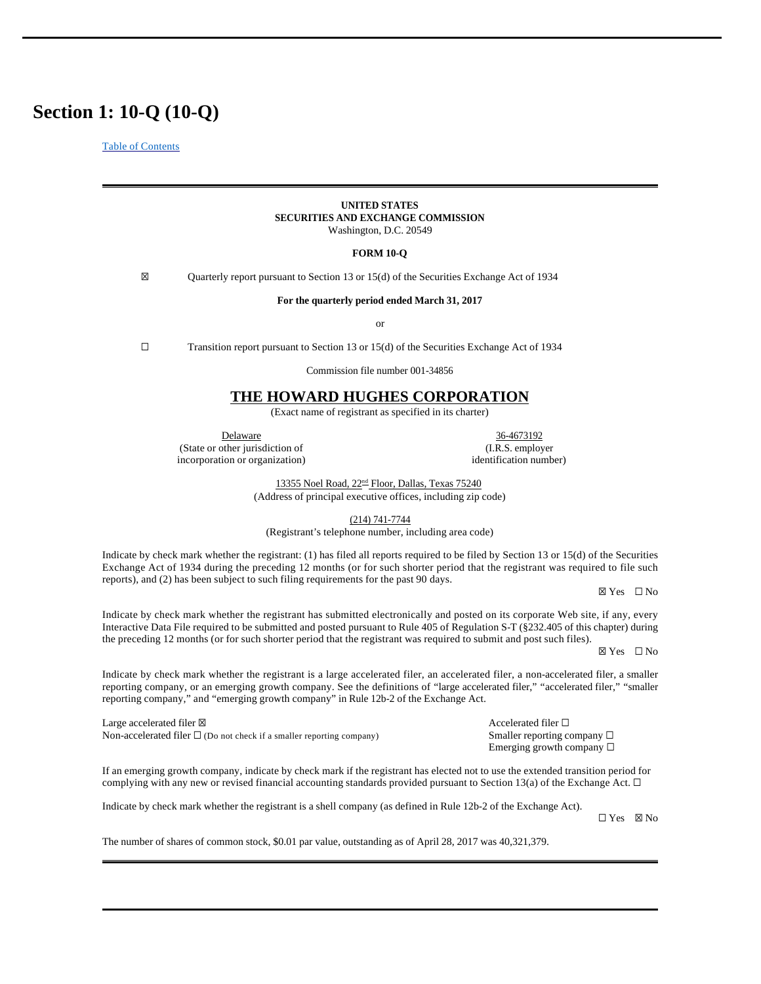# **Section 1: 10-Q (10-Q)**

Table of Contents

### **UNITED STATES SECURITIES AND EXCHANGE COMMISSION** Washington, D.C. 20549

### **FORM 10-Q**

☒ Quarterly report pursuant to Section 13 or 15(d) of the Securities Exchange Act of 1934

**For the quarterly period ended March 31, 2017**

or

☐ Transition report pursuant to Section 13 or 15(d) of the Securities Exchange Act of 1934

Commission file number 001-34856

# **THE HOWARD HUGHES CORPORATION**

(Exact name of registrant as specified in its charter)

Delaware 36-4673192 (State or other jurisdiction of (I.R.S. employer

incorporation or organization) identification number)

13355 Noel Road, 22<sup>nd</sup> Floor, Dallas, Texas 75240

(Address of principal executive offices, including zip code)

(214) 741-7744

(Registrant's telephone number, including area code)

Indicate by check mark whether the registrant: (1) has filed all reports required to be filed by Section 13 or 15(d) of the Securities Exchange Act of 1934 during the preceding 12 months (or for such shorter period that the registrant was required to file such reports), and (2) has been subject to such filing requirements for the past 90 days.

☒ Yes ☐ No

Indicate by check mark whether the registrant has submitted electronically and posted on its corporate Web site, if any, every Interactive Data File required to be submitted and posted pursuant to Rule 405 of Regulation S-T (§232.405 of this chapter) during the preceding 12 months (or for such shorter period that the registrant was required to submit and post such files).

☒ Yes ☐ No

Indicate by check mark whether the registrant is a large accelerated filer, an accelerated filer, a non-accelerated filer, a smaller reporting company, or an emerging growth company. See the definitions of "large accelerated filer," "accelerated filer," "smaller reporting company," and "emerging growth company" in Rule 12b-2 of the Exchange Act.

Large accelerated filer  $\boxtimes$  Accelerated filer  $\Box$ Non-accelerated filer □ (Do not check if a smaller reporting company) Smaller reporting company □

Emerging growth company ☐

If an emerging growth company, indicate by check mark if the registrant has elected not to use the extended transition period for complying with any new or revised financial accounting standards provided pursuant to Section 13(a) of the Exchange Act.  $\Box$ 

Indicate by check mark whether the registrant is a shell company (as defined in Rule 12b-2 of the Exchange Act).

☐ Yes ☒ No

The number of shares of common stock, \$0.01 par value, outstanding as of April 28, 2017 was 40,321,379.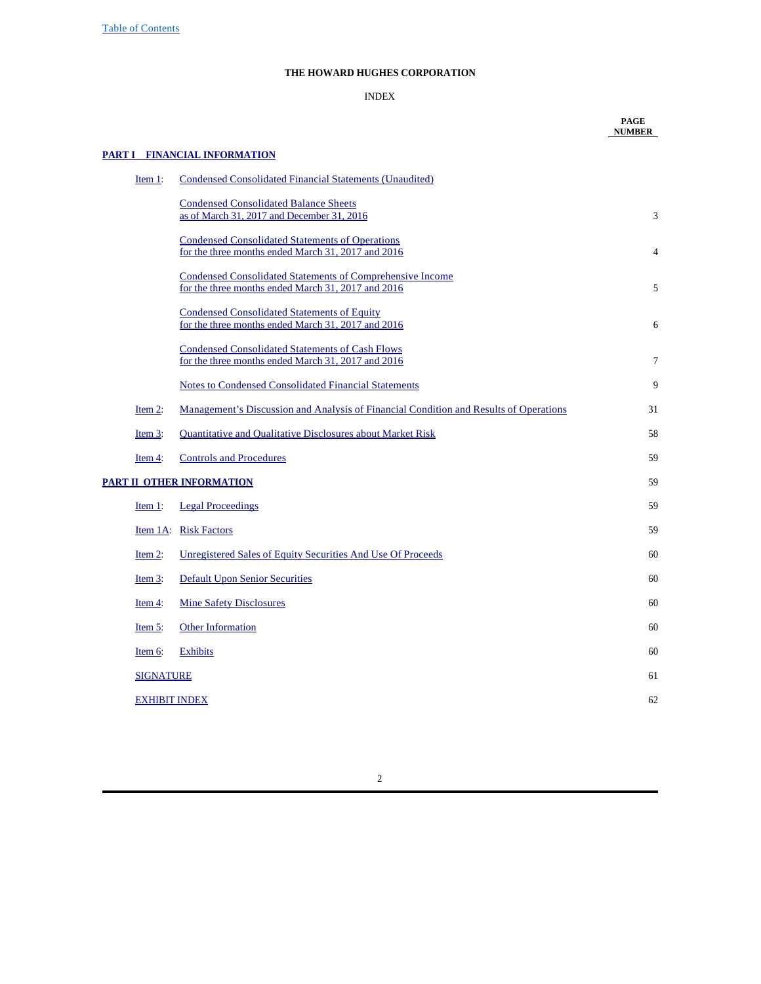Table of Contents

# **THE HOWARD HUGHES CORPORATION**

# INDEX

|                                                                                                                               | <b>PAGE</b><br><b>NUMBER</b>                                                                                                                 |
|-------------------------------------------------------------------------------------------------------------------------------|----------------------------------------------------------------------------------------------------------------------------------------------|
|                                                                                                                               |                                                                                                                                              |
| Condensed Consolidated Financial Statements (Unaudited)                                                                       |                                                                                                                                              |
| <b>Condensed Consolidated Balance Sheets</b><br>as of March 31, 2017 and December 31, 2016                                    | 3                                                                                                                                            |
| <b>Condensed Consolidated Statements of Operations</b><br>for the three months ended March 31, 2017 and 2016                  | $\overline{4}$                                                                                                                               |
| Condensed Consolidated Statements of Comprehensive Income<br>for the three months ended March 31, 2017 and 2016               | 5                                                                                                                                            |
| <b>Condensed Consolidated Statements of Equity</b><br>for the three months ended March 31, 2017 and 2016                      | 6                                                                                                                                            |
| <b>Condensed Consolidated Statements of Cash Flows</b><br>for the three months ended March 31, 2017 and 2016                  | $\tau$                                                                                                                                       |
| Notes to Condensed Consolidated Financial Statements                                                                          | 9                                                                                                                                            |
| Management's Discussion and Analysis of Financial Condition and Results of Operations                                         | 31                                                                                                                                           |
| <b>Quantitative and Qualitative Disclosures about Market Risk</b>                                                             | 58                                                                                                                                           |
| <b>Controls and Procedures</b>                                                                                                | 59                                                                                                                                           |
|                                                                                                                               | 59                                                                                                                                           |
| <b>Legal Proceedings</b>                                                                                                      | 59                                                                                                                                           |
|                                                                                                                               | 59                                                                                                                                           |
| Unregistered Sales of Equity Securities And Use Of Proceeds                                                                   | 60                                                                                                                                           |
| <b>Default Upon Senior Securities</b>                                                                                         | 60                                                                                                                                           |
| <b>Mine Safety Disclosures</b>                                                                                                | 60                                                                                                                                           |
| <b>Other Information</b>                                                                                                      | 60                                                                                                                                           |
| <b>Exhibits</b>                                                                                                               | 60                                                                                                                                           |
|                                                                                                                               | 61                                                                                                                                           |
|                                                                                                                               | 62                                                                                                                                           |
| Item 1:<br>Item 2:<br>Item $3$ :<br>Item $4$ :<br>Item 1:<br>Item $2$ :<br>Item $3$ :<br>Item $4$<br>Item $5$ :<br>Item $6$ : | <b>PART I FINANCIAL INFORMATION</b><br><b>PART II OTHER INFORMATION</b><br>Item 1A: Risk Factors<br><b>SIGNATURE</b><br><b>EXHIBIT INDEX</b> |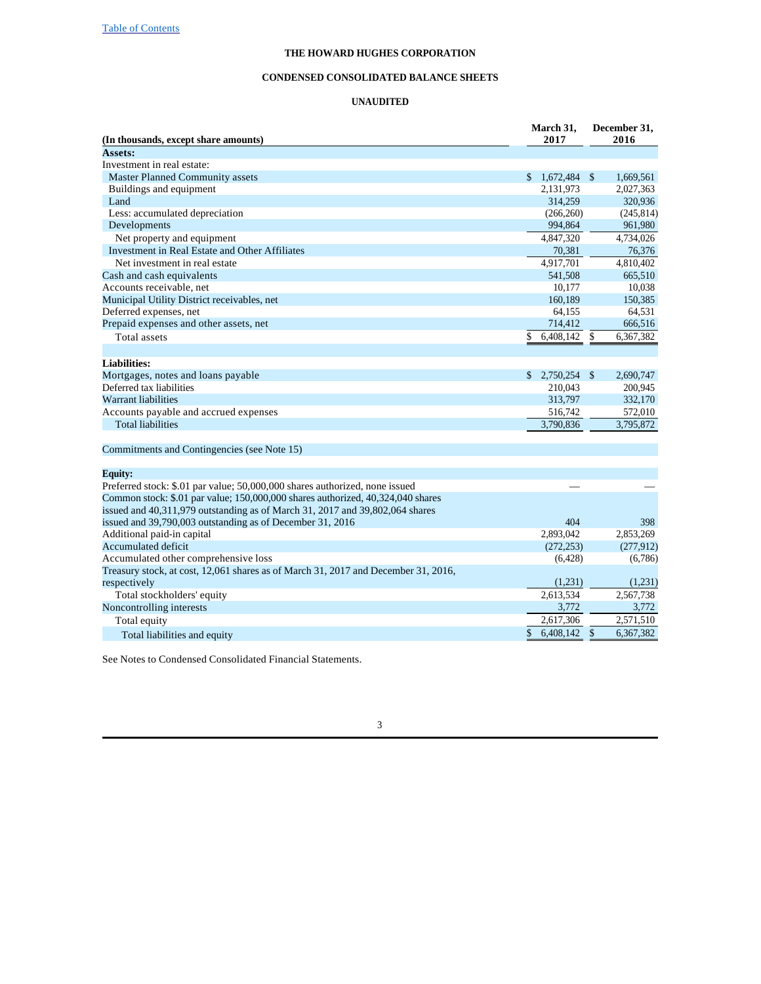### **CONDENSED CONSOLIDATED BALANCE SHEETS**

### **UNAUDITED**

| (In thousands, except share amounts)                                               | March 31,<br>2017  | December 31,<br>2016            |  |  |
|------------------------------------------------------------------------------------|--------------------|---------------------------------|--|--|
| Assets:                                                                            |                    |                                 |  |  |
| Investment in real estate:                                                         |                    |                                 |  |  |
| <b>Master Planned Community assets</b>                                             | 1,672,484 \$<br>\$ | 1,669,561                       |  |  |
| Buildings and equipment                                                            | 2,131,973          | 2,027,363                       |  |  |
| Land                                                                               | 314,259            | 320,936                         |  |  |
| Less: accumulated depreciation                                                     | (266, 260)         | (245, 814)                      |  |  |
| Developments                                                                       | 994,864            | 961,980                         |  |  |
| Net property and equipment                                                         | 4,847,320          | 4,734,026                       |  |  |
| Investment in Real Estate and Other Affiliates                                     | 70,381             | 76,376                          |  |  |
| Net investment in real estate                                                      | 4,917,701          | 4,810,402                       |  |  |
| Cash and cash equivalents                                                          | 541,508            | 665,510                         |  |  |
| Accounts receivable, net                                                           | 10,177             | 10,038                          |  |  |
| Municipal Utility District receivables, net                                        | 160,189            | 150,385                         |  |  |
| Deferred expenses, net                                                             | 64,155             | 64,531                          |  |  |
| Prepaid expenses and other assets, net                                             | 714,412            | 666,516                         |  |  |
| <b>Total</b> assets                                                                | 6,408,142<br>\$    | \$<br>6,367,382                 |  |  |
|                                                                                    |                    |                                 |  |  |
| <b>Liabilities:</b>                                                                |                    |                                 |  |  |
| Mortgages, notes and loans payable                                                 | 2,750,254 \$<br>\$ | 2,690,747                       |  |  |
| Deferred tax liabilities                                                           | 210,043            | 200,945                         |  |  |
| <b>Warrant liabilities</b>                                                         | 313,797            | 332,170                         |  |  |
| Accounts payable and accrued expenses                                              | 516,742            | 572,010                         |  |  |
| <b>Total liabilities</b>                                                           | 3.790.836          | 3,795,872                       |  |  |
| Commitments and Contingencies (see Note 15)                                        |                    |                                 |  |  |
| <b>Equity:</b>                                                                     |                    |                                 |  |  |
| Preferred stock: \$.01 par value; 50,000,000 shares authorized, none issued        |                    |                                 |  |  |
| Common stock: \$.01 par value; 150,000,000 shares authorized, 40,324,040 shares    |                    |                                 |  |  |
| issued and 40,311,979 outstanding as of March 31, 2017 and 39,802,064 shares       |                    |                                 |  |  |
| issued and 39,790,003 outstanding as of December 31, 2016                          | 404                | 398                             |  |  |
| Additional paid-in capital                                                         | 2,893,042          | 2,853,269                       |  |  |
| Accumulated deficit                                                                | (272, 253)         | (277,912)                       |  |  |
| Accumulated other comprehensive loss                                               | (6,428)            | (6,786)                         |  |  |
| Treasury stock, at cost, 12,061 shares as of March 31, 2017 and December 31, 2016, |                    |                                 |  |  |
| respectively                                                                       | (1,231)            | (1,231)                         |  |  |
| Total stockholders' equity                                                         | 2,613,534          | 2,567,738                       |  |  |
| Noncontrolling interests                                                           | 3,772              | 3,772                           |  |  |
| Total equity                                                                       | 2,617,306          | 2,571,510                       |  |  |
| Total liabilities and equity                                                       | \$<br>6,408,142    | $\mathbf{\hat{S}}$<br>6.367.382 |  |  |

See Notes to Condensed Consolidated Financial Statements.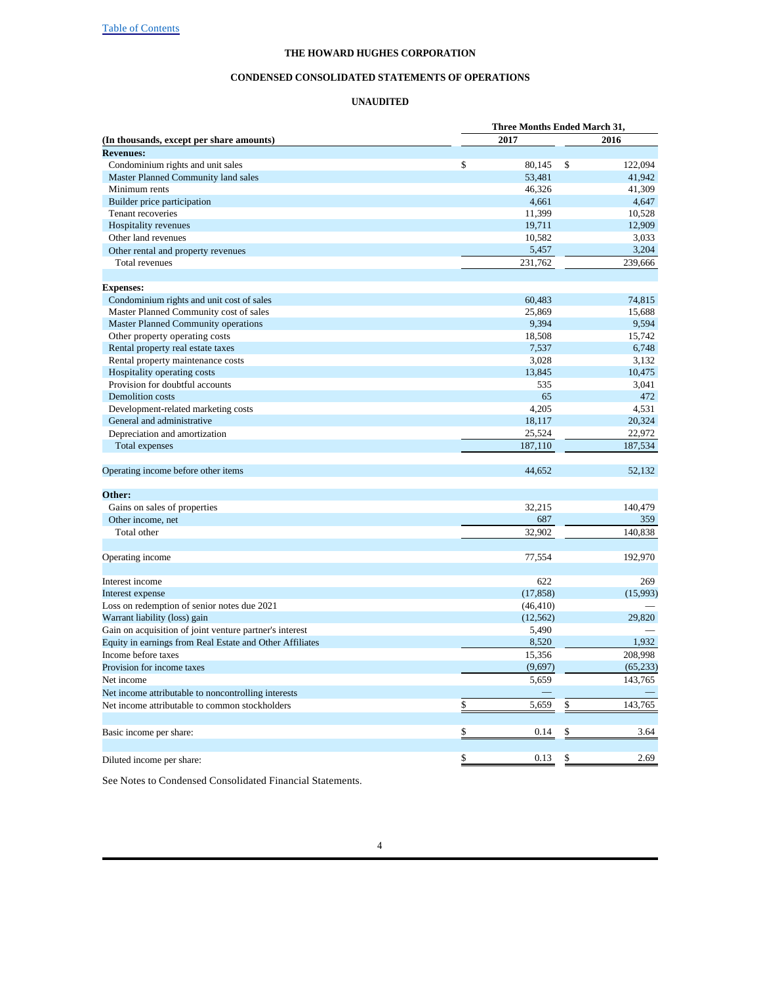#### **CONDENSED CONSOLIDATED STATEMENTS OF OPERATIONS**

#### **UNAUDITED**

|                                                          | Three Months Ended March 31, |           |              |           |
|----------------------------------------------------------|------------------------------|-----------|--------------|-----------|
| (In thousands, except per share amounts)                 |                              | 2017      |              | 2016      |
| <b>Revenues:</b>                                         |                              |           |              |           |
| Condominium rights and unit sales                        | $\mathbb{S}$                 | 80,145    | $\mathbb{S}$ | 122,094   |
| Master Planned Community land sales                      |                              | 53,481    |              | 41,942    |
| Minimum rents                                            |                              | 46,326    |              | 41,309    |
| Builder price participation                              |                              | 4,661     |              | 4,647     |
| Tenant recoveries                                        |                              | 11,399    |              | 10,528    |
| Hospitality revenues                                     |                              | 19,711    |              | 12,909    |
| Other land revenues                                      |                              | 10,582    |              | 3,033     |
| Other rental and property revenues                       |                              | 5,457     |              | 3,204     |
| Total revenues                                           |                              | 231,762   |              | 239,666   |
|                                                          |                              |           |              |           |
| <b>Expenses:</b>                                         |                              |           |              |           |
| Condominium rights and unit cost of sales                |                              | 60,483    |              | 74,815    |
| Master Planned Community cost of sales                   |                              | 25,869    |              | 15,688    |
| Master Planned Community operations                      |                              | 9,394     |              | 9,594     |
| Other property operating costs                           |                              | 18,508    |              | 15,742    |
| Rental property real estate taxes                        |                              | 7,537     |              | 6,748     |
| Rental property maintenance costs                        |                              | 3,028     |              | 3,132     |
| Hospitality operating costs                              |                              | 13,845    |              | 10,475    |
| Provision for doubtful accounts                          |                              | 535       |              | 3,041     |
| <b>Demolition</b> costs                                  |                              | 65        |              | 472       |
| Development-related marketing costs                      |                              | 4,205     |              | 4,531     |
| General and administrative                               |                              | 18,117    |              | 20,324    |
| Depreciation and amortization                            |                              | 25,524    |              | 22,972    |
| <b>Total expenses</b>                                    |                              | 187,110   |              | 187,534   |
| Operating income before other items                      |                              | 44,652    |              | 52,132    |
|                                                          |                              |           |              |           |
| Other:                                                   |                              | 32,215    |              | 140,479   |
| Gains on sales of properties                             |                              | 687       |              |           |
| Other income, net<br>Total other                         |                              |           |              | 359       |
|                                                          |                              | 32,902    |              | 140,838   |
| Operating income                                         |                              | 77,554    |              | 192,970   |
| Interest income                                          |                              | 622       |              | 269       |
| Interest expense                                         |                              | (17, 858) |              | (15,993)  |
| Loss on redemption of senior notes due 2021              |                              | (46, 410) |              |           |
| Warrant liability (loss) gain                            |                              | (12, 562) |              | 29,820    |
| Gain on acquisition of joint venture partner's interest  |                              | 5,490     |              |           |
| Equity in earnings from Real Estate and Other Affiliates |                              | 8,520     |              | 1,932     |
| Income before taxes                                      |                              | 15,356    |              | 208,998   |
| Provision for income taxes                               |                              | (9,697)   |              | (65, 233) |
| Net income                                               |                              | 5,659     |              | 143,765   |
| Net income attributable to noncontrolling interests      |                              |           |              |           |
| Net income attributable to common stockholders           | \$                           | 5,659     | \$           | 143,765   |
|                                                          |                              |           |              |           |
| Basic income per share:                                  | \$                           | 0.14      | \$           | 3.64      |
|                                                          |                              |           |              |           |
| Diluted income per share:                                | \$                           | 0.13      | \$           | 2.69      |

See Notes to Condensed Consolidated Financial Statements.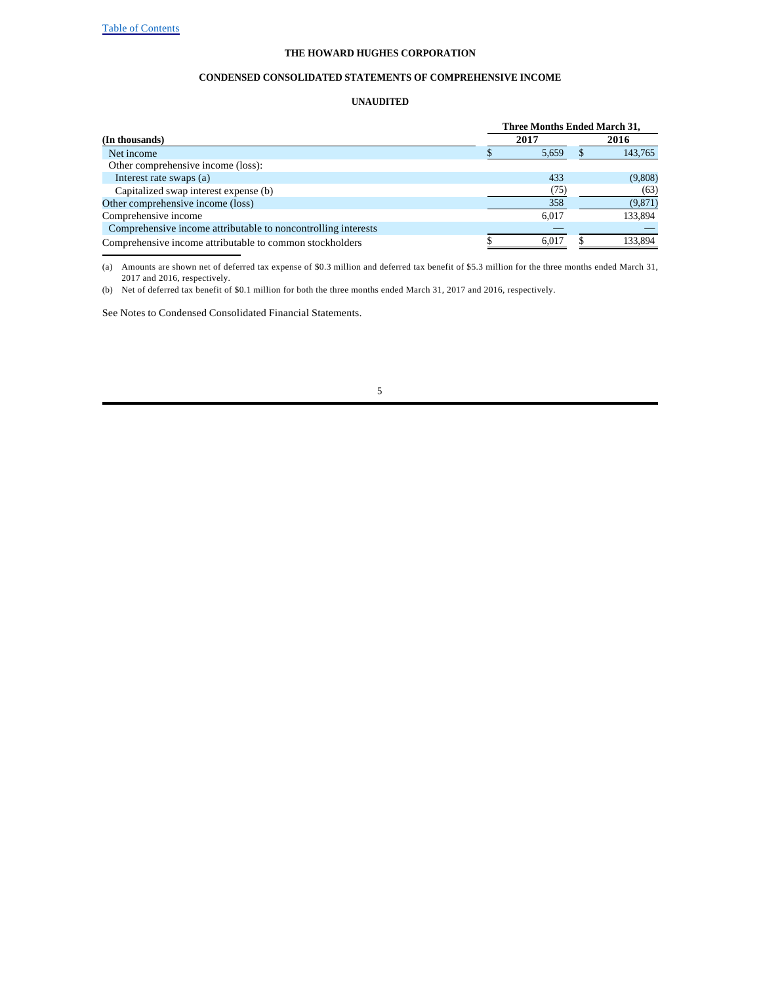#### **CONDENSED CONSOLIDATED STATEMENTS OF COMPREHENSIVE INCOME**

#### **UNAUDITED**

|                                                               | <b>Three Months Ended March 31,</b> |       |  |         |  |  |  |  |
|---------------------------------------------------------------|-------------------------------------|-------|--|---------|--|--|--|--|
| (In thousands)                                                |                                     | 2017  |  | 2016    |  |  |  |  |
| Net income                                                    |                                     | 5.659 |  | 143,765 |  |  |  |  |
| Other comprehensive income (loss):                            |                                     |       |  |         |  |  |  |  |
| Interest rate swaps (a)                                       |                                     | 433   |  | (9,808) |  |  |  |  |
| Capitalized swap interest expense (b)                         |                                     | (75)  |  | (63)    |  |  |  |  |
| Other comprehensive income (loss)                             |                                     | 358   |  | (9,871) |  |  |  |  |
| Comprehensive income                                          |                                     | 6.017 |  | 133,894 |  |  |  |  |
| Comprehensive income attributable to noncontrolling interests |                                     |       |  |         |  |  |  |  |
| Comprehensive income attributable to common stockholders      |                                     | 6.017 |  | 133.894 |  |  |  |  |

(a) Amounts are shown net of deferred tax expense of \$0.3 million and deferred tax benefit of \$5.3 million for the three months ended March 31, 2017 and 2016, respectively.

(b) Net of deferred tax benefit of \$0.1 million for both the three months ended March 31, 2017 and 2016, respectively.

See Notes to Condensed Consolidated Financial Statements.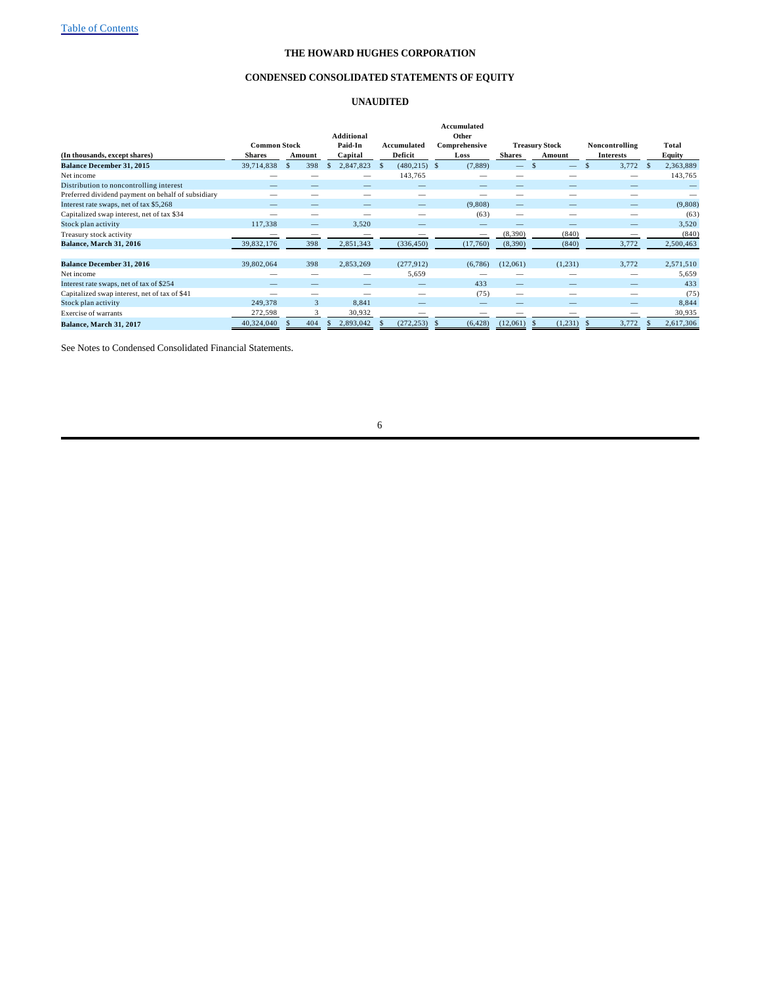#### **CONDENSED CONSOLIDATED STATEMENTS OF EQUITY**

#### **UNAUDITED**

|                                                    | <b>Common Stock</b> |        | <b>Additional</b><br>Paid-In | Accumulated              | Accumulated<br>Other<br>Comprehensive |               | <b>Treasury Stock</b> | Noncontrolling   | Total           |         |
|----------------------------------------------------|---------------------|--------|------------------------------|--------------------------|---------------------------------------|---------------|-----------------------|------------------|-----------------|---------|
| (In thousands, except shares)                      | <b>Shares</b>       | Amount | Capital                      | Deficit                  | Loss                                  | <b>Shares</b> | Amount                | <b>Interests</b> | Equity          |         |
| <b>Balance December 31, 2015</b>                   | 39,714,838          | 398    | 2,847,823<br>S.              | $(480, 215)$ \$<br>-S    | (7,889)                               |               |                       | 3,772            | 2,363,889<br>-8 |         |
| Net income                                         |                     |        |                              | 143,765                  | _                                     |               |                       |                  |                 | 143,765 |
| Distribution to noncontrolling interest            |                     |        |                              |                          | –                                     |               |                       |                  |                 |         |
| Preferred dividend payment on behalf of subsidiary |                     |        |                              |                          |                                       |               |                       |                  |                 |         |
| Interest rate swaps, net of tax \$5,268            |                     |        |                              |                          | (9,808)                               | —             |                       |                  |                 | (9,808) |
| Capitalized swap interest, net of tax \$34         |                     |        |                              |                          | (63)                                  | –             |                       | –                |                 | (63)    |
| Stock plan activity                                | 117,338             |        | 3,520                        |                          |                                       |               |                       |                  |                 | 3,520   |
| Treasury stock activity                            | _                   |        |                              |                          |                                       | (8,390)       | (840)                 |                  |                 | (840)   |
| Balance, March 31, 2016                            | 39,832,176          | 398    | 2,851,343                    | (336, 450)               | (17,760)                              | (8,390)       | (840)                 | 3,772            | 2,500,463       |         |
|                                                    |                     |        |                              |                          |                                       |               |                       |                  |                 |         |
| <b>Balance December 31, 2016</b>                   | 39,802,064          | 398    | 2,853,269                    | (277.912)                | (6,786)                               | (12,061)      | (1,231)               | 3,772            | 2,571,510       |         |
| Net income                                         |                     |        |                              | 5,659                    |                                       |               |                       |                  |                 | 5,659   |
| Interest rate swaps, net of tax of \$254           |                     |        |                              |                          | 433                                   | —             |                       |                  |                 | 433     |
| Capitalized swap interest, net of tax of \$41      |                     |        |                              |                          | (75)                                  | -             |                       |                  |                 | (75)    |
| Stock plan activity                                | 249,378             | 3      | 8,841                        | $\overline{\phantom{a}}$ | –                                     |               |                       |                  |                 | 8,844   |
| Exercise of warrants                               | 272,598             |        | 30,932                       |                          |                                       |               |                       |                  |                 | 30,935  |
| Balance, March 31, 2017                            | 40,324,040          | 404    | 2,893,042                    | (272, 253)               | (6, 428)                              | (12,061)      | (1, 231)              | 3,772            | 2,617,306       |         |

See Notes to Condensed Consolidated Financial Statements.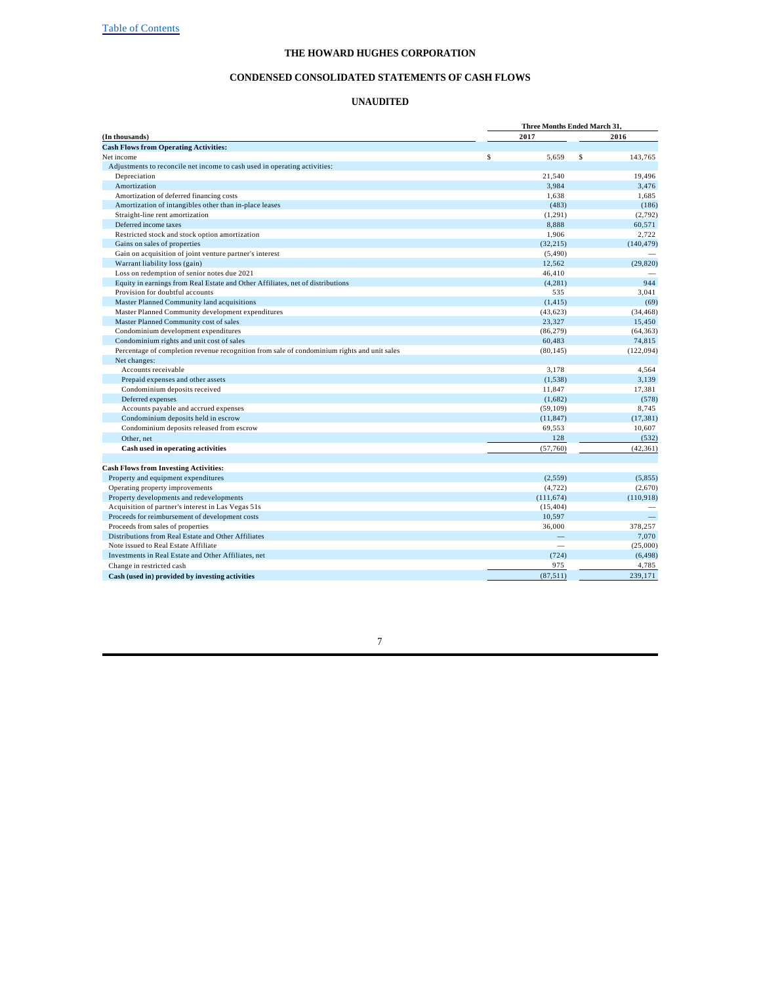#### **CONDENSED CONSOLIDATED STATEMENTS OF CASH FLOWS**

#### **UNAUDITED**

| 2017<br>2016<br>\$<br>5.659<br>\$<br>143.765<br>Adjustments to reconcile net income to cash used in operating activities:<br>19,496<br>Depreciation<br>21,540<br>Amortization<br>3,984<br>3,476<br>Amortization of deferred financing costs<br>1.638<br>1.685<br>Amortization of intangibles other than in-place leases<br>(483)<br>(186)<br>Straight-line rent amortization<br>(1, 291)<br>(2,792)<br>Deferred income taxes<br>8,888<br>60,571<br>Restricted stock and stock option amortization<br>1.906<br>2.722<br>Gains on sales of properties<br>(32, 215)<br>Gain on acquisition of joint venture partner's interest<br>(5, 490)<br>Warrant liability loss (gain)<br>12,562<br>(29, 820)<br>Loss on redemption of senior notes due 2021<br>46,410<br>Equity in earnings from Real Estate and Other Affiliates, net of distributions<br>944<br>(4, 281)<br>Provision for doubtful accounts<br>535<br>3,041<br>(69)<br>Master Planned Community land acquisitions<br>(1, 415)<br>Master Planned Community development expenditures<br>(43, 623)<br>(34, 468)<br>Master Planned Community cost of sales<br>23,327<br>15,450<br>Condominium development expenditures<br>(86, 279)<br>(64, 363)<br>Condominium rights and unit cost of sales<br>60,483<br>74,815<br>Percentage of completion revenue recognition from sale of condominium rights and unit sales<br>(122,094)<br>(80, 145)<br>Net changes:<br>Accounts receivable<br>3,178<br>4,564<br>Prepaid expenses and other assets<br>(1, 538)<br>3,139<br>Condominium deposits received<br>17.381<br>11,847<br>Deferred expenses<br>(1,682)<br>Accounts payable and accrued expenses<br>(59, 109)<br>8,745<br>Condominium deposits held in escrow<br>(17, 381)<br>(11, 847)<br>Condominium deposits released from escrow<br>10.607<br>69,553<br>128<br>(532)<br>Other, net<br>Cash used in operating activities<br>(57,760)<br>(42, 361)<br>Property and equipment expenditures<br>(2, 559)<br>Operating property improvements<br>(4, 722)<br>(2,670)<br>Property developments and redevelopments<br>(111, 674)<br>(110.918)<br>Acquisition of partner's interest in Las Vegas 51s<br>(15, 404)<br>Proceeds for reimbursement of development costs<br>10,597<br>36,000<br>378,257<br>Proceeds from sales of properties<br>Distributions from Real Estate and Other Affiliates<br>7.070<br>Note issued to Real Estate Affiliate<br>(25,000)<br>Investments in Real Estate and Other Affiliates, net<br>(724)<br>(6, 498)<br>975<br>4,785<br>Change in restricted cash<br>(87, 511) |                                                 | <b>Three Months Ended March 31,</b> |         |  |  |  |  |  |  |
|-------------------------------------------------------------------------------------------------------------------------------------------------------------------------------------------------------------------------------------------------------------------------------------------------------------------------------------------------------------------------------------------------------------------------------------------------------------------------------------------------------------------------------------------------------------------------------------------------------------------------------------------------------------------------------------------------------------------------------------------------------------------------------------------------------------------------------------------------------------------------------------------------------------------------------------------------------------------------------------------------------------------------------------------------------------------------------------------------------------------------------------------------------------------------------------------------------------------------------------------------------------------------------------------------------------------------------------------------------------------------------------------------------------------------------------------------------------------------------------------------------------------------------------------------------------------------------------------------------------------------------------------------------------------------------------------------------------------------------------------------------------------------------------------------------------------------------------------------------------------------------------------------------------------------------------------------------------------------------------------------------------------------------------------------------------------------------------------------------------------------------------------------------------------------------------------------------------------------------------------------------------------------------------------------------------------------------------------------------------------------------------------------------------------------------------------------------------------------------------------------------------------------------------------|-------------------------------------------------|-------------------------------------|---------|--|--|--|--|--|--|
| (140, 479)<br>(578)<br>(5,855)                                                                                                                                                                                                                                                                                                                                                                                                                                                                                                                                                                                                                                                                                                                                                                                                                                                                                                                                                                                                                                                                                                                                                                                                                                                                                                                                                                                                                                                                                                                                                                                                                                                                                                                                                                                                                                                                                                                                                                                                                                                                                                                                                                                                                                                                                                                                                                                                                                                                                                            | (In thousands)                                  |                                     |         |  |  |  |  |  |  |
|                                                                                                                                                                                                                                                                                                                                                                                                                                                                                                                                                                                                                                                                                                                                                                                                                                                                                                                                                                                                                                                                                                                                                                                                                                                                                                                                                                                                                                                                                                                                                                                                                                                                                                                                                                                                                                                                                                                                                                                                                                                                                                                                                                                                                                                                                                                                                                                                                                                                                                                                           | <b>Cash Flows from Operating Activities:</b>    |                                     |         |  |  |  |  |  |  |
|                                                                                                                                                                                                                                                                                                                                                                                                                                                                                                                                                                                                                                                                                                                                                                                                                                                                                                                                                                                                                                                                                                                                                                                                                                                                                                                                                                                                                                                                                                                                                                                                                                                                                                                                                                                                                                                                                                                                                                                                                                                                                                                                                                                                                                                                                                                                                                                                                                                                                                                                           | Net income                                      |                                     |         |  |  |  |  |  |  |
|                                                                                                                                                                                                                                                                                                                                                                                                                                                                                                                                                                                                                                                                                                                                                                                                                                                                                                                                                                                                                                                                                                                                                                                                                                                                                                                                                                                                                                                                                                                                                                                                                                                                                                                                                                                                                                                                                                                                                                                                                                                                                                                                                                                                                                                                                                                                                                                                                                                                                                                                           |                                                 |                                     |         |  |  |  |  |  |  |
|                                                                                                                                                                                                                                                                                                                                                                                                                                                                                                                                                                                                                                                                                                                                                                                                                                                                                                                                                                                                                                                                                                                                                                                                                                                                                                                                                                                                                                                                                                                                                                                                                                                                                                                                                                                                                                                                                                                                                                                                                                                                                                                                                                                                                                                                                                                                                                                                                                                                                                                                           |                                                 |                                     |         |  |  |  |  |  |  |
|                                                                                                                                                                                                                                                                                                                                                                                                                                                                                                                                                                                                                                                                                                                                                                                                                                                                                                                                                                                                                                                                                                                                                                                                                                                                                                                                                                                                                                                                                                                                                                                                                                                                                                                                                                                                                                                                                                                                                                                                                                                                                                                                                                                                                                                                                                                                                                                                                                                                                                                                           |                                                 |                                     |         |  |  |  |  |  |  |
|                                                                                                                                                                                                                                                                                                                                                                                                                                                                                                                                                                                                                                                                                                                                                                                                                                                                                                                                                                                                                                                                                                                                                                                                                                                                                                                                                                                                                                                                                                                                                                                                                                                                                                                                                                                                                                                                                                                                                                                                                                                                                                                                                                                                                                                                                                                                                                                                                                                                                                                                           |                                                 |                                     |         |  |  |  |  |  |  |
|                                                                                                                                                                                                                                                                                                                                                                                                                                                                                                                                                                                                                                                                                                                                                                                                                                                                                                                                                                                                                                                                                                                                                                                                                                                                                                                                                                                                                                                                                                                                                                                                                                                                                                                                                                                                                                                                                                                                                                                                                                                                                                                                                                                                                                                                                                                                                                                                                                                                                                                                           |                                                 |                                     |         |  |  |  |  |  |  |
|                                                                                                                                                                                                                                                                                                                                                                                                                                                                                                                                                                                                                                                                                                                                                                                                                                                                                                                                                                                                                                                                                                                                                                                                                                                                                                                                                                                                                                                                                                                                                                                                                                                                                                                                                                                                                                                                                                                                                                                                                                                                                                                                                                                                                                                                                                                                                                                                                                                                                                                                           |                                                 |                                     |         |  |  |  |  |  |  |
|                                                                                                                                                                                                                                                                                                                                                                                                                                                                                                                                                                                                                                                                                                                                                                                                                                                                                                                                                                                                                                                                                                                                                                                                                                                                                                                                                                                                                                                                                                                                                                                                                                                                                                                                                                                                                                                                                                                                                                                                                                                                                                                                                                                                                                                                                                                                                                                                                                                                                                                                           |                                                 |                                     |         |  |  |  |  |  |  |
|                                                                                                                                                                                                                                                                                                                                                                                                                                                                                                                                                                                                                                                                                                                                                                                                                                                                                                                                                                                                                                                                                                                                                                                                                                                                                                                                                                                                                                                                                                                                                                                                                                                                                                                                                                                                                                                                                                                                                                                                                                                                                                                                                                                                                                                                                                                                                                                                                                                                                                                                           |                                                 |                                     |         |  |  |  |  |  |  |
|                                                                                                                                                                                                                                                                                                                                                                                                                                                                                                                                                                                                                                                                                                                                                                                                                                                                                                                                                                                                                                                                                                                                                                                                                                                                                                                                                                                                                                                                                                                                                                                                                                                                                                                                                                                                                                                                                                                                                                                                                                                                                                                                                                                                                                                                                                                                                                                                                                                                                                                                           |                                                 |                                     |         |  |  |  |  |  |  |
|                                                                                                                                                                                                                                                                                                                                                                                                                                                                                                                                                                                                                                                                                                                                                                                                                                                                                                                                                                                                                                                                                                                                                                                                                                                                                                                                                                                                                                                                                                                                                                                                                                                                                                                                                                                                                                                                                                                                                                                                                                                                                                                                                                                                                                                                                                                                                                                                                                                                                                                                           |                                                 |                                     |         |  |  |  |  |  |  |
|                                                                                                                                                                                                                                                                                                                                                                                                                                                                                                                                                                                                                                                                                                                                                                                                                                                                                                                                                                                                                                                                                                                                                                                                                                                                                                                                                                                                                                                                                                                                                                                                                                                                                                                                                                                                                                                                                                                                                                                                                                                                                                                                                                                                                                                                                                                                                                                                                                                                                                                                           |                                                 |                                     |         |  |  |  |  |  |  |
|                                                                                                                                                                                                                                                                                                                                                                                                                                                                                                                                                                                                                                                                                                                                                                                                                                                                                                                                                                                                                                                                                                                                                                                                                                                                                                                                                                                                                                                                                                                                                                                                                                                                                                                                                                                                                                                                                                                                                                                                                                                                                                                                                                                                                                                                                                                                                                                                                                                                                                                                           |                                                 |                                     |         |  |  |  |  |  |  |
|                                                                                                                                                                                                                                                                                                                                                                                                                                                                                                                                                                                                                                                                                                                                                                                                                                                                                                                                                                                                                                                                                                                                                                                                                                                                                                                                                                                                                                                                                                                                                                                                                                                                                                                                                                                                                                                                                                                                                                                                                                                                                                                                                                                                                                                                                                                                                                                                                                                                                                                                           |                                                 |                                     |         |  |  |  |  |  |  |
|                                                                                                                                                                                                                                                                                                                                                                                                                                                                                                                                                                                                                                                                                                                                                                                                                                                                                                                                                                                                                                                                                                                                                                                                                                                                                                                                                                                                                                                                                                                                                                                                                                                                                                                                                                                                                                                                                                                                                                                                                                                                                                                                                                                                                                                                                                                                                                                                                                                                                                                                           |                                                 |                                     |         |  |  |  |  |  |  |
|                                                                                                                                                                                                                                                                                                                                                                                                                                                                                                                                                                                                                                                                                                                                                                                                                                                                                                                                                                                                                                                                                                                                                                                                                                                                                                                                                                                                                                                                                                                                                                                                                                                                                                                                                                                                                                                                                                                                                                                                                                                                                                                                                                                                                                                                                                                                                                                                                                                                                                                                           |                                                 |                                     |         |  |  |  |  |  |  |
|                                                                                                                                                                                                                                                                                                                                                                                                                                                                                                                                                                                                                                                                                                                                                                                                                                                                                                                                                                                                                                                                                                                                                                                                                                                                                                                                                                                                                                                                                                                                                                                                                                                                                                                                                                                                                                                                                                                                                                                                                                                                                                                                                                                                                                                                                                                                                                                                                                                                                                                                           |                                                 |                                     |         |  |  |  |  |  |  |
|                                                                                                                                                                                                                                                                                                                                                                                                                                                                                                                                                                                                                                                                                                                                                                                                                                                                                                                                                                                                                                                                                                                                                                                                                                                                                                                                                                                                                                                                                                                                                                                                                                                                                                                                                                                                                                                                                                                                                                                                                                                                                                                                                                                                                                                                                                                                                                                                                                                                                                                                           |                                                 |                                     |         |  |  |  |  |  |  |
|                                                                                                                                                                                                                                                                                                                                                                                                                                                                                                                                                                                                                                                                                                                                                                                                                                                                                                                                                                                                                                                                                                                                                                                                                                                                                                                                                                                                                                                                                                                                                                                                                                                                                                                                                                                                                                                                                                                                                                                                                                                                                                                                                                                                                                                                                                                                                                                                                                                                                                                                           |                                                 |                                     |         |  |  |  |  |  |  |
|                                                                                                                                                                                                                                                                                                                                                                                                                                                                                                                                                                                                                                                                                                                                                                                                                                                                                                                                                                                                                                                                                                                                                                                                                                                                                                                                                                                                                                                                                                                                                                                                                                                                                                                                                                                                                                                                                                                                                                                                                                                                                                                                                                                                                                                                                                                                                                                                                                                                                                                                           |                                                 |                                     |         |  |  |  |  |  |  |
|                                                                                                                                                                                                                                                                                                                                                                                                                                                                                                                                                                                                                                                                                                                                                                                                                                                                                                                                                                                                                                                                                                                                                                                                                                                                                                                                                                                                                                                                                                                                                                                                                                                                                                                                                                                                                                                                                                                                                                                                                                                                                                                                                                                                                                                                                                                                                                                                                                                                                                                                           |                                                 |                                     |         |  |  |  |  |  |  |
|                                                                                                                                                                                                                                                                                                                                                                                                                                                                                                                                                                                                                                                                                                                                                                                                                                                                                                                                                                                                                                                                                                                                                                                                                                                                                                                                                                                                                                                                                                                                                                                                                                                                                                                                                                                                                                                                                                                                                                                                                                                                                                                                                                                                                                                                                                                                                                                                                                                                                                                                           |                                                 |                                     |         |  |  |  |  |  |  |
|                                                                                                                                                                                                                                                                                                                                                                                                                                                                                                                                                                                                                                                                                                                                                                                                                                                                                                                                                                                                                                                                                                                                                                                                                                                                                                                                                                                                                                                                                                                                                                                                                                                                                                                                                                                                                                                                                                                                                                                                                                                                                                                                                                                                                                                                                                                                                                                                                                                                                                                                           |                                                 |                                     |         |  |  |  |  |  |  |
|                                                                                                                                                                                                                                                                                                                                                                                                                                                                                                                                                                                                                                                                                                                                                                                                                                                                                                                                                                                                                                                                                                                                                                                                                                                                                                                                                                                                                                                                                                                                                                                                                                                                                                                                                                                                                                                                                                                                                                                                                                                                                                                                                                                                                                                                                                                                                                                                                                                                                                                                           |                                                 |                                     |         |  |  |  |  |  |  |
|                                                                                                                                                                                                                                                                                                                                                                                                                                                                                                                                                                                                                                                                                                                                                                                                                                                                                                                                                                                                                                                                                                                                                                                                                                                                                                                                                                                                                                                                                                                                                                                                                                                                                                                                                                                                                                                                                                                                                                                                                                                                                                                                                                                                                                                                                                                                                                                                                                                                                                                                           |                                                 |                                     |         |  |  |  |  |  |  |
|                                                                                                                                                                                                                                                                                                                                                                                                                                                                                                                                                                                                                                                                                                                                                                                                                                                                                                                                                                                                                                                                                                                                                                                                                                                                                                                                                                                                                                                                                                                                                                                                                                                                                                                                                                                                                                                                                                                                                                                                                                                                                                                                                                                                                                                                                                                                                                                                                                                                                                                                           |                                                 |                                     |         |  |  |  |  |  |  |
|                                                                                                                                                                                                                                                                                                                                                                                                                                                                                                                                                                                                                                                                                                                                                                                                                                                                                                                                                                                                                                                                                                                                                                                                                                                                                                                                                                                                                                                                                                                                                                                                                                                                                                                                                                                                                                                                                                                                                                                                                                                                                                                                                                                                                                                                                                                                                                                                                                                                                                                                           |                                                 |                                     |         |  |  |  |  |  |  |
|                                                                                                                                                                                                                                                                                                                                                                                                                                                                                                                                                                                                                                                                                                                                                                                                                                                                                                                                                                                                                                                                                                                                                                                                                                                                                                                                                                                                                                                                                                                                                                                                                                                                                                                                                                                                                                                                                                                                                                                                                                                                                                                                                                                                                                                                                                                                                                                                                                                                                                                                           |                                                 |                                     |         |  |  |  |  |  |  |
|                                                                                                                                                                                                                                                                                                                                                                                                                                                                                                                                                                                                                                                                                                                                                                                                                                                                                                                                                                                                                                                                                                                                                                                                                                                                                                                                                                                                                                                                                                                                                                                                                                                                                                                                                                                                                                                                                                                                                                                                                                                                                                                                                                                                                                                                                                                                                                                                                                                                                                                                           |                                                 |                                     |         |  |  |  |  |  |  |
|                                                                                                                                                                                                                                                                                                                                                                                                                                                                                                                                                                                                                                                                                                                                                                                                                                                                                                                                                                                                                                                                                                                                                                                                                                                                                                                                                                                                                                                                                                                                                                                                                                                                                                                                                                                                                                                                                                                                                                                                                                                                                                                                                                                                                                                                                                                                                                                                                                                                                                                                           |                                                 |                                     |         |  |  |  |  |  |  |
|                                                                                                                                                                                                                                                                                                                                                                                                                                                                                                                                                                                                                                                                                                                                                                                                                                                                                                                                                                                                                                                                                                                                                                                                                                                                                                                                                                                                                                                                                                                                                                                                                                                                                                                                                                                                                                                                                                                                                                                                                                                                                                                                                                                                                                                                                                                                                                                                                                                                                                                                           |                                                 |                                     |         |  |  |  |  |  |  |
|                                                                                                                                                                                                                                                                                                                                                                                                                                                                                                                                                                                                                                                                                                                                                                                                                                                                                                                                                                                                                                                                                                                                                                                                                                                                                                                                                                                                                                                                                                                                                                                                                                                                                                                                                                                                                                                                                                                                                                                                                                                                                                                                                                                                                                                                                                                                                                                                                                                                                                                                           |                                                 |                                     |         |  |  |  |  |  |  |
|                                                                                                                                                                                                                                                                                                                                                                                                                                                                                                                                                                                                                                                                                                                                                                                                                                                                                                                                                                                                                                                                                                                                                                                                                                                                                                                                                                                                                                                                                                                                                                                                                                                                                                                                                                                                                                                                                                                                                                                                                                                                                                                                                                                                                                                                                                                                                                                                                                                                                                                                           | <b>Cash Flows from Investing Activities:</b>    |                                     |         |  |  |  |  |  |  |
|                                                                                                                                                                                                                                                                                                                                                                                                                                                                                                                                                                                                                                                                                                                                                                                                                                                                                                                                                                                                                                                                                                                                                                                                                                                                                                                                                                                                                                                                                                                                                                                                                                                                                                                                                                                                                                                                                                                                                                                                                                                                                                                                                                                                                                                                                                                                                                                                                                                                                                                                           |                                                 |                                     |         |  |  |  |  |  |  |
|                                                                                                                                                                                                                                                                                                                                                                                                                                                                                                                                                                                                                                                                                                                                                                                                                                                                                                                                                                                                                                                                                                                                                                                                                                                                                                                                                                                                                                                                                                                                                                                                                                                                                                                                                                                                                                                                                                                                                                                                                                                                                                                                                                                                                                                                                                                                                                                                                                                                                                                                           |                                                 |                                     |         |  |  |  |  |  |  |
|                                                                                                                                                                                                                                                                                                                                                                                                                                                                                                                                                                                                                                                                                                                                                                                                                                                                                                                                                                                                                                                                                                                                                                                                                                                                                                                                                                                                                                                                                                                                                                                                                                                                                                                                                                                                                                                                                                                                                                                                                                                                                                                                                                                                                                                                                                                                                                                                                                                                                                                                           |                                                 |                                     |         |  |  |  |  |  |  |
|                                                                                                                                                                                                                                                                                                                                                                                                                                                                                                                                                                                                                                                                                                                                                                                                                                                                                                                                                                                                                                                                                                                                                                                                                                                                                                                                                                                                                                                                                                                                                                                                                                                                                                                                                                                                                                                                                                                                                                                                                                                                                                                                                                                                                                                                                                                                                                                                                                                                                                                                           |                                                 |                                     |         |  |  |  |  |  |  |
|                                                                                                                                                                                                                                                                                                                                                                                                                                                                                                                                                                                                                                                                                                                                                                                                                                                                                                                                                                                                                                                                                                                                                                                                                                                                                                                                                                                                                                                                                                                                                                                                                                                                                                                                                                                                                                                                                                                                                                                                                                                                                                                                                                                                                                                                                                                                                                                                                                                                                                                                           |                                                 |                                     |         |  |  |  |  |  |  |
|                                                                                                                                                                                                                                                                                                                                                                                                                                                                                                                                                                                                                                                                                                                                                                                                                                                                                                                                                                                                                                                                                                                                                                                                                                                                                                                                                                                                                                                                                                                                                                                                                                                                                                                                                                                                                                                                                                                                                                                                                                                                                                                                                                                                                                                                                                                                                                                                                                                                                                                                           |                                                 |                                     |         |  |  |  |  |  |  |
|                                                                                                                                                                                                                                                                                                                                                                                                                                                                                                                                                                                                                                                                                                                                                                                                                                                                                                                                                                                                                                                                                                                                                                                                                                                                                                                                                                                                                                                                                                                                                                                                                                                                                                                                                                                                                                                                                                                                                                                                                                                                                                                                                                                                                                                                                                                                                                                                                                                                                                                                           |                                                 |                                     |         |  |  |  |  |  |  |
|                                                                                                                                                                                                                                                                                                                                                                                                                                                                                                                                                                                                                                                                                                                                                                                                                                                                                                                                                                                                                                                                                                                                                                                                                                                                                                                                                                                                                                                                                                                                                                                                                                                                                                                                                                                                                                                                                                                                                                                                                                                                                                                                                                                                                                                                                                                                                                                                                                                                                                                                           |                                                 |                                     |         |  |  |  |  |  |  |
|                                                                                                                                                                                                                                                                                                                                                                                                                                                                                                                                                                                                                                                                                                                                                                                                                                                                                                                                                                                                                                                                                                                                                                                                                                                                                                                                                                                                                                                                                                                                                                                                                                                                                                                                                                                                                                                                                                                                                                                                                                                                                                                                                                                                                                                                                                                                                                                                                                                                                                                                           |                                                 |                                     |         |  |  |  |  |  |  |
|                                                                                                                                                                                                                                                                                                                                                                                                                                                                                                                                                                                                                                                                                                                                                                                                                                                                                                                                                                                                                                                                                                                                                                                                                                                                                                                                                                                                                                                                                                                                                                                                                                                                                                                                                                                                                                                                                                                                                                                                                                                                                                                                                                                                                                                                                                                                                                                                                                                                                                                                           |                                                 |                                     |         |  |  |  |  |  |  |
|                                                                                                                                                                                                                                                                                                                                                                                                                                                                                                                                                                                                                                                                                                                                                                                                                                                                                                                                                                                                                                                                                                                                                                                                                                                                                                                                                                                                                                                                                                                                                                                                                                                                                                                                                                                                                                                                                                                                                                                                                                                                                                                                                                                                                                                                                                                                                                                                                                                                                                                                           | Cash (used in) provided by investing activities |                                     | 239.171 |  |  |  |  |  |  |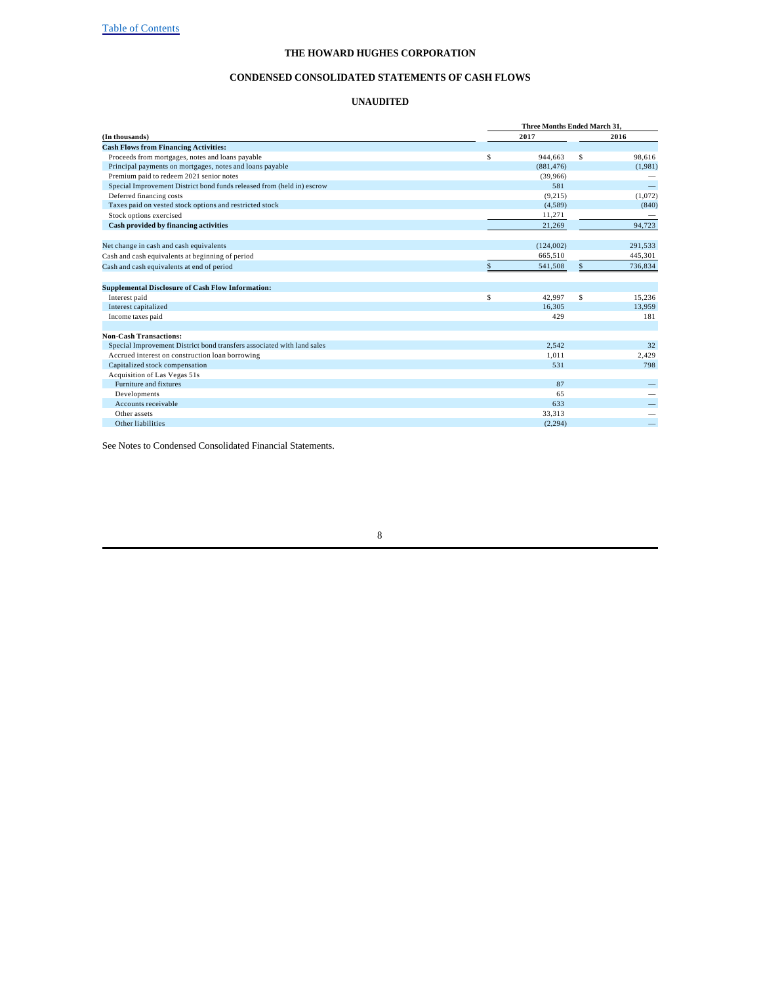#### **CONDENSED CONSOLIDATED STATEMENTS OF CASH FLOWS**

#### **UNAUDITED**

|                                                                        |             | Three Months Ended March 31. |    |         |  |  |  |  |  |
|------------------------------------------------------------------------|-------------|------------------------------|----|---------|--|--|--|--|--|
| (In thousands)                                                         |             | 2017                         |    |         |  |  |  |  |  |
| <b>Cash Flows from Financing Activities:</b>                           |             |                              |    |         |  |  |  |  |  |
| Proceeds from mortgages, notes and loans payable                       | \$          | 944,663                      | \$ | 98.616  |  |  |  |  |  |
| Principal payments on mortgages, notes and loans payable               |             | (881.476)                    |    | (1,981) |  |  |  |  |  |
| Premium paid to redeem 2021 senior notes                               |             | (39,966)                     |    |         |  |  |  |  |  |
| Special Improvement District bond funds released from (held in) escrow |             | 581                          |    |         |  |  |  |  |  |
| Deferred financing costs                                               |             | (9,215)                      |    | (1,072) |  |  |  |  |  |
| Taxes paid on vested stock options and restricted stock                |             | (4,589)                      |    | (840)   |  |  |  |  |  |
| Stock options exercised                                                |             | 11,271                       |    |         |  |  |  |  |  |
| Cash provided by financing activities                                  |             | 21.269                       |    | 94,723  |  |  |  |  |  |
| Net change in cash and cash equivalents                                |             | (124,002)                    |    | 291,533 |  |  |  |  |  |
| Cash and cash equivalents at beginning of period                       |             | 665,510                      |    | 445,301 |  |  |  |  |  |
| Cash and cash equivalents at end of period                             |             | 541,508                      |    | 736,834 |  |  |  |  |  |
| <b>Supplemental Disclosure of Cash Flow Information:</b>               |             |                              |    |         |  |  |  |  |  |
| Interest paid                                                          | $\mathbb S$ | 42.997                       | \$ | 15,236  |  |  |  |  |  |
| Interest capitalized                                                   |             | 16.305                       |    | 13.959  |  |  |  |  |  |
| Income taxes paid                                                      |             | 429                          |    | 181     |  |  |  |  |  |
| <b>Non-Cash Transactions:</b>                                          |             |                              |    |         |  |  |  |  |  |
| Special Improvement District bond transfers associated with land sales |             | 2.542                        |    | 32      |  |  |  |  |  |
| Accrued interest on construction loan borrowing                        |             | 1.011                        |    | 2,429   |  |  |  |  |  |
| Capitalized stock compensation                                         |             | 531                          |    | 798     |  |  |  |  |  |
| Acquisition of Las Vegas 51s                                           |             |                              |    |         |  |  |  |  |  |
| Furniture and fixtures                                                 |             | 87                           |    |         |  |  |  |  |  |
| Developments                                                           |             | 65                           |    |         |  |  |  |  |  |
| Accounts receivable                                                    |             | 633                          |    |         |  |  |  |  |  |
| Other assets                                                           |             | 33.313                       |    |         |  |  |  |  |  |
| Other liabilities                                                      |             | (2.294)                      |    |         |  |  |  |  |  |

See Notes to Condensed Consolidated Financial Statements.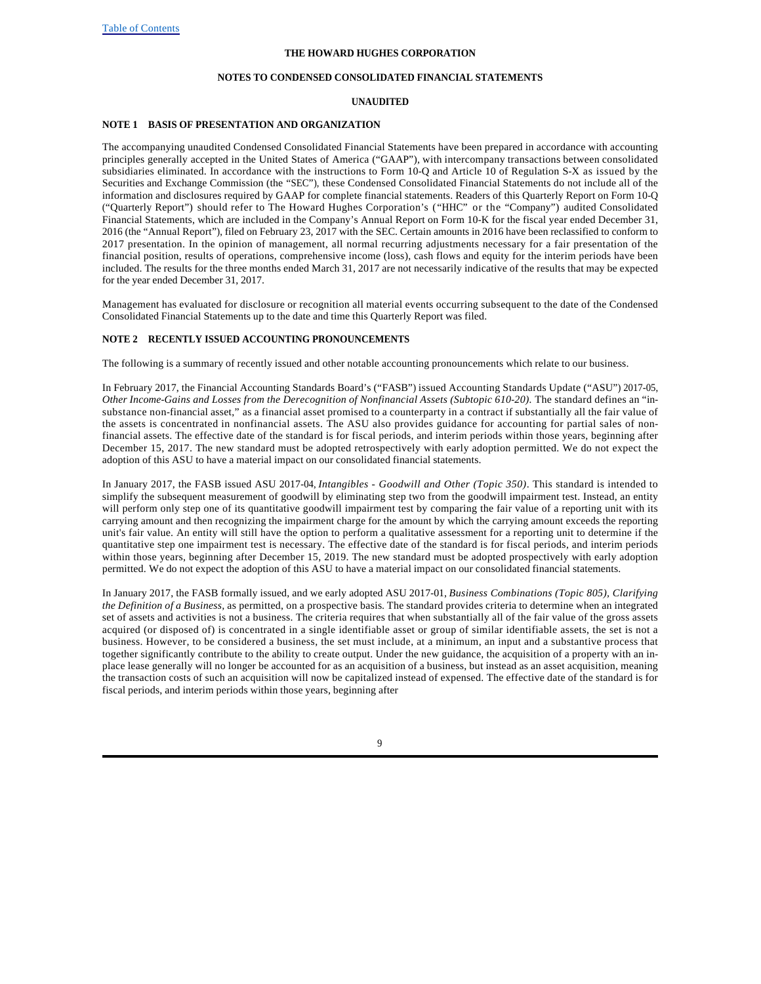### **NOTES TO CONDENSED CONSOLIDATED FINANCIAL STATEMENTS**

### **UNAUDITED**

### **NOTE 1 BASIS OF PRESENTATION AND ORGANIZATION**

The accompanying unaudited Condensed Consolidated Financial Statements have been prepared in accordance with accounting principles generally accepted in the United States of America ("GAAP"), with intercompany transactions between consolidated subsidiaries eliminated. In accordance with the instructions to Form 10-Q and Article 10 of Regulation S-X as issued by the Securities and Exchange Commission (the "SEC"), these Condensed Consolidated Financial Statements do not include all of the information and disclosures required by GAAP for complete financial statements. Readers of this Quarterly Report on Form 10-Q ("Quarterly Report") should refer to The Howard Hughes Corporation's ("HHC" or the "Company") audited Consolidated Financial Statements, which are included in the Company's Annual Report on Form 10-K for the fiscal year ended December 31, 2016 (the "Annual Report"), filed on February 23, 2017 with the SEC. Certain amounts in 2016 have been reclassified to conform to 2017 presentation. In the opinion of management, all normal recurring adjustments necessary for a fair presentation of the financial position, results of operations, comprehensive income (loss), cash flows and equity for the interim periods have been included. The results for the three months ended March 31, 2017 are not necessarily indicative of the results that may be expected for the year ended December 31, 2017.

Management has evaluated for disclosure or recognition all material events occurring subsequent to the date of the Condensed Consolidated Financial Statements up to the date and time this Quarterly Report was filed.

### **NOTE 2 RECENTLY ISSUED ACCOUNTING PRONOUNCEMENTS**

The following is a summary of recently issued and other notable accounting pronouncements which relate to our business.

In February 2017, the Financial Accounting Standards Board's ("FASB") issued Accounting Standards Update ("ASU") 2017-05, *Other Income-Gains and Losses from the Derecognition of Nonfinancial Assets (Subtopic 610-20).* The standard defines an "insubstance non-financial asset," as a financial asset promised to a counterparty in a contract if substantially all the fair value of the assets is concentrated in nonfinancial assets. The ASU also provides guidance for accounting for partial sales of nonfinancial assets. The effective date of the standard is for fiscal periods, and interim periods within those years, beginning after December 15, 2017. The new standard must be adopted retrospectively with early adoption permitted. We do not expect the adoption of this ASU to have a material impact on our consolidated financial statements.

In January 2017, the FASB issued ASU 2017-04, *Intangibles - Goodwill and Other (Topic 350)*. This standard is intended to simplify the subsequent measurement of goodwill by eliminating step two from the goodwill impairment test. Instead, an entity will perform only step one of its quantitative goodwill impairment test by comparing the fair value of a reporting unit with its carrying amount and then recognizing the impairment charge for the amount by which the carrying amount exceeds the reporting unit's fair value. An entity will still have the option to perform a qualitative assessment for a reporting unit to determine if the quantitative step one impairment test is necessary. The effective date of the standard is for fiscal periods, and interim periods within those years, beginning after December 15, 2019. The new standard must be adopted prospectively with early adoption permitted. We do not expect the adoption of this ASU to have a material impact on our consolidated financial statements.

In January 2017, the FASB formally issued, and we early adopted ASU 2017-01, *Business Combinations (Topic 805), Clarifying the Definition of a Business,* as permitted, on a prospective basis*.* The standard provides criteria to determine when an integrated set of assets and activities is not a business. The criteria requires that when substantially all of the fair value of the gross assets acquired (or disposed of) is concentrated in a single identifiable asset or group of similar identifiable assets, the set is not a business. However, to be considered a business, the set must include, at a minimum, an input and a substantive process that together significantly contribute to the ability to create output. Under the new guidance, the acquisition of a property with an inplace lease generally will no longer be accounted for as an acquisition of a business, but instead as an asset acquisition, meaning the transaction costs of such an acquisition will now be capitalized instead of expensed. The effective date of the standard is for fiscal periods, and interim periods within those years, beginning after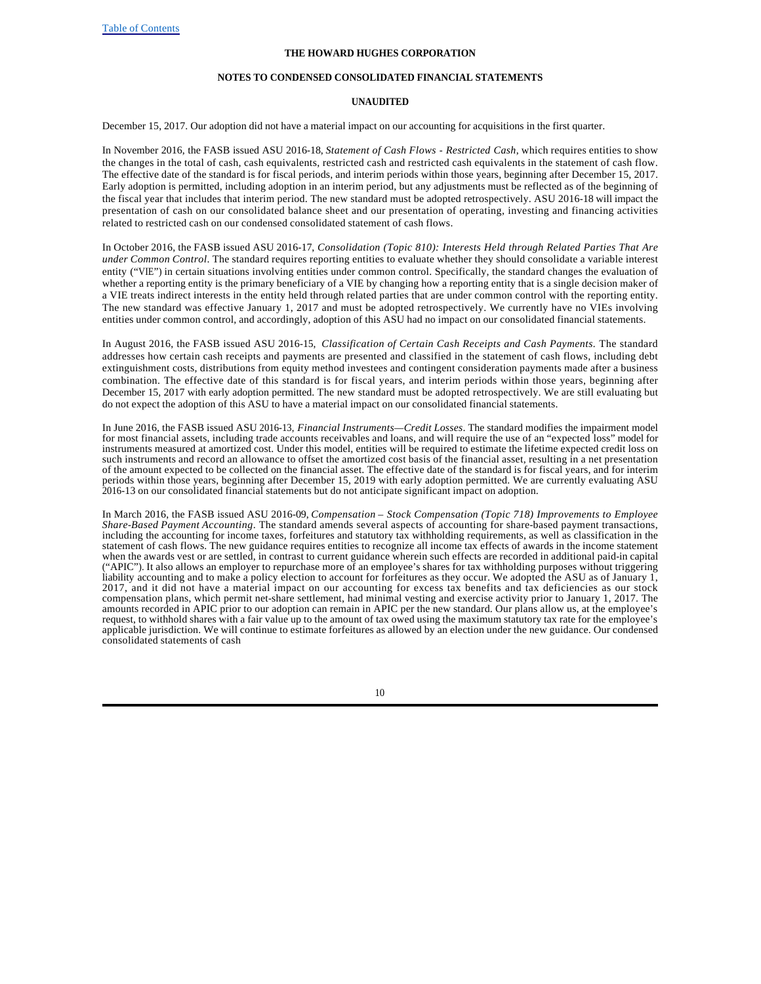#### **NOTES TO CONDENSED CONSOLIDATED FINANCIAL STATEMENTS**

### **UNAUDITED**

December 15, 2017. Our adoption did not have a material impact on our accounting for acquisitions in the first quarter.

In November 2016, the FASB issued ASU 2016-18, *Statement of Cash Flows - Restricted Cash*, which requires entities to show the changes in the total of cash, cash equivalents, restricted cash and restricted cash equivalents in the statement of cash flow. The effective date of the standard is for fiscal periods, and interim periods within those years, beginning after December 15, 2017. Early adoption is permitted, including adoption in an interim period, but any adjustments must be reflected as of the beginning of the fiscal year that includes that interim period. The new standard must be adopted retrospectively. ASU 2016-18 will impact the presentation of cash on our consolidated balance sheet and our presentation of operating, investing and financing activities related to restricted cash on our condensed consolidated statement of cash flows.

In October 2016, the FASB issued ASU 2016-17, *Consolidation (Topic 810): Interests Held through Related Parties That Are under Common Control*. The standard requires reporting entities to evaluate whether they should consolidate a variable interest entity ("VIE") in certain situations involving entities under common control. Specifically, the standard changes the evaluation of whether a reporting entity is the primary beneficiary of a VIE by changing how a reporting entity that is a single decision maker of a VIE treats indirect interests in the entity held through related parties that are under common control with the reporting entity. The new standard was effective January 1, 2017 and must be adopted retrospectively. We currently have no VIEs involving entities under common control, and accordingly, adoption of this ASU had no impact on our consolidated financial statements.

In August 2016, the FASB issued ASU 2016-15, *Classification of Certain Cash Receipts and Cash Payments.* The standard addresses how certain cash receipts and payments are presented and classified in the statement of cash flows, including debt extinguishment costs, distributions from equity method investees and contingent consideration payments made after a business combination. The effective date of this standard is for fiscal years, and interim periods within those years, beginning after December 15, 2017 with early adoption permitted. The new standard must be adopted retrospectively. We are still evaluating but do not expect the adoption of this ASU to have a material impact on our consolidated financial statements.

In June 2016, the FASB issued ASU 2016-13, *Financial Instruments—Credit Losses*. The standard modifies the impairment model for most financial assets, including trade accounts receivables and loans, and will require the use of an "expected loss" model for instruments measured at amortized cost. Under this model, entities will be required to estimate the lifetime expected credit loss on such instruments and record an allowance to offset the amortized cost basis of the financial asset, resulting in a net presentation of the amount expected to be collected on the financial asset. The effective date of the standard is for fiscal years, and for interim periods within those years, beginning after December 15, 2019 with early adoption permitted. We are currently evaluating ASU 2016-13 on our consolidated financial statements but do not anticipate significant impact on adoption.

In March 2016, the FASB issued ASU 2016-09, *Compensation – Stock Compensation (Topic 718) Improvements to Employee Share-Based Payment Accounting*. The standard amends several aspects of accounting for share-based payment transactions, including the accounting for income taxes, forfeitures and statutory tax withholding requirements, as well as classification in the statement of cash flows. The new guidance requires entities to recognize all income tax effects of awards in the income statement when the awards vest or are settled, in contrast to current guidance wherein such effects are recorded in additional paid-in capital ("APIC"). It also allows an employer to repurchase more of an employee's shares for tax withholding purposes without triggering liability accounting and to make a policy election to account for forfeitures as they occur. We adopted the ASU as of January 1, 2017, and it did not have a material impact on our accounting for excess tax benefits and tax deficiencies as our stock compensation plans, which permit net-share settlement, had minimal vesting and exercise activity prior to January 1, 2017. The amounts recorded in APIC prior to our adoption can remain in APIC per the new standard. Our plans allow us, at the employee's request, to withhold shares with a fair value up to the amount of tax owed using the maximum statutory tax rate for the employee's applicable jurisdiction. We will continue to estimate forfeitures as allowed by an election under the new guidance. Our condensed consolidated statements of cash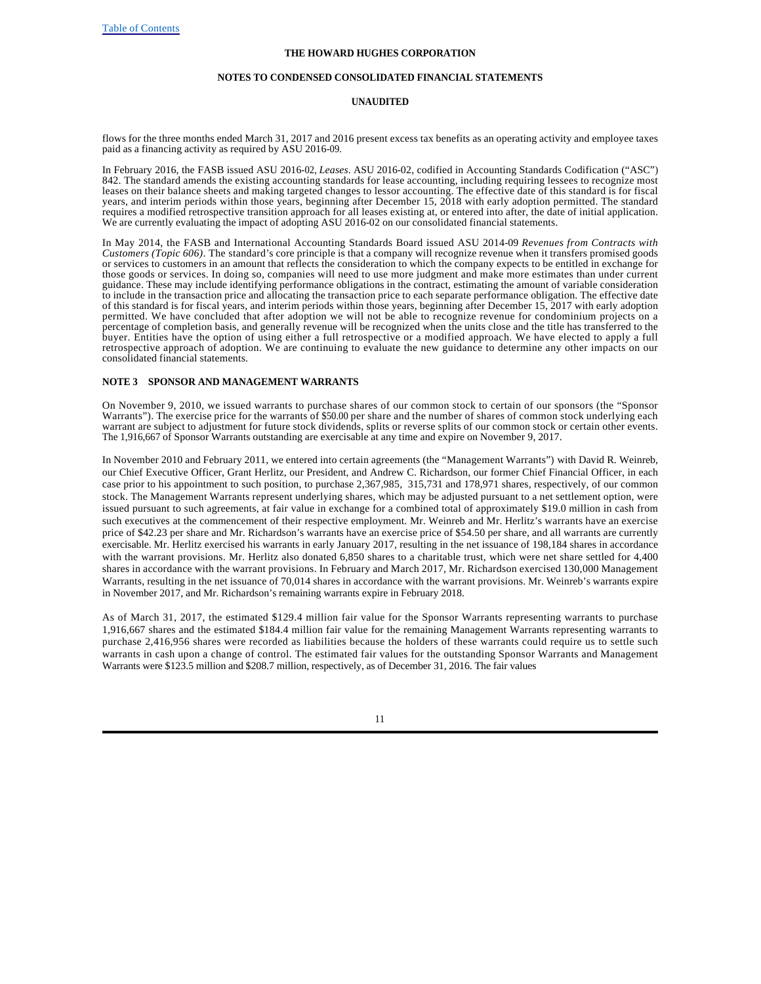#### **NOTES TO CONDENSED CONSOLIDATED FINANCIAL STATEMENTS**

### **UNAUDITED**

flows for the three months ended March 31, 2017 and 2016 present excess tax benefits as an operating activity and employee taxes paid as a financing activity as required by ASU 2016-09.

In February 2016, the FASB issued ASU 2016-02, *Leases*. ASU 2016-02, codified in Accounting Standards Codification ("ASC") 842. The standard amends the existing accounting standards for lease accounting, including requiring lessees to recognize most leases on their balance sheets and making targeted changes to lessor accounting. The effective date of this standard is for fiscal years, and interim periods within those years, beginning after December 15, 2018 with early adoption permitted. The standard requires a modified retrospective transition approach for all leases existing at, or entered into after, the date of initial application. We are currently evaluating the impact of adopting ASU 2016-02 on our consolidated financial statements.

In May 2014, the FASB and International Accounting Standards Board issued ASU 2014-09 *Revenues from Contracts with Customers (Topic 606)*. The standard's core principle is that a company will recognize revenue when it transfers promised goods or services to customers in an amount that reflects the consideration to which the company expects to be entitled in exchange for those goods or services. In doing so, companies will need to use more judgment and make more estimates than under current guidance. These may include identifying performance obligations in the contract, estimating the amount of variable consideration to include in the transaction price and allocating the transaction price to each separate performance obligation. The effective date of this standard is for fiscal years, and interim periods within those years, beginning after December 15, 2017 with early adoption permitted. We have concluded that after adoption we will not be able to recognize revenue for condominium projects on a percentage of completion basis, and generally revenue will be recognized when the units close and the title has transferred to the buyer. Entities have the option of using either a full retrospective or a modified approach. We have elected to apply a full retrospective approach of adoption. We are continuing to evaluate the new guidance to determine any other impacts on our consolidated financial statements.

### **NOTE 3 SPONSOR AND MANAGEMENT WARRANTS**

On November 9, 2010, we issued warrants to purchase shares of our common stock to certain of our sponsors (the "Sponsor Warrants"). The exercise price for the warrants of \$50.00 per share and the number of shares of common stock underlying each warrant are subject to adjustment for future stock dividends, splits or reverse splits of our common stock or certain other events. The 1,916,667 of Sponsor Warrants outstanding are exercisable at any time and expire on November 9, 2017.

In November 2010 and February 2011, we entered into certain agreements (the "Management Warrants") with David R. Weinreb, our Chief Executive Officer, Grant Herlitz, our President, and Andrew C. Richardson, our former Chief Financial Officer, in each case prior to his appointment to such position, to purchase 2,367,985, 315,731 and 178,971 shares, respectively, of our common stock. The Management Warrants represent underlying shares, which may be adjusted pursuant to a net settlement option, were issued pursuant to such agreements, at fair value in exchange for a combined total of approximately \$19.0 million in cash from such executives at the commencement of their respective employment. Mr. Weinreb and Mr. Herlitz's warrants have an exercise price of \$42.23 per share and Mr. Richardson's warrants have an exercise price of \$54.50 per share, and all warrants are currently exercisable. Mr. Herlitz exercised his warrants in early January 2017, resulting in the net issuance of 198,184 shares in accordance with the warrant provisions. Mr. Herlitz also donated 6,850 shares to a charitable trust, which were net share settled for 4,400 shares in accordance with the warrant provisions. In February and March 2017, Mr. Richardson exercised 130,000 Management Warrants, resulting in the net issuance of 70,014 shares in accordance with the warrant provisions. Mr. Weinreb's warrants expire in November 2017, and Mr. Richardson's remaining warrants expire in February 2018.

As of March 31, 2017, the estimated \$129.4 million fair value for the Sponsor Warrants representing warrants to purchase 1,916,667 shares and the estimated \$184.4 million fair value for the remaining Management Warrants representing warrants to purchase 2,416,956 shares were recorded as liabilities because the holders of these warrants could require us to settle such warrants in cash upon a change of control. The estimated fair values for the outstanding Sponsor Warrants and Management Warrants were \$123.5 million and \$208.7 million, respectively, as of December 31, 2016. The fair values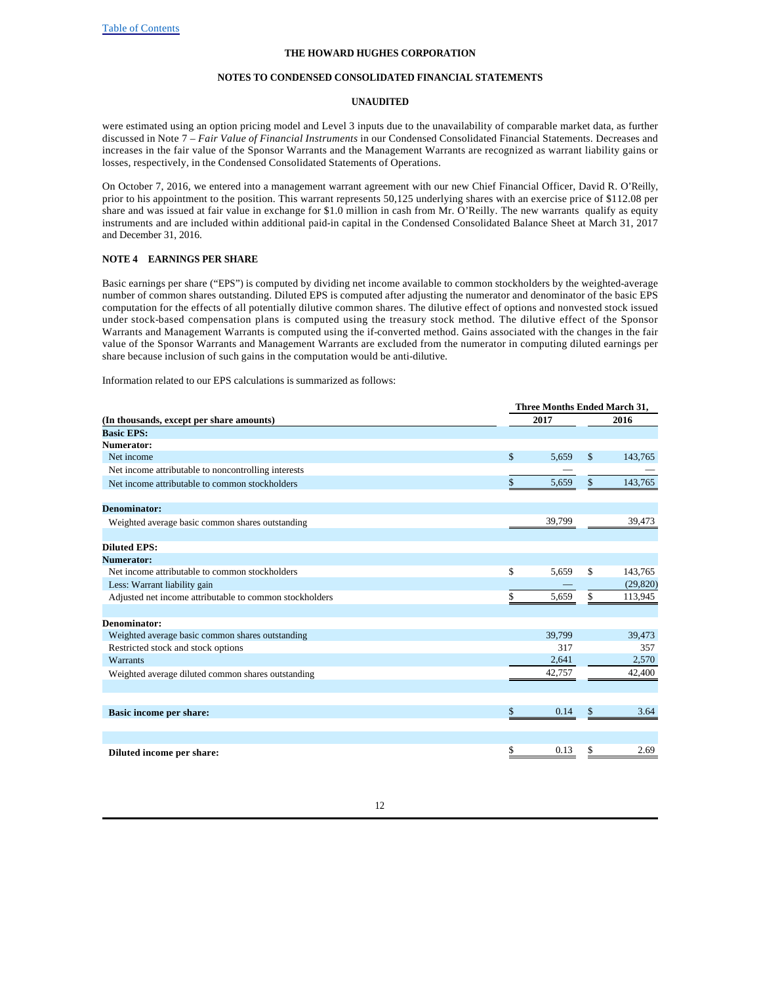### **NOTES TO CONDENSED CONSOLIDATED FINANCIAL STATEMENTS**

### **UNAUDITED**

were estimated using an option pricing model and Level 3 inputs due to the unavailability of comparable market data, as further discussed in Note 7 – *Fair Value of Financial Instruments* in our Condensed Consolidated Financial Statements. Decreases and increases in the fair value of the Sponsor Warrants and the Management Warrants are recognized as warrant liability gains or losses, respectively, in the Condensed Consolidated Statements of Operations.

On October 7, 2016, we entered into a management warrant agreement with our new Chief Financial Officer, David R. O'Reilly, prior to his appointment to the position. This warrant represents 50,125 underlying shares with an exercise price of \$112.08 per share and was issued at fair value in exchange for \$1.0 million in cash from Mr. O'Reilly. The new warrants qualify as equity instruments and are included within additional paid-in capital in the Condensed Consolidated Balance Sheet at March 31, 2017 and December 31, 2016.

### **NOTE 4 EARNINGS PER SHARE**

Basic earnings per share ("EPS") is computed by dividing net income available to common stockholders by the weighted-average number of common shares outstanding. Diluted EPS is computed after adjusting the numerator and denominator of the basic EPS computation for the effects of all potentially dilutive common shares. The dilutive effect of options and nonvested stock issued under stock-based compensation plans is computed using the treasury stock method. The dilutive effect of the Sponsor Warrants and Management Warrants is computed using the if-converted method. Gains associated with the changes in the fair value of the Sponsor Warrants and Management Warrants are excluded from the numerator in computing diluted earnings per share because inclusion of such gains in the computation would be anti-dilutive.

Information related to our EPS calculations is summarized as follows:

|                                                         | Three Months Ended March 31, |                          |  |  |  |  |  |  |
|---------------------------------------------------------|------------------------------|--------------------------|--|--|--|--|--|--|
| (In thousands, except per share amounts)                | 2017                         | 2016                     |  |  |  |  |  |  |
| <b>Basic EPS:</b>                                       |                              |                          |  |  |  |  |  |  |
| Numerator:                                              |                              |                          |  |  |  |  |  |  |
| Net income                                              | \$<br>5,659                  | \$<br>143,765            |  |  |  |  |  |  |
| Net income attributable to noncontrolling interests     |                              |                          |  |  |  |  |  |  |
| Net income attributable to common stockholders          | \$<br>5,659                  | $\frac{1}{2}$<br>143,765 |  |  |  |  |  |  |
| Denominator:                                            |                              |                          |  |  |  |  |  |  |
| Weighted average basic common shares outstanding        | 39,799                       | 39,473                   |  |  |  |  |  |  |
| <b>Diluted EPS:</b>                                     |                              |                          |  |  |  |  |  |  |
| Numerator:                                              |                              |                          |  |  |  |  |  |  |
| Net income attributable to common stockholders          | \$<br>5,659                  | \$<br>143,765            |  |  |  |  |  |  |
| Less: Warrant liability gain                            |                              | (29, 820)                |  |  |  |  |  |  |
| Adjusted net income attributable to common stockholders | \$<br>5,659                  | 113,945<br>\$            |  |  |  |  |  |  |
|                                                         |                              |                          |  |  |  |  |  |  |
| Denominator:                                            |                              |                          |  |  |  |  |  |  |
| Weighted average basic common shares outstanding        | 39.799                       | 39,473                   |  |  |  |  |  |  |
| Restricted stock and stock options                      | 317                          | 357                      |  |  |  |  |  |  |
| <b>Warrants</b>                                         | 2,641                        | 2,570                    |  |  |  |  |  |  |
| Weighted average diluted common shares outstanding      | 42,757                       | 42,400                   |  |  |  |  |  |  |
|                                                         |                              |                          |  |  |  |  |  |  |
| <b>Basic income per share:</b>                          | \$<br>0.14                   | \$<br>3.64               |  |  |  |  |  |  |
|                                                         |                              |                          |  |  |  |  |  |  |
| Diluted income per share:                               | \$<br>0.13                   | \$<br>2.69               |  |  |  |  |  |  |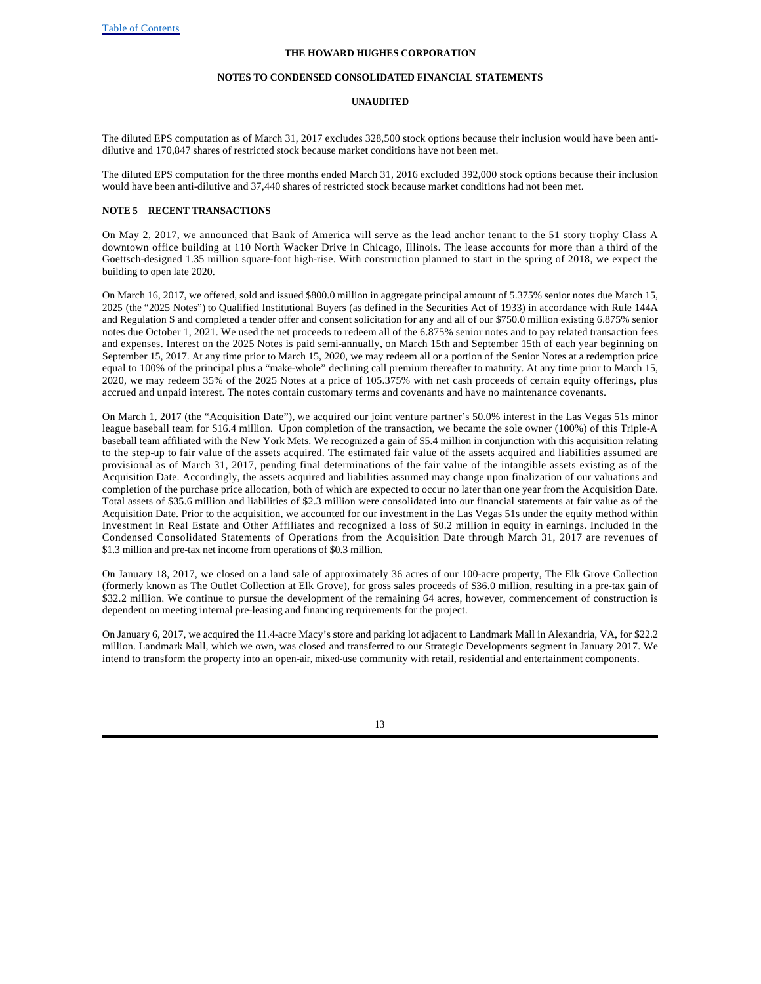### **NOTES TO CONDENSED CONSOLIDATED FINANCIAL STATEMENTS**

### **UNAUDITED**

The diluted EPS computation as of March 31, 2017 excludes 328,500 stock options because their inclusion would have been antidilutive and 170,847 shares of restricted stock because market conditions have not been met.

The diluted EPS computation for the three months ended March 31, 2016 excluded 392,000 stock options because their inclusion would have been anti-dilutive and 37,440 shares of restricted stock because market conditions had not been met.

### **NOTE 5 RECENT TRANSACTIONS**

On May 2, 2017, we announced that Bank of America will serve as the lead anchor tenant to the 51 story trophy Class A downtown office building at 110 North Wacker Drive in Chicago, Illinois. The lease accounts for more than a third of the Goettsch-designed 1.35 million square-foot high-rise. With construction planned to start in the spring of 2018, we expect the building to open late 2020.

On March 16, 2017, we offered, sold and issued \$800.0 million in aggregate principal amount of 5.375% senior notes due March 15, 2025 (the "2025 Notes") to Qualified Institutional Buyers (as defined in the Securities Act of 1933) in accordance with Rule 144A and Regulation S and completed a tender offer and consent solicitation for any and all of our \$750.0 million existing 6.875% senior notes due October 1, 2021. We used the net proceeds to redeem all of the 6.875% senior notes and to pay related transaction fees and expenses. Interest on the 2025 Notes is paid semi-annually, on March 15th and September 15th of each year beginning on September 15, 2017. At any time prior to March 15, 2020, we may redeem all or a portion of the Senior Notes at a redemption price equal to 100% of the principal plus a "make-whole" declining call premium thereafter to maturity. At any time prior to March 15, 2020, we may redeem 35% of the 2025 Notes at a price of 105.375% with net cash proceeds of certain equity offerings, plus accrued and unpaid interest. The notes contain customary terms and covenants and have no maintenance covenants.

On March 1, 2017 (the "Acquisition Date"), we acquired our joint venture partner's 50.0% interest in the Las Vegas 51s minor league baseball team for \$16.4 million. Upon completion of the transaction, we became the sole owner (100%) of this Triple-A baseball team affiliated with the New York Mets. We recognized a gain of \$5.4 million in conjunction with this acquisition relating to the step-up to fair value of the assets acquired. The estimated fair value of the assets acquired and liabilities assumed are provisional as of March 31, 2017, pending final determinations of the fair value of the intangible assets existing as of the Acquisition Date. Accordingly, the assets acquired and liabilities assumed may change upon finalization of our valuations and completion of the purchase price allocation, both of which are expected to occur no later than one year from the Acquisition Date. Total assets of \$35.6 million and liabilities of \$2.3 million were consolidated into our financial statements at fair value as of the Acquisition Date. Prior to the acquisition, we accounted for our investment in the Las Vegas 51s under the equity method within Investment in Real Estate and Other Affiliates and recognized a loss of \$0.2 million in equity in earnings. Included in the Condensed Consolidated Statements of Operations from the Acquisition Date through March 31, 2017 are revenues of \$1.3 million and pre-tax net income from operations of \$0.3 million.

On January 18, 2017, we closed on a land sale of approximately 36 acres of our 100-acre property, The Elk Grove Collection (formerly known as The Outlet Collection at Elk Grove), for gross sales proceeds of \$36.0 million, resulting in a pre-tax gain of \$32.2 million. We continue to pursue the development of the remaining 64 acres, however, commencement of construction is dependent on meeting internal pre-leasing and financing requirements for the project.

On January 6, 2017, we acquired the 11.4-acre Macy's store and parking lot adjacent to Landmark Mall in Alexandria, VA, for \$22.2 million. Landmark Mall, which we own, was closed and transferred to our Strategic Developments segment in January 2017. We intend to transform the property into an open-air, mixed-use community with retail, residential and entertainment components.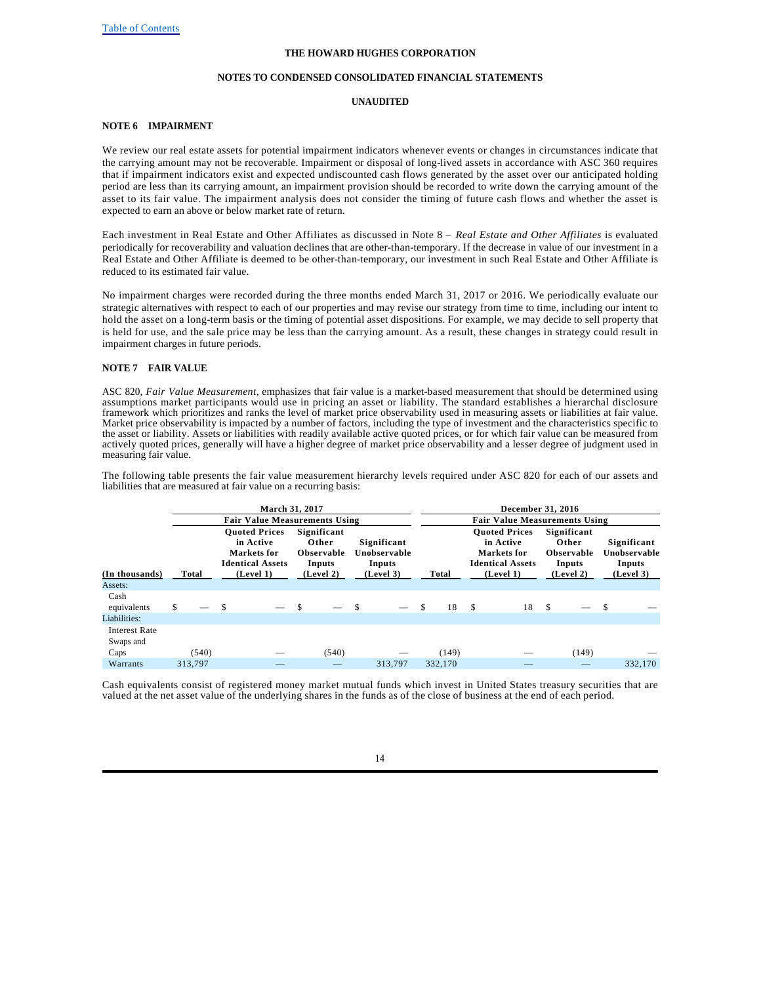#### **NOTES TO CONDENSED CONSOLIDATED FINANCIAL STATEMENTS**

### **UNAUDITED**

### **NOTE 6 IMPAIRMENT**

We review our real estate assets for potential impairment indicators whenever events or changes in circumstances indicate that the carrying amount may not be recoverable. Impairment or disposal of long-lived assets in accordance with ASC 360 requires that if impairment indicators exist and expected undiscounted cash flows generated by the asset over our anticipated holding period are less than its carrying amount, an impairment provision should be recorded to write down the carrying amount of the asset to its fair value. The impairment analysis does not consider the timing of future cash flows and whether the asset is expected to earn an above or below market rate of return.

Each investment in Real Estate and Other Affiliates as discussed in Note 8 – *Real Estate and Other Affiliates* is evaluated periodically for recoverability and valuation declines that are other-than-temporary. If the decrease in value of our investment in a Real Estate and Other Affiliate is deemed to be other-than-temporary, our investment in such Real Estate and Other Affiliate is reduced to its estimated fair value.

No impairment charges were recorded during the three months ended March 31, 2017 or 2016. We periodically evaluate our strategic alternatives with respect to each of our properties and may revise our strategy from time to time, including our intent to hold the asset on a long-term basis or the timing of potential asset dispositions. For example, we may decide to sell property that is held for use, and the sale price may be less than the carrying amount. As a result, these changes in strategy could result in impairment charges in future periods.

### **NOTE 7 FAIR VALUE**

ASC 820, *Fair Value Measurement*, emphasizes that fair value is a market-based measurement that should be determined using assumptions market participants would use in pricing an asset or liability. The standard establishes a hierarchal disclosure framework which prioritizes and ranks the level of market price observability used in measuring assets or liabilities at fair value. Market price observability is impacted by a number of factors, including the type of investment and the characteristics specific to the asset or liability. Assets or liabilities with readily available active quoted prices, or for which fair value can be measured from actively quoted prices, generally will have a higher degree of market price observability and a lesser degree of judgment used in measuring fair value.

The following table presents the fair value measurement hierarchy levels required under ASC 820 for each of our assets and liabilities that are measured at fair value on a recurring basis:

|                                   |         |               | <b>March 31, 2017</b>                                                       |   |                                                     |                                       | December 31, 2016 |         |      |                                                                             |      |                                                     |    |                                       |
|-----------------------------------|---------|---------------|-----------------------------------------------------------------------------|---|-----------------------------------------------------|---------------------------------------|-------------------|---------|------|-----------------------------------------------------------------------------|------|-----------------------------------------------------|----|---------------------------------------|
|                                   |         |               | <b>Fair Value Measurements Using</b>                                        |   |                                                     |                                       |                   |         |      | <b>Fair Value Measurements Using</b>                                        |      |                                                     |    |                                       |
|                                   |         |               | <b>Ouoted Prices</b><br>in Active<br>Markets for<br><b>Identical Assets</b> |   | Significant<br>Other<br><b>Observable</b><br>Inputs | Significant<br>Unobservable<br>Inputs |                   |         |      | <b>Ouoted Prices</b><br>in Active<br>Markets for<br><b>Identical Assets</b> |      | Significant<br>Other<br><b>Observable</b><br>Inputs |    | Significant<br>Unobservable<br>Inputs |
| (In thousands)                    | Total   |               | (Level 1)                                                                   |   | (Level 2)                                           | (Level 3)                             |                   | Total   |      | (Level 1)                                                                   |      | (Level 2)                                           |    | (Level 3)                             |
| Assets:                           |         |               |                                                                             |   |                                                     |                                       |                   |         |      |                                                                             |      |                                                     |    |                                       |
| Cash<br>equivalents               | \$      | <sup>\$</sup> |                                                                             | S |                                                     | \$                                    |                   | 18      | - \$ | 18                                                                          | - \$ |                                                     | \$ |                                       |
| Liabilities:                      |         |               |                                                                             |   |                                                     |                                       |                   |         |      |                                                                             |      |                                                     |    |                                       |
| <b>Interest Rate</b><br>Swaps and |         |               |                                                                             |   |                                                     |                                       |                   |         |      |                                                                             |      |                                                     |    |                                       |
| Caps                              | (540)   |               |                                                                             |   | (540)                                               |                                       |                   | (149)   |      |                                                                             |      | (149)                                               |    |                                       |
| Warrants                          | 313,797 |               |                                                                             |   |                                                     | 313.797                               |                   | 332,170 |      |                                                                             |      |                                                     |    | 332,170                               |

Cash equivalents consist of registered money market mutual funds which invest in United States treasury securities that are valued at the net asset value of the underlying shares in the funds as of the close of business at the end of each period.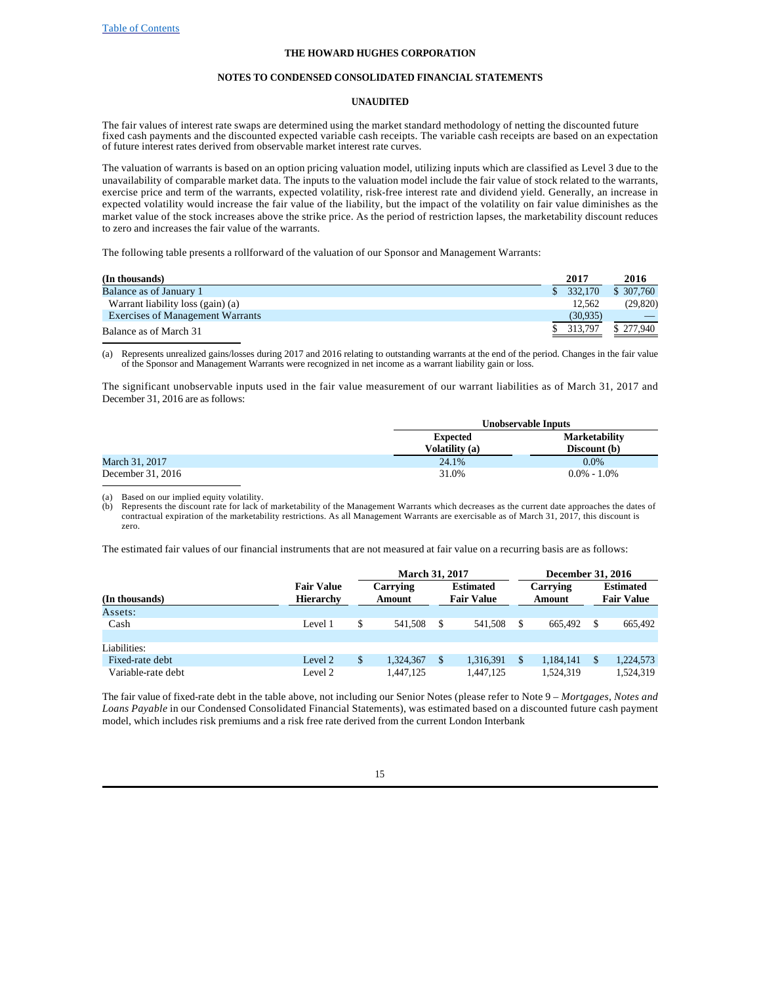### **NOTES TO CONDENSED CONSOLIDATED FINANCIAL STATEMENTS**

### **UNAUDITED**

The fair values of interest rate swaps are determined using the market standard methodology of netting the discounted future fixed cash payments and the discounted expected variable cash receipts. The variable cash receipts are based on an expectation of future interest rates derived from observable market interest rate curves.

The valuation of warrants is based on an option pricing valuation model, utilizing inputs which are classified as Level 3 due to the unavailability of comparable market data. The inputs to the valuation model include the fair value of stock related to the warrants, exercise price and term of the warrants, expected volatility, risk-free interest rate and dividend yield. Generally, an increase in expected volatility would increase the fair value of the liability, but the impact of the volatility on fair value diminishes as the market value of the stock increases above the strike price. As the period of restriction lapses, the marketability discount reduces to zero and increases the fair value of the warrants.

The following table presents a rollforward of the valuation of our Sponsor and Management Warrants:

| (In thousands)                          | 2017 | 2016                  |
|-----------------------------------------|------|-----------------------|
| Balance as of January 1                 |      | \$ 307,760<br>332.170 |
| Warrant liability loss (gain) (a)       |      | (29, 820)<br>12.562   |
| <b>Exercises of Management Warrants</b> |      | (30,935)              |
| Balance as of March 31                  |      | \$277,940<br>313,797  |

(a) Represents unrealized gains/losses during 2017 and 2016 relating to outstanding warrants at the end of the period. Changes in the fair value of the Sponsor and Management Warrants were recognized in net income as a warrant liability gain or loss.

The significant unobservable inputs used in the fair value measurement of our warrant liabilities as of March 31, 2017 and December 31, 2016 are as follows:

|                   | Unobservable Inputs |                      |  |  |  |
|-------------------|---------------------|----------------------|--|--|--|
|                   | <b>Expected</b>     | <b>Marketability</b> |  |  |  |
|                   | Volatility (a)      | Discount (b)         |  |  |  |
| March 31, 2017    | 24.1%               | $0.0\%$              |  |  |  |
| December 31, 2016 | 31.0%               | $0.0\% - 1.0\%$      |  |  |  |

Based on our implied equity volatility.

(b) Represents the discount rate for lack of marketability of the Management Warrants which decreases as the current date approaches the dates of contractual expiration of the marketability restrictions. As all Management zero.

The estimated fair values of our financial instruments that are not measured at fair value on a recurring basis are as follows:

|                    |                                       | <b>March 31, 2017</b> |                                       |    | December 31, 2016  |   |                                       |  |  |  |
|--------------------|---------------------------------------|-----------------------|---------------------------------------|----|--------------------|---|---------------------------------------|--|--|--|
| (In thousands)     | <b>Fair Value</b><br><b>Hierarchy</b> | Carrying<br>Amount    | <b>Estimated</b><br><b>Fair Value</b> |    | Carrying<br>Amount |   | <b>Estimated</b><br><b>Fair Value</b> |  |  |  |
| Assets:            |                                       |                       |                                       |    |                    |   |                                       |  |  |  |
| Cash               | Level 1                               | 541,508               | 541,508                               | \$ | 665.492            | S | 665,492                               |  |  |  |
|                    |                                       |                       |                                       |    |                    |   |                                       |  |  |  |
| Liabilities:       |                                       |                       |                                       |    |                    |   |                                       |  |  |  |
| Fixed-rate debt    | Level 2                               | 1.324.367             | 1,316,391                             | S  | 1.184.141          | S | 1,224,573                             |  |  |  |
| Variable-rate debt | Level 2                               | 1.447.125             | 1.447.125                             |    | 1,524,319          |   | 1,524,319                             |  |  |  |

The fair value of fixed-rate debt in the table above, not including our Senior Notes (please refer to Note 9 – *Mortgages, Notes and Loans Payable* in our Condensed Consolidated Financial Statements), was estimated based on a discounted future cash payment model, which includes risk premiums and a risk free rate derived from the current London Interbank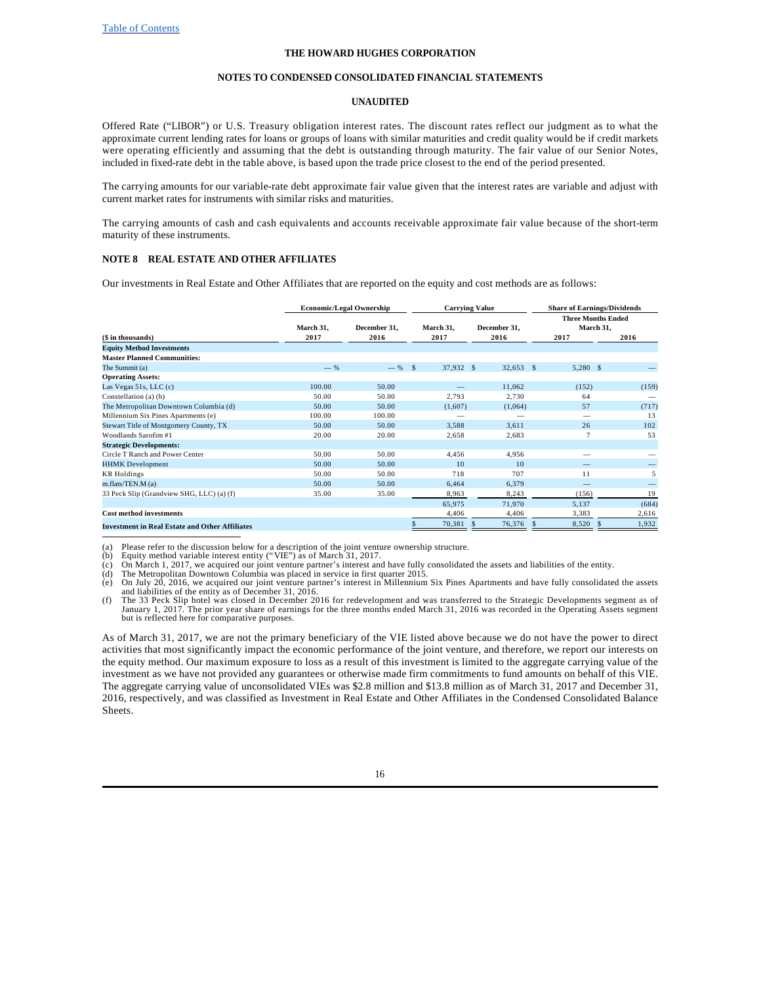#### **NOTES TO CONDENSED CONSOLIDATED FINANCIAL STATEMENTS**

### **UNAUDITED**

Offered Rate ("LIBOR") or U.S. Treasury obligation interest rates. The discount rates reflect our judgment as to what the approximate current lending rates for loans or groups of loans with similar maturities and credit quality would be if credit markets were operating efficiently and assuming that the debt is outstanding through maturity. The fair value of our Senior Notes, included in fixed-rate debt in the table above, is based upon the trade price closest to the end of the period presented.

The carrying amounts for our variable-rate debt approximate fair value given that the interest rates are variable and adjust with current market rates for instruments with similar risks and maturities.

The carrying amounts of cash and cash equivalents and accounts receivable approximate fair value because of the short-term maturity of these instruments.

### **NOTE 8 REAL ESTATE AND OTHER AFFILIATES**

Our investments in Real Estate and Other Affiliates that are reported on the equity and cost methods are as follows:

|                                                       | <b>Economic/Legal Ownership</b> |                      |  |                   | <b>Carrying Value</b> |                      |    | <b>Share of Earnings/Dividends</b>             |  |       |
|-------------------------------------------------------|---------------------------------|----------------------|--|-------------------|-----------------------|----------------------|----|------------------------------------------------|--|-------|
| (\$ in thousands)                                     | March 31,<br>2017               | December 31.<br>2016 |  | March 31,<br>2017 |                       | December 31,<br>2016 |    | <b>Three Months Ended</b><br>March 31,<br>2017 |  | 2016  |
| <b>Equity Method Investments</b>                      |                                 |                      |  |                   |                       |                      |    |                                                |  |       |
| <b>Master Planned Communities:</b>                    |                                 |                      |  |                   |                       |                      |    |                                                |  |       |
| The Summit (a)                                        | $-$ %                           | $-$ % \$             |  | 37,932 \$         |                       | $32,653$ \$          |    | $5,280$ \$                                     |  |       |
| <b>Operating Assets:</b>                              |                                 |                      |  |                   |                       |                      |    |                                                |  |       |
| Las Vegas $51s$ , LLC $(c)$                           | 100.00                          | 50.00                |  |                   |                       | 11,062               |    | (152)                                          |  | (159) |
| Constellation (a) (b)                                 | 50.00                           | 50.00                |  | 2.793             |                       | 2.730                |    | 64                                             |  |       |
| The Metropolitan Downtown Columbia (d)                | 50.00                           | 50.00                |  | (1,607)           |                       | (1,064)              |    | 57                                             |  | (717) |
| Millennium Six Pines Apartments (e)                   | 100.00                          | 100.00               |  |                   |                       |                      |    |                                                |  | 13    |
| Stewart Title of Montgomery County, TX                | 50.00                           | 50.00                |  | 3,588             |                       | 3.611                |    | 26                                             |  | 102   |
| Woodlands Sarofim #1                                  | 20.00                           | 20.00                |  | 2,658             |                       | 2,683                |    |                                                |  | 53    |
| <b>Strategic Developments:</b>                        |                                 |                      |  |                   |                       |                      |    |                                                |  |       |
| Circle T Ranch and Power Center                       | 50.00                           | 50.00                |  | 4,456             |                       | 4,956                |    |                                                |  |       |
| <b>HHMK</b> Development                               | 50.00                           | 50.00                |  | 10                |                       | 10                   |    |                                                |  |       |
| <b>KR</b> Holdings                                    | 50.00                           | 50.00                |  | 718               |                       | 707                  |    | 11                                             |  | 5     |
| m.flats/TEN.M (a)                                     | 50.00                           | 50.00                |  | 6,464             |                       | 6,379                |    |                                                |  |       |
| 33 Peck Slip (Grandview SHG, LLC) (a) (f)             | 35.00                           | 35.00                |  | 8,963             |                       | 8,243                |    | (156)                                          |  | 19    |
|                                                       |                                 |                      |  | 65,975            |                       | 71,970               |    | 5,137                                          |  | (684) |
| <b>Cost method investments</b>                        |                                 |                      |  | 4,406             |                       | 4,406                |    | 3,383                                          |  | 2,616 |
| <b>Investment in Real Estate and Other Affiliates</b> |                                 |                      |  | 70,381            |                       | 76,376               | S. | 8,520                                          |  | 1,932 |

(a) Please refer to the discussion below for a description of the joint venture ownership structure.<br>(b) Equity method variable interest entity ("VIE") as of March 31, 2017.<br>(c) On March 1, 2017, we acquired our joint vent

(d) The Metropolitan Downtown Columbia was placed in service in first quarter 2015.

(e) On July 20, 2016, we acquired our joint venture partner's interest in Millennium Six Pines Apartments and have fully consolidated the assets and liabilities of the entity as of December 31, 2016.<br>(f) The 33 Peck Slip h

January 1, 2017. The prior year share of earnings for the three months ended March 31, 2016 was recorded in the Operating Assets segment but is reflected here for comparative purposes.

As of March 31, 2017, we are not the primary beneficiary of the VIE listed above because we do not have the power to direct activities that most significantly impact the economic performance of the joint venture, and therefore, we report our interests on the equity method. Our maximum exposure to loss as a result of this investment is limited to the aggregate carrying value of the investment as we have not provided any guarantees or otherwise made firm commitments to fund amounts on behalf of this VIE. The aggregate carrying value of unconsolidated VIEs was \$2.8 million and \$13.8 million as of March 31, 2017 and December 31, 2016, respectively, and was classified as Investment in Real Estate and Other Affiliates in the Condensed Consolidated Balance Sheets.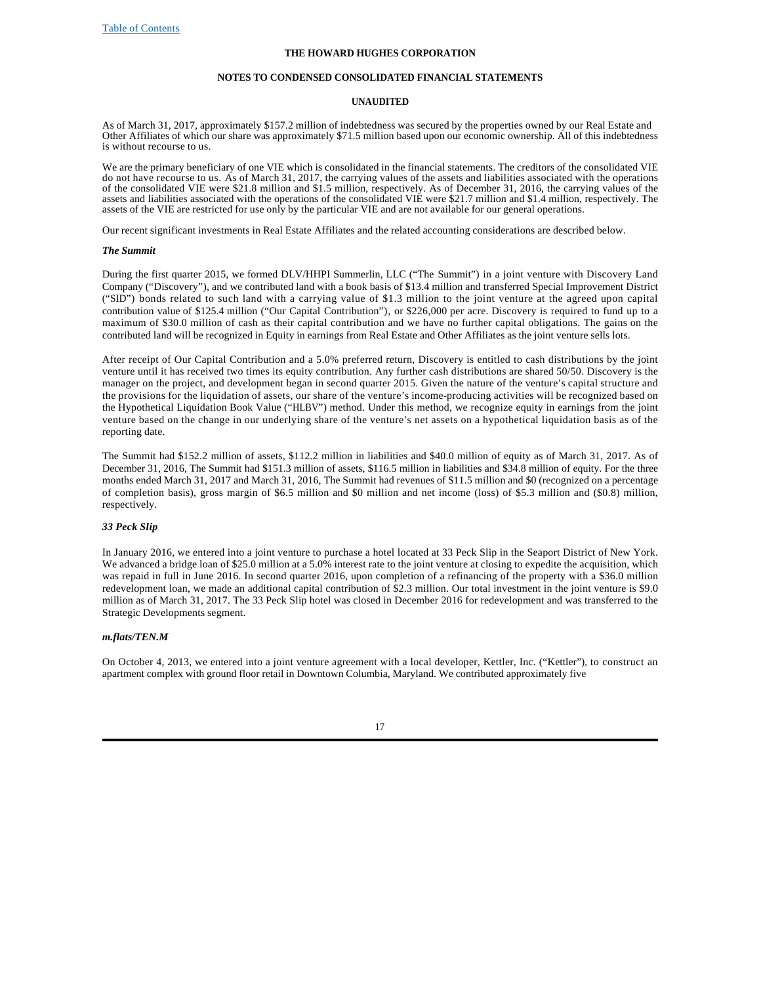#### **NOTES TO CONDENSED CONSOLIDATED FINANCIAL STATEMENTS**

### **UNAUDITED**

As of March 31, 2017, approximately \$157.2 million of indebtedness was secured by the properties owned by our Real Estate and Other Affiliates of which our share was approximately \$71.5 million based upon our economic ownership. All of this indebtedness is without recourse to us.

We are the primary beneficiary of one VIE which is consolidated in the financial statements. The creditors of the consolidated VIE do not have recourse to us. As of March 31, 2017, the carrying values of the assets and liabilities associated with the operations of the consolidated VIE were \$21.8 million and \$1.5 million, respectively. As of December 31, 2016, the carrying values of the assets and liabilities associated with the operations of the consolidated VIE were \$21.7 million and \$1.4 million, respectively. The assets of the VIE are restricted for use only by the particular VIE and are not available for our general operations.

Our recent significant investments in Real Estate Affiliates and the related accounting considerations are described below.

### *The Summit*

During the first quarter 2015, we formed DLV/HHPI Summerlin, LLC ("The Summit") in a joint venture with Discovery Land Company ("Discovery"), and we contributed land with a book basis of \$13.4 million and transferred Special Improvement District ("SID") bonds related to such land with a carrying value of \$1.3 million to the joint venture at the agreed upon capital contribution value of \$125.4 million ("Our Capital Contribution"), or \$226,000 per acre. Discovery is required to fund up to a maximum of \$30.0 million of cash as their capital contribution and we have no further capital obligations. The gains on the contributed land will be recognized in Equity in earnings from Real Estate and Other Affiliates as the joint venture sells lots.

After receipt of Our Capital Contribution and a 5.0% preferred return, Discovery is entitled to cash distributions by the joint venture until it has received two times its equity contribution. Any further cash distributions are shared 50/50. Discovery is the manager on the project, and development began in second quarter 2015. Given the nature of the venture's capital structure and the provisions for the liquidation of assets, our share of the venture's income-producing activities will be recognized based on the Hypothetical Liquidation Book Value ("HLBV") method. Under this method, we recognize equity in earnings from the joint venture based on the change in our underlying share of the venture's net assets on a hypothetical liquidation basis as of the reporting date.

The Summit had \$152.2 million of assets, \$112.2 million in liabilities and \$40.0 million of equity as of March 31, 2017. As of December 31, 2016, The Summit had \$151.3 million of assets, \$116.5 million in liabilities and \$34.8 million of equity. For the three months ended March 31, 2017 and March 31, 2016, The Summit had revenues of \$11.5 million and \$0 (recognized on a percentage of completion basis), gross margin of \$6.5 million and \$0 million and net income (loss) of \$5.3 million and (\$0.8) million, respectively.

#### *33 Peck Slip*

In January 2016, we entered into a joint venture to purchase a hotel located at 33 Peck Slip in the Seaport District of New York. We advanced a bridge loan of \$25.0 million at a 5.0% interest rate to the joint venture at closing to expedite the acquisition, which was repaid in full in June 2016. In second quarter 2016, upon completion of a refinancing of the property with a \$36.0 million redevelopment loan, we made an additional capital contribution of \$2.3 million. Our total investment in the joint venture is \$9.0 million as of March 31, 2017. The 33 Peck Slip hotel was closed in December 2016 for redevelopment and was transferred to the Strategic Developments segment.

#### *m.flats/TEN.M*

On October 4, 2013, we entered into a joint venture agreement with a local developer, Kettler, Inc. ("Kettler"), to construct an apartment complex with ground floor retail in Downtown Columbia, Maryland. We contributed approximately five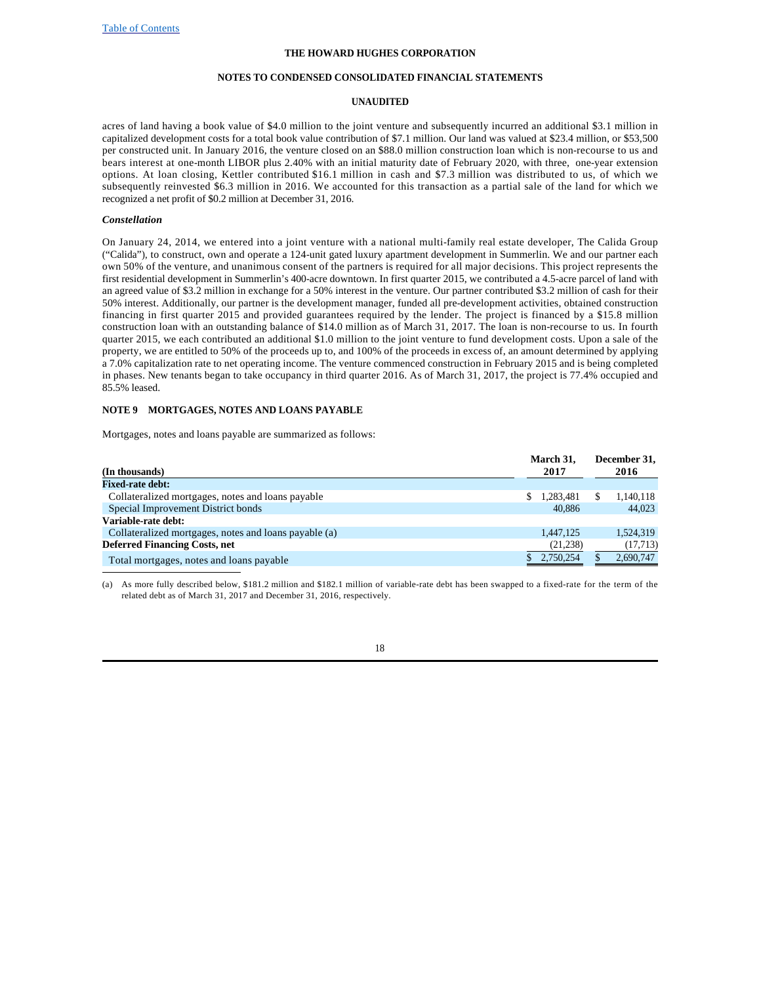### **NOTES TO CONDENSED CONSOLIDATED FINANCIAL STATEMENTS**

### **UNAUDITED**

acres of land having a book value of \$4.0 million to the joint venture and subsequently incurred an additional \$3.1 million in capitalized development costs for a total book value contribution of \$7.1 million. Our land was valued at \$23.4 million, or \$53,500 per constructed unit. In January 2016, the venture closed on an \$88.0 million construction loan which is non-recourse to us and bears interest at one-month LIBOR plus 2.40% with an initial maturity date of February 2020, with three, one-year extension options. At loan closing, Kettler contributed \$16.1 million in cash and \$7.3 million was distributed to us, of which we subsequently reinvested \$6.3 million in 2016. We accounted for this transaction as a partial sale of the land for which we recognized a net profit of \$0.2 million at December 31, 2016.

#### *Constellation*

On January 24, 2014, we entered into a joint venture with a national multi-family real estate developer, The Calida Group ("Calida"), to construct, own and operate a 124-unit gated luxury apartment development in Summerlin. We and our partner each own 50% of the venture, and unanimous consent of the partners is required for all major decisions. This project represents the first residential development in Summerlin's 400-acre downtown. In first quarter 2015, we contributed a 4.5-acre parcel of land with an agreed value of \$3.2 million in exchange for a 50% interest in the venture. Our partner contributed \$3.2 million of cash for their 50% interest. Additionally, our partner is the development manager, funded all pre-development activities, obtained construction financing in first quarter 2015 and provided guarantees required by the lender. The project is financed by a \$15.8 million construction loan with an outstanding balance of \$14.0 million as of March 31, 2017. The loan is non-recourse to us. In fourth quarter 2015, we each contributed an additional \$1.0 million to the joint venture to fund development costs. Upon a sale of the property, we are entitled to 50% of the proceeds up to, and 100% of the proceeds in excess of, an amount determined by applying a 7.0% capitalization rate to net operating income. The venture commenced construction in February 2015 and is being completed in phases. New tenants began to take occupancy in third quarter 2016. As of March 31, 2017, the project is 77.4% occupied and 85.5% leased.

### **NOTE 9 MORTGAGES, NOTES AND LOANS PAYABLE**

Mortgages, notes and loans payable are summarized as follows:

| (In thousands)                                        |  | March 31,<br>2017 | December 31,<br>2016 |           |  |
|-------------------------------------------------------|--|-------------------|----------------------|-----------|--|
| <b>Fixed-rate debt:</b>                               |  |                   |                      |           |  |
| Collateralized mortgages, notes and loans payable     |  | 1,283,481         |                      | 1,140,118 |  |
| Special Improvement District bonds                    |  | 40,886            |                      | 44,023    |  |
| Variable-rate debt:                                   |  |                   |                      |           |  |
| Collateralized mortgages, notes and loans payable (a) |  | 1.447.125         |                      | 1,524,319 |  |
| <b>Deferred Financing Costs, net</b>                  |  | (21, 238)         |                      | (17, 713) |  |
| Total mortgages, notes and loans payable              |  | 2,750,254         |                      | 2,690,747 |  |

(a) As more fully described below, \$181.2 million and \$182.1 million of variable-rate debt has been swapped to a fixed-rate for the term of the related debt as of March 31, 2017 and December 31, 2016, respectively.

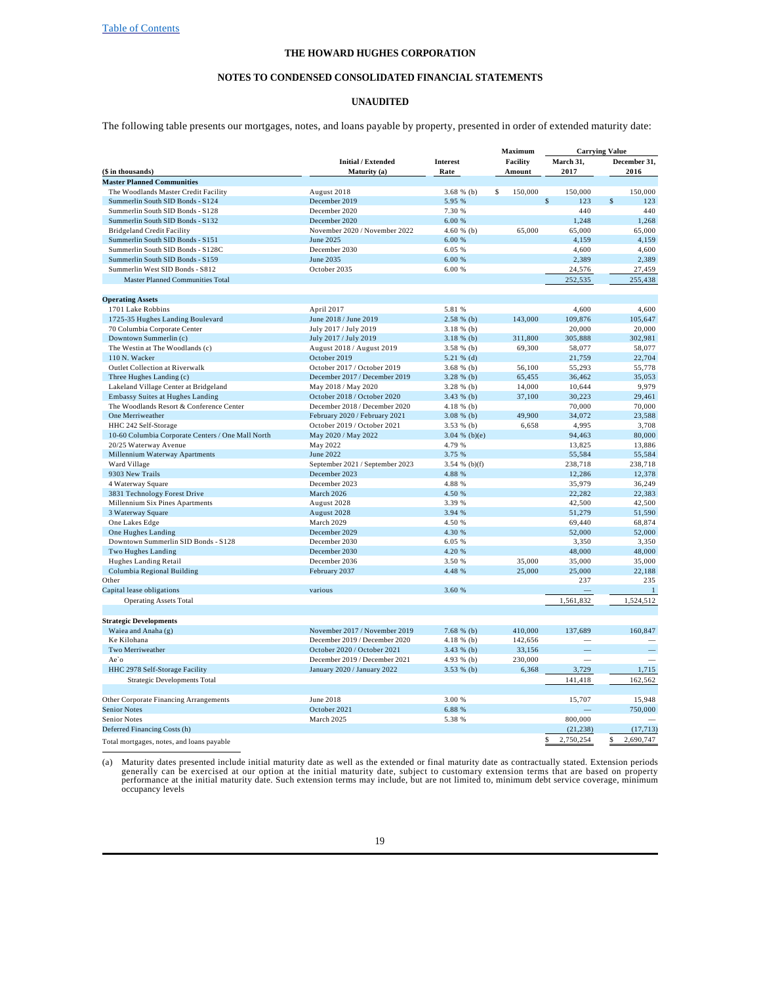#### **NOTES TO CONDENSED CONSOLIDATED FINANCIAL STATEMENTS**

#### **UNAUDITED**

The following table presents our mortgages, notes, and loans payable by property, presented in order of extended maturity date:

| <b>Carrying Value</b><br><b>Initial / Extended</b><br>Interest<br>Facility<br>March 31,                     | December 31,    |
|-------------------------------------------------------------------------------------------------------------|-----------------|
|                                                                                                             |                 |
| 2017<br>(\$ in thousands)<br>Maturity (a)<br>Rate<br>Amount                                                 | 2016            |
| <b>Master Planned Communities</b>                                                                           |                 |
| \$<br>150,000<br>150,000<br>The Woodlands Master Credit Facility<br>August 2018<br>$3.68 \%$ (b)            | 150,000         |
| $\mathsf{\$}$<br>Summerlin South SID Bonds - S124<br>December 2019<br>5.95 %<br>123                         | \$<br>123       |
| 440<br>Summerlin South SID Bonds - S128<br>December 2020<br>7.30 %                                          | 440             |
| Summerlin South SID Bonds - S132<br>December 2020<br>6.00 %<br>1,248                                        | 1,268           |
| 65,000<br><b>Bridgeland Credit Facility</b><br>November 2020 / November 2022<br>$4.60 \%$ (b)<br>65,000     | 65,000          |
| Summerlin South SID Bonds - S151<br>June 2025<br>6.00 %<br>4,159                                            | 4,159           |
| Summerlin South SID Bonds - S128C<br>December 2030<br>6.05 %<br>4,600                                       | 4,600           |
| June 2035<br>Summerlin South SID Bonds - S159<br>6.00 %<br>2,389                                            | 2,389           |
| Summerlin West SID Bonds - S812<br>October 2035<br>6.00 %<br>24,576                                         | 27,459          |
| 252,535<br><b>Master Planned Communities Total</b>                                                          | 255.438         |
|                                                                                                             |                 |
| <b>Operating Assets</b>                                                                                     |                 |
| April 2017<br>5.81 %<br>4.600<br>1701 Lake Robbins                                                          | 4.600           |
| 143,000<br>1725-35 Hughes Landing Boulevard<br>June 2018 / June 2019<br>$2.58 \%$ (b)<br>109,876            | 105,647         |
| July 2017 / July 2019<br>70 Columbia Corporate Center<br>$3.18 \%$ (b)<br>20,000                            | 20,000          |
| July 2017 / July 2019<br>Downtown Summerlin (c)<br>$3.18 \%$ (b)<br>311,800<br>305,888                      | 302,981         |
| The Westin at The Woodlands (c)<br>August 2018 / August 2019<br>$3.58 \%$ (b)<br>69,300<br>58,077           | 58,077          |
| 110 N. Wacker<br>October 2019<br>$5.21 \%$ (d)<br>21,759                                                    | 22,704          |
| Outlet Collection at Riverwalk<br>October 2017 / October 2019<br>56,100<br>$3.68 \%$ (b)<br>55,293          | 55,778          |
| 65,455<br>Three Hughes Landing (c)<br>December 2017 / December 2019<br>$3.28 \%$ (b)<br>36,462              | 35,053          |
| 14,000<br>Lakeland Village Center at Bridgeland<br>May 2018 / May 2020<br>10,644<br>$3.28 \%$ (b)           | 9,979           |
| <b>Embassy Suites at Hughes Landing</b><br>October 2018 / October 2020<br>37,100<br>30,223<br>$3.43 \%$ (b) | 29,461          |
| The Woodlands Resort & Conference Center<br>December 2018 / December 2020<br>$4.18 \%$ (b)<br>70,000        | 70,000          |
| 49,900<br>February 2020 / February 2021<br>34,072<br>One Merriweather<br>$3.08 \%$ (b)                      | 23,588          |
| October 2019 / October 2021<br>6,658<br>4,995<br>HHC 242 Self-Storage<br>$3.53 \%$ (b)                      | 3,708           |
| 10-60 Columbia Corporate Centers / One Mall North<br>May 2020 / May 2022<br>$3.04 \%$ (b)(e)<br>94,463      | 80,000          |
| 20/25 Waterway Avenue<br>May 2022<br>4.79 %<br>13,825                                                       | 13,886          |
| Millennium Waterway Apartments<br>June 2022<br>3.75 %<br>55,584                                             | 55,584          |
| September 2021 / September 2023<br>Ward Village<br>3.54 % (b)(f)<br>238,718                                 | 238,718         |
| 9303 New Trails<br>December 2023<br>12,286<br>4.88 %                                                        | 12,378          |
| December 2023<br>35,979<br>4 Waterway Square<br>4.88 %                                                      | 36,249          |
| 3831 Technology Forest Drive<br>March 2026<br>4.50 %<br>22,282                                              | 22,383          |
| Millennium Six Pines Apartments<br>August 2028<br>3.39 %<br>42,500                                          | 42,500          |
| 3 Waterway Square<br>August 2028<br>3.94 %<br>51,279                                                        | 51,590          |
| One Lakes Edge<br>March 2029<br>4.50 %<br>69,440                                                            | 68,874          |
| 4.30 %<br>52,000<br>One Hughes Landing<br>December 2029                                                     | 52,000          |
| Downtown Summerlin SID Bonds - S128<br>December 2030<br>6.05 %<br>3,350                                     | 3,350           |
| Two Hughes Landing<br>December 2030<br>4.20 %<br>48,000                                                     | 48,000          |
| December 2036<br>35,000<br>Hughes Landing Retail<br>3.50 %<br>35,000                                        | 35,000          |
| 25,000<br>25,000<br>Columbia Regional Building<br>February 2037<br>4.48 %                                   | 22,188          |
| 237<br>Other                                                                                                | 235             |
| Capital lease obligations<br>3.60 %<br>various                                                              | $\mathbf{1}$    |
| 1,561,832<br><b>Operating Assets Total</b>                                                                  | 1,524,512       |
|                                                                                                             |                 |
| <b>Strategic Developments</b>                                                                               |                 |
| Waiea and Anaha (g)<br>November 2017 / November 2019<br>$7.68 \%$ (b)<br>410,000<br>137,689                 | 160,847         |
| Ke Kilohana<br>December 2019 / December 2020<br>$4.18 \%$ (b)<br>142,656                                    |                 |
| Two Merriweather<br>October 2020 / October 2021<br>33,156<br>3.43 $%$ (b)<br>-                              |                 |
| December 2019 / December 2021<br>230,000<br>Ae`o<br>4.93 $%$ (b)                                            |                 |
| HHC 2978 Self-Storage Facility<br>January 2020 / January 2022<br>6,368<br>3,729<br>$3.53 \%$ (b)            | 1,715           |
| 141,418<br>Strategic Developments Total                                                                     | 162,562         |
|                                                                                                             |                 |
| <b>June 2018</b><br>3.00 %<br>Other Corporate Financing Arrangements<br>15,707                              | 15,948          |
| <b>Senior Notes</b><br>October 2021<br>6.88 %                                                               | 750,000         |
| 800,000<br>March 2025<br>5.38 %<br><b>Senior Notes</b>                                                      |                 |
| Deferred Financing Costs (h)<br>(21, 238)                                                                   | (17, 713)       |
| 2,750,254<br>Ŝ<br>Total mortgages, notes, and loans payable                                                 | 2.690.747<br>\$ |

(a) Maturity dates presented include initial maturity date as well as the extended or final maturity date as contractually stated. Extension periods generally can be exercised at our option at the initial maturity date, su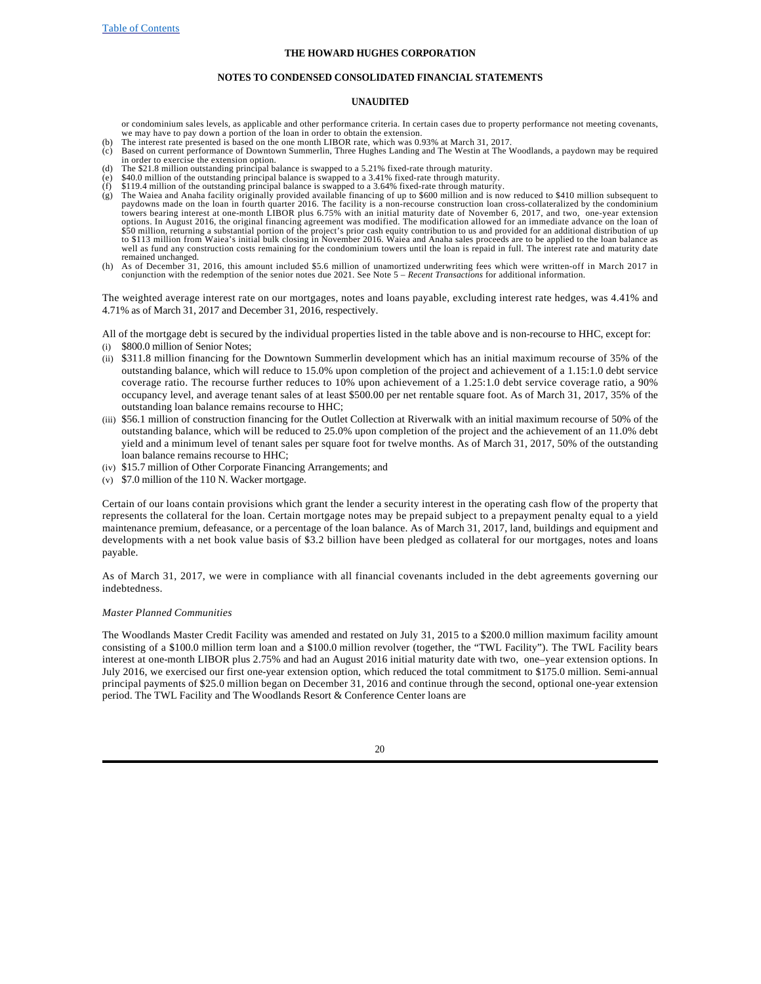#### **NOTES TO CONDENSED CONSOLIDATED FINANCIAL STATEMENTS**

### **UNAUDITED**

or condominium sales levels, as applicable and other performance criteria. In certain cases due to property performance not meeting covenants, we may have to pay down a portion of the loan in order to obtain the extension.

- (b) The interest rate presented is based on the one month LIBOR rate, which was 0.93% at March 31, 2017.
- (c) Based on current performance of Downtown Summerlin, Three Hughes Landing and The Westin at The Woodlands, a paydown may be required in order to exercise the extension option. (d) The \$21.8 million outstanding principal balance is swapped to a 5.21% fixed-rate through maturity.
- 
- (e) \$40.0 million of the outstanding principal balance is swapped to a 3.41% fixed-rate through maturity. (f) \$119.4 million of the outstanding principal balance is swapped to a 3.64% fixed-rate through maturity.
- (g) The Waiea and Anaha facility originally provided available financing of up to \$600 million and is now reduced to \$410 million subsequent to paydowns made on the loan in fourth quarter 2016. The facility is a non-recour options. In August 2016, the original financing agreement was modified. The modification allowed for an immediate advance on the loan of \$50 million, returning a substantial portion of the project's prior cash equity contribution to us and provided for an additional distribution of up<br>to \$113 million from Waiea's initial bulk closing in November 2016. Waiea well as fund any construction costs remaining for the condominium towers until the loan is repaid in full. The interest rate and maturity date remained unchanged.
- (h) As of December 31, 2016, this amount included \$5.6 million of unamortized underwriting fees which were written-off in March 2017 in conjunction with the redemption of the senior notes due 2021. See Note 5 – *Recent Transactions* for additional information.

The weighted average interest rate on our mortgages, notes and loans payable, excluding interest rate hedges, was 4.41% and 4.71% as of March 31, 2017 and December 31, 2016, respectively.

All of the mortgage debt is secured by the individual properties listed in the table above and is non-recourse to HHC, except for: (i) \$800.0 million of Senior Notes;

- (ii) \$311.8 million financing for the Downtown Summerlin development which has an initial maximum recourse of 35% of the outstanding balance, which will reduce to 15.0% upon completion of the project and achievement of a 1.15:1.0 debt service coverage ratio. The recourse further reduces to 10% upon achievement of a 1.25:1.0 debt service coverage ratio, a 90% occupancy level, and average tenant sales of at least \$500.00 per net rentable square foot. As of March 31, 2017, 35% of the outstanding loan balance remains recourse to HHC;
- (iii) \$56.1 million of construction financing for the Outlet Collection at Riverwalk with an initial maximum recourse of 50% of the outstanding balance, which will be reduced to 25.0% upon completion of the project and the achievement of an 11.0% debt yield and a minimum level of tenant sales per square foot for twelve months. As of March 31, 2017, 50% of the outstanding loan balance remains recourse to HHC;
- (iv) \$15.7 million of Other Corporate Financing Arrangements; and
- (v) \$7.0 million of the 110 N. Wacker mortgage.

Certain of our loans contain provisions which grant the lender a security interest in the operating cash flow of the property that represents the collateral for the loan. Certain mortgage notes may be prepaid subject to a prepayment penalty equal to a yield maintenance premium, defeasance, or a percentage of the loan balance. As of March 31, 2017, land, buildings and equipment and developments with a net book value basis of \$3.2 billion have been pledged as collateral for our mortgages, notes and loans payable.

As of March 31, 2017, we were in compliance with all financial covenants included in the debt agreements governing our indebtedness.

### *Master Planned Communities*

The Woodlands Master Credit Facility was amended and restated on July 31, 2015 to a \$200.0 million maximum facility amount consisting of a \$100.0 million term loan and a \$100.0 million revolver (together, the "TWL Facility"). The TWL Facility bears interest at one-month LIBOR plus 2.75% and had an August 2016 initial maturity date with two, one–year extension options. In July 2016, we exercised our first one-year extension option, which reduced the total commitment to \$175.0 million. Semi-annual principal payments of \$25.0 million began on December 31, 2016 and continue through the second, optional one-year extension period. The TWL Facility and The Woodlands Resort & Conference Center loans are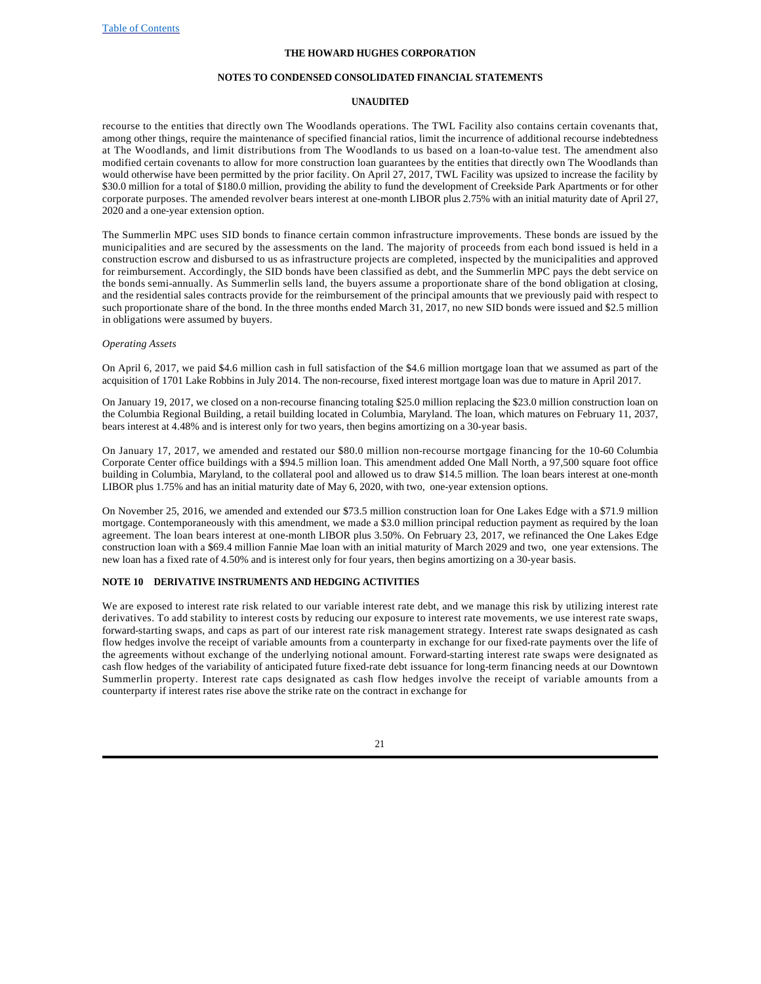### **NOTES TO CONDENSED CONSOLIDATED FINANCIAL STATEMENTS**

### **UNAUDITED**

recourse to the entities that directly own The Woodlands operations. The TWL Facility also contains certain covenants that, among other things, require the maintenance of specified financial ratios, limit the incurrence of additional recourse indebtedness at The Woodlands, and limit distributions from The Woodlands to us based on a loan-to-value test. The amendment also modified certain covenants to allow for more construction loan guarantees by the entities that directly own The Woodlands than would otherwise have been permitted by the prior facility. On April 27, 2017, TWL Facility was upsized to increase the facility by \$30.0 million for a total of \$180.0 million, providing the ability to fund the development of Creekside Park Apartments or for other corporate purposes. The amended revolver bears interest at one-month LIBOR plus 2.75% with an initial maturity date of April 27, 2020 and a one-year extension option.

The Summerlin MPC uses SID bonds to finance certain common infrastructure improvements. These bonds are issued by the municipalities and are secured by the assessments on the land. The majority of proceeds from each bond issued is held in a construction escrow and disbursed to us as infrastructure projects are completed, inspected by the municipalities and approved for reimbursement. Accordingly, the SID bonds have been classified as debt, and the Summerlin MPC pays the debt service on the bonds semi-annually. As Summerlin sells land, the buyers assume a proportionate share of the bond obligation at closing, and the residential sales contracts provide for the reimbursement of the principal amounts that we previously paid with respect to such proportionate share of the bond. In the three months ended March 31, 2017, no new SID bonds were issued and \$2.5 million in obligations were assumed by buyers.

#### *Operating Assets*

On April 6, 2017, we paid \$4.6 million cash in full satisfaction of the \$4.6 million mortgage loan that we assumed as part of the acquisition of 1701 Lake Robbins in July 2014. The non-recourse, fixed interest mortgage loan was due to mature in April 2017.

On January 19, 2017, we closed on a non-recourse financing totaling \$25.0 million replacing the \$23.0 million construction loan on the Columbia Regional Building, a retail building located in Columbia, Maryland. The loan, which matures on February 11, 2037, bears interest at 4.48% and is interest only for two years, then begins amortizing on a 30-year basis.

On January 17, 2017, we amended and restated our \$80.0 million non-recourse mortgage financing for the 10-60 Columbia Corporate Center office buildings with a \$94.5 million loan. This amendment added One Mall North, a 97,500 square foot office building in Columbia, Maryland, to the collateral pool and allowed us to draw \$14.5 million. The loan bears interest at one-month LIBOR plus 1.75% and has an initial maturity date of May 6, 2020, with two, one-year extension options.

On November 25, 2016, we amended and extended our \$73.5 million construction loan for One Lakes Edge with a \$71.9 million mortgage. Contemporaneously with this amendment, we made a \$3.0 million principal reduction payment as required by the loan agreement. The loan bears interest at one-month LIBOR plus 3.50%. On February 23, 2017, we refinanced the One Lakes Edge construction loan with a \$69.4 million Fannie Mae loan with an initial maturity of March 2029 and two, one year extensions. The new loan has a fixed rate of 4.50% and is interest only for four years, then begins amortizing on a 30-year basis.

### **NOTE 10 DERIVATIVE INSTRUMENTS AND HEDGING ACTIVITIES**

We are exposed to interest rate risk related to our variable interest rate debt, and we manage this risk by utilizing interest rate derivatives. To add stability to interest costs by reducing our exposure to interest rate movements, we use interest rate swaps, forward-starting swaps, and caps as part of our interest rate risk management strategy. Interest rate swaps designated as cash flow hedges involve the receipt of variable amounts from a counterparty in exchange for our fixed-rate payments over the life of the agreements without exchange of the underlying notional amount. Forward-starting interest rate swaps were designated as cash flow hedges of the variability of anticipated future fixed-rate debt issuance for long-term financing needs at our Downtown Summerlin property. Interest rate caps designated as cash flow hedges involve the receipt of variable amounts from a counterparty if interest rates rise above the strike rate on the contract in exchange for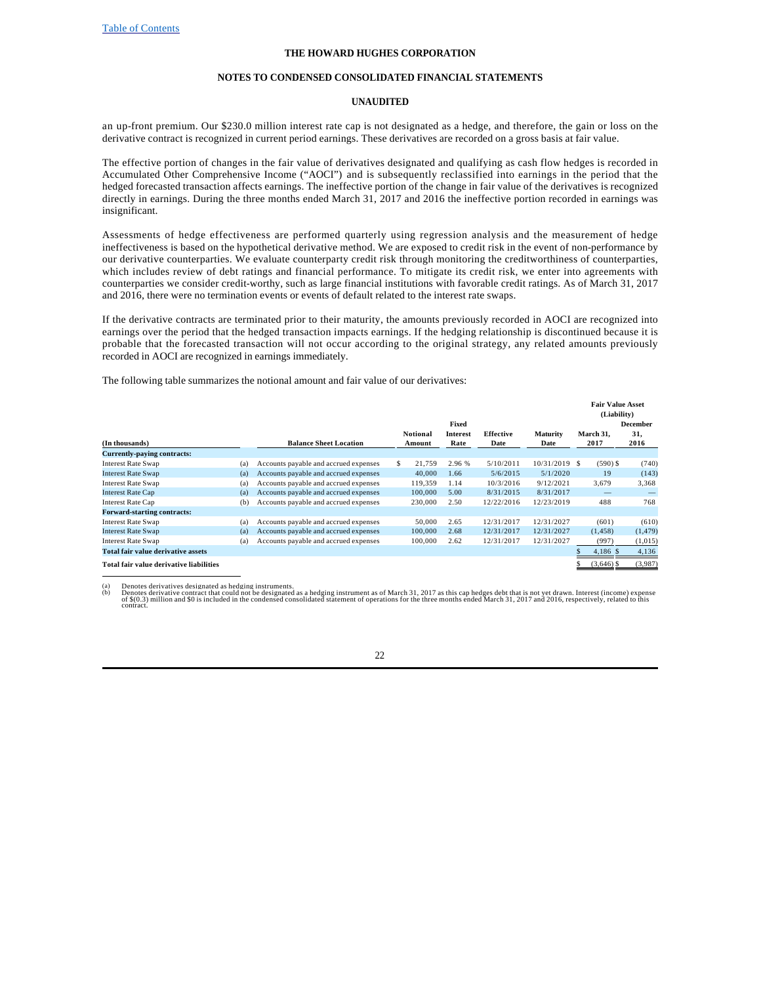#### **NOTES TO CONDENSED CONSOLIDATED FINANCIAL STATEMENTS**

### **UNAUDITED**

an up-front premium. Our \$230.0 million interest rate cap is not designated as a hedge, and therefore, the gain or loss on the derivative contract is recognized in current period earnings. These derivatives are recorded on a gross basis at fair value.

The effective portion of changes in the fair value of derivatives designated and qualifying as cash flow hedges is recorded in Accumulated Other Comprehensive Income ("AOCI") and is subsequently reclassified into earnings in the period that the hedged forecasted transaction affects earnings. The ineffective portion of the change in fair value of the derivatives is recognized directly in earnings. During the three months ended March 31, 2017 and 2016 the ineffective portion recorded in earnings was insignificant.

Assessments of hedge effectiveness are performed quarterly using regression analysis and the measurement of hedge ineffectiveness is based on the hypothetical derivative method. We are exposed to credit risk in the event of non-performance by our derivative counterparties. We evaluate counterparty credit risk through monitoring the creditworthiness of counterparties, which includes review of debt ratings and financial performance. To mitigate its credit risk, we enter into agreements with counterparties we consider credit-worthy, such as large financial institutions with favorable credit ratings. As of March 31, 2017 and 2016, there were no termination events or events of default related to the interest rate swaps.

If the derivative contracts are terminated prior to their maturity, the amounts previously recorded in AOCI are recognized into earnings over the period that the hedged transaction impacts earnings. If the hedging relationship is discontinued because it is probable that the forecasted transaction will not occur according to the original strategy, any related amounts previously recorded in AOCI are recognized in earnings immediately.

The following table summarizes the notional amount and fair value of our derivatives:

|                                         |     |                                       |    |                 |          |            |                 | <b>Fair Value Asset</b><br>(Liability) |          |
|-----------------------------------------|-----|---------------------------------------|----|-----------------|----------|------------|-----------------|----------------------------------------|----------|
|                                         |     |                                       |    |                 | Fixed    |            |                 |                                        | December |
|                                         |     |                                       |    | <b>Notional</b> | Interest | Effective  | <b>Maturity</b> | March 31,                              | 31,      |
| (In thousands)                          |     | <b>Balance Sheet Location</b>         |    | Amount          | Rate     | Date       | Date            | 2017                                   | 2016     |
| Currently-paying contracts:             |     |                                       |    |                 |          |            |                 |                                        |          |
| <b>Interest Rate Swap</b>               | (a) | Accounts payable and accrued expenses | S. | 21.759          | 2.96 %   | 5/10/2011  | $10/31/2019$ \$ | $(590)$ \$                             | (740)    |
| <b>Interest Rate Swap</b>               | (a) | Accounts payable and accrued expenses |    | 40,000          | 1.66     | 5/6/2015   | 5/1/2020        | 19                                     | (143)    |
| <b>Interest Rate Swap</b>               | (a) | Accounts payable and accrued expenses |    | 119.359         | 1.14     | 10/3/2016  | 9/12/2021       | 3,679                                  | 3,368    |
| <b>Interest Rate Cap</b>                | (a) | Accounts payable and accrued expenses |    | 100,000         | 5.00     | 8/31/2015  | 8/31/2017       |                                        |          |
| Interest Rate Cap                       | (b) | Accounts payable and accrued expenses |    | 230,000         | 2.50     | 12/22/2016 | 12/23/2019      | 488                                    | 768      |
| <b>Forward-starting contracts:</b>      |     |                                       |    |                 |          |            |                 |                                        |          |
| <b>Interest Rate Swap</b>               | (a) | Accounts payable and accrued expenses |    | 50,000          | 2.65     | 12/31/2017 | 12/31/2027      | (601)                                  | (610)    |
| <b>Interest Rate Swap</b>               | (a) | Accounts payable and accrued expenses |    | 100,000         | 2.68     | 12/31/2017 | 12/31/2027      | (1, 458)                               | (1, 479) |
| <b>Interest Rate Swap</b>               | (a) | Accounts payable and accrued expenses |    | 100,000         | 2.62     | 12/31/2017 | 12/31/2027      | (997)                                  | (1,015)  |
| Total fair value derivative assets      |     |                                       |    |                 |          |            |                 | $4,186$ \$                             | 4,136    |
| Total fair value derivative liabilities |     |                                       |    |                 |          |            |                 | $(3.646)$ \$                           | (3,987)  |

(a) Denotes derivatives designated as hedging instruments.<br>(b) Denotes derivative contract that could not be designated as a hedging instrument as of March 31, 2017 as this cap hedges debt that is not yet drawn. Interest (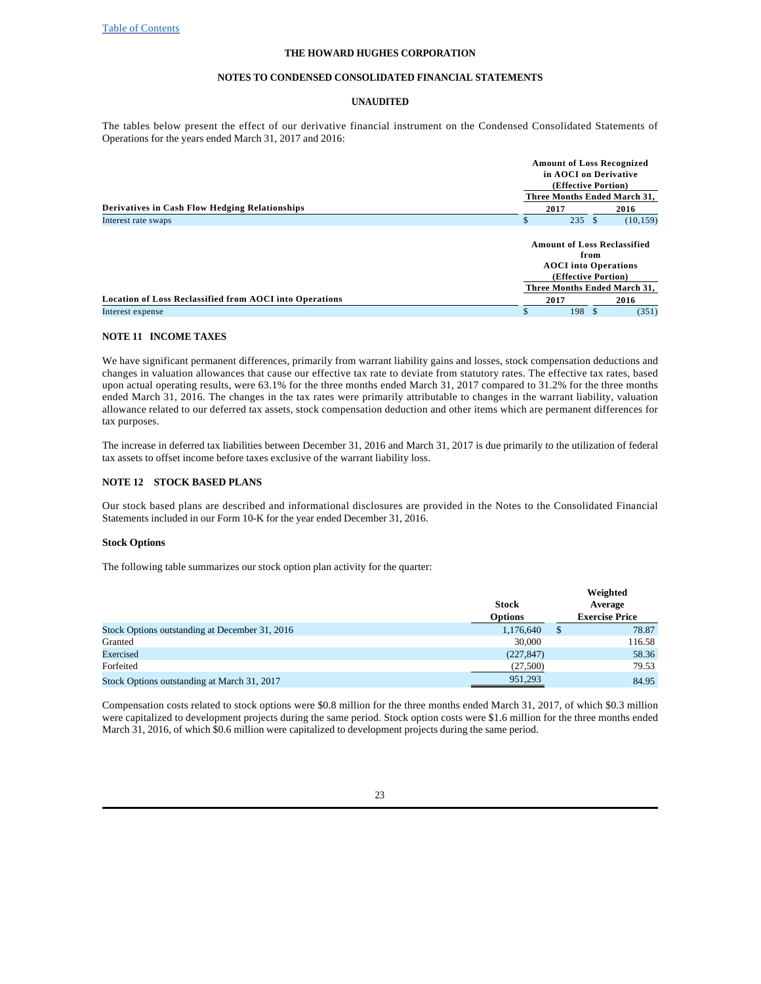#### **NOTES TO CONDENSED CONSOLIDATED FINANCIAL STATEMENTS**

### **UNAUDITED**

The tables below present the effect of our derivative financial instrument on the Condensed Consolidated Statements of Operations for the years ended March 31, 2017 and 2016:

|                                                                |      | <b>Amount of Loss Recognized</b><br>in AOCI on Derivative<br>(Effective Portion)                 |  |  |  |  |  |
|----------------------------------------------------------------|------|--------------------------------------------------------------------------------------------------|--|--|--|--|--|
|                                                                |      | Three Months Ended March 31,                                                                     |  |  |  |  |  |
| <b>Derivatives in Cash Flow Hedging Relationships</b>          | 2017 | 2016                                                                                             |  |  |  |  |  |
| Interest rate swaps                                            | S    | 235S<br>(10, 159)                                                                                |  |  |  |  |  |
|                                                                |      | <b>Amount of Loss Reclassified</b><br>from<br><b>AOCI</b> into Operations<br>(Effective Portion) |  |  |  |  |  |
|                                                                |      | Three Months Ended March 31,                                                                     |  |  |  |  |  |
| <b>Location of Loss Reclassified from AOCI into Operations</b> | 2017 | 2016                                                                                             |  |  |  |  |  |
| Interest expense                                               | \$   | 198S<br>(351)                                                                                    |  |  |  |  |  |

## **NOTE 11 INCOME TAXES**

We have significant permanent differences, primarily from warrant liability gains and losses, stock compensation deductions and changes in valuation allowances that cause our effective tax rate to deviate from statutory rates. The effective tax rates, based upon actual operating results, were 63.1% for the three months ended March 31, 2017 compared to 31.2% for the three months ended March 31, 2016. The changes in the tax rates were primarily attributable to changes in the warrant liability, valuation allowance related to our deferred tax assets, stock compensation deduction and other items which are permanent differences for tax purposes.

The increase in deferred tax liabilities between December 31, 2016 and March 31, 2017 is due primarily to the utilization of federal tax assets to offset income before taxes exclusive of the warrant liability loss.

### **NOTE 12 STOCK BASED PLANS**

Our stock based plans are described and informational disclosures are provided in the Notes to the Consolidated Financial Statements included in our Form 10-K for the year ended December 31, 2016.

#### **Stock Options**

The following table summarizes our stock option plan activity for the quarter:

|                                                | <b>Stock</b><br><b>Options</b> |   | Weighted<br>Average<br><b>Exercise Price</b> |
|------------------------------------------------|--------------------------------|---|----------------------------------------------|
| Stock Options outstanding at December 31, 2016 | 1,176,640                      | S | 78.87                                        |
| Granted                                        | 30,000                         |   | 116.58                                       |
| Exercised                                      | (227, 847)                     |   | 58.36                                        |
| Forfeited                                      | (27,500)                       |   | 79.53                                        |
| Stock Options outstanding at March 31, 2017    | 951.293                        |   | 84.95                                        |

Compensation costs related to stock options were \$0.8 million for the three months ended March 31, 2017, of which \$0.3 million were capitalized to development projects during the same period. Stock option costs were \$1.6 million for the three months ended March 31, 2016, of which \$0.6 million were capitalized to development projects during the same period.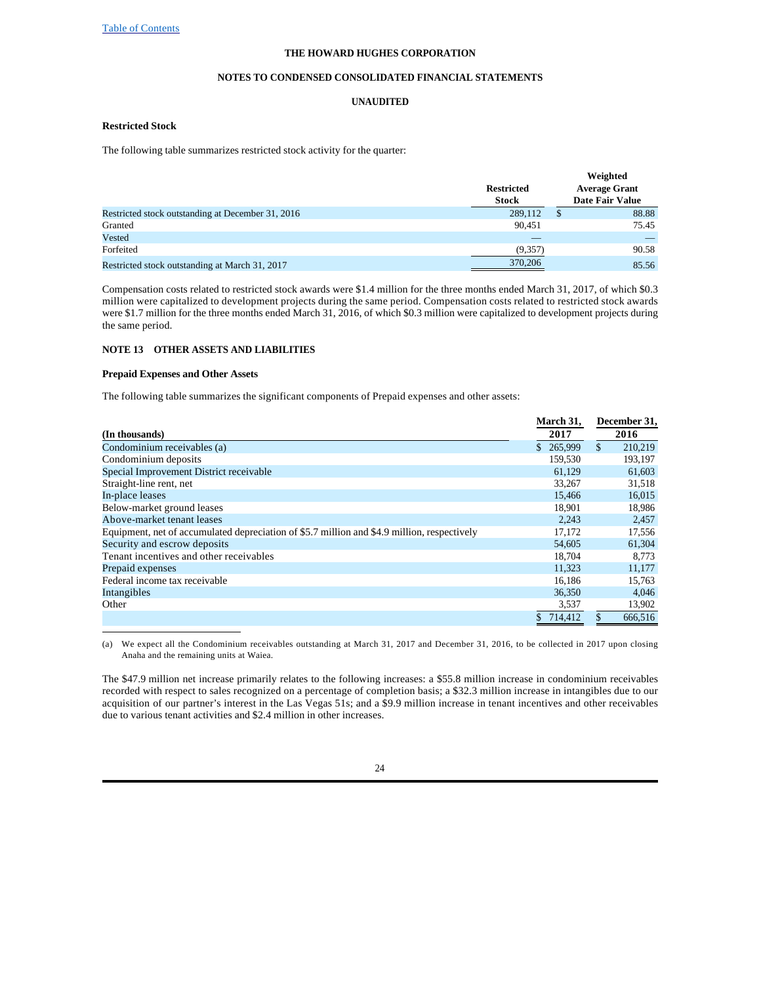### **NOTES TO CONDENSED CONSOLIDATED FINANCIAL STATEMENTS**

### **UNAUDITED**

### **Restricted Stock**

The following table summarizes restricted stock activity for the quarter:

|                                                   | <b>Restricted</b><br><b>Stock</b> |   | Weighted<br><b>Average Grant</b><br><b>Date Fair Value</b> |
|---------------------------------------------------|-----------------------------------|---|------------------------------------------------------------|
| Restricted stock outstanding at December 31, 2016 | 289,112                           | S | 88.88                                                      |
| Granted                                           | 90.451                            |   | 75.45                                                      |
| Vested                                            |                                   |   |                                                            |
| Forfeited                                         | (9,357)                           |   | 90.58                                                      |
| Restricted stock outstanding at March 31, 2017    | 370,206                           |   | 85.56                                                      |

Compensation costs related to restricted stock awards were \$1.4 million for the three months ended March 31, 2017, of which \$0.3 million were capitalized to development projects during the same period. Compensation costs related to restricted stock awards were \$1.7 million for the three months ended March 31, 2016, of which \$0.3 million were capitalized to development projects during the same period.

# **NOTE 13 OTHER ASSETS AND LIABILITIES**

#### **Prepaid Expenses and Other Assets**

The following table summarizes the significant components of Prepaid expenses and other assets:

|                                                                                             | March 31, | December 31,   |
|---------------------------------------------------------------------------------------------|-----------|----------------|
| (In thousands)                                                                              | 2017      | 2016           |
| Condominium receivables (a)                                                                 | \$265.999 | \$.<br>210.219 |
| Condominium deposits                                                                        | 159,530   | 193,197        |
| Special Improvement District receivable                                                     | 61.129    | 61,603         |
| Straight-line rent, net                                                                     | 33,267    | 31,518         |
| In-place leases                                                                             | 15.466    | 16,015         |
| Below-market ground leases                                                                  | 18,901    | 18,986         |
| Above-market tenant leases                                                                  | 2.243     | 2,457          |
| Equipment, net of accumulated depreciation of \$5.7 million and \$4.9 million, respectively | 17,172    | 17,556         |
| Security and escrow deposits                                                                | 54,605    | 61,304         |
| Tenant incentives and other receivables                                                     | 18,704    | 8,773          |
| Prepaid expenses                                                                            | 11.323    | 11,177         |
| Federal income tax receivable                                                               | 16.186    | 15,763         |
| Intangibles                                                                                 | 36,350    | 4,046          |
| Other                                                                                       | 3,537     | 13,902         |
|                                                                                             | 714,412   | 666,516        |

(a) We expect all the Condominium receivables outstanding at March 31, 2017 and December 31, 2016, to be collected in 2017 upon closing Anaha and the remaining units at Waiea.

The \$47.9 million net increase primarily relates to the following increases: a \$55.8 million increase in condominium receivables recorded with respect to sales recognized on a percentage of completion basis; a \$32.3 million increase in intangibles due to our acquisition of our partner's interest in the Las Vegas 51s; and a \$9.9 million increase in tenant incentives and other receivables due to various tenant activities and \$2.4 million in other increases.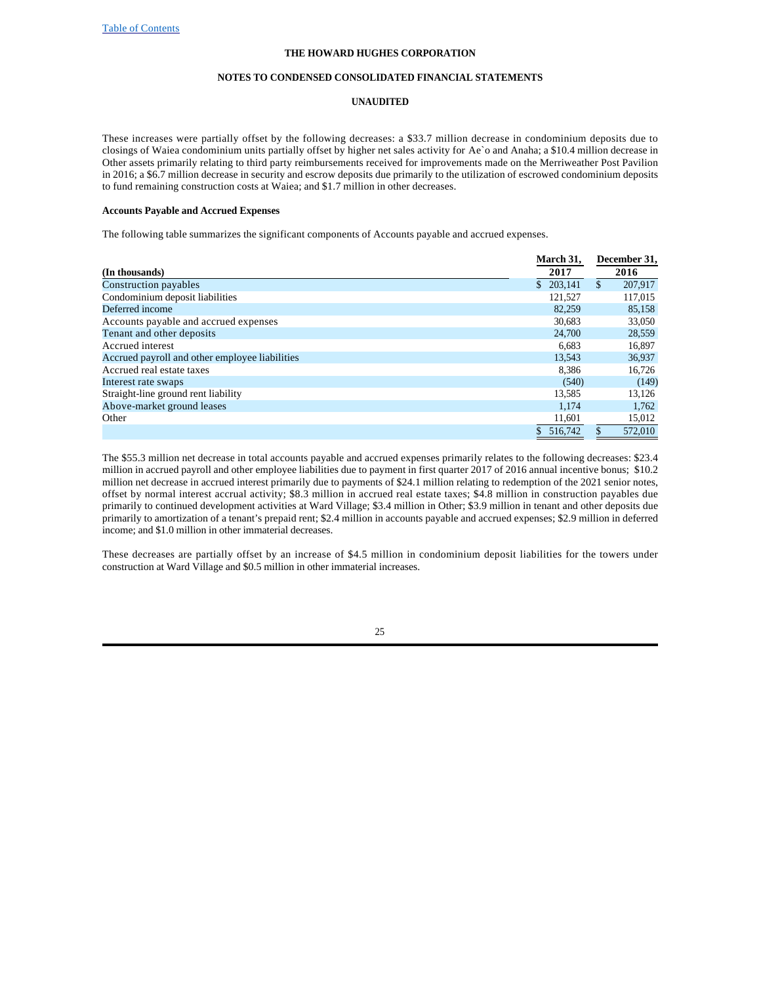#### **NOTES TO CONDENSED CONSOLIDATED FINANCIAL STATEMENTS**

### **UNAUDITED**

These increases were partially offset by the following decreases: a \$33.7 million decrease in condominium deposits due to closings of Waiea condominium units partially offset by higher net sales activity for Ae`o and Anaha; a \$10.4 million decrease in Other assets primarily relating to third party reimbursements received for improvements made on the Merriweather Post Pavilion in 2016; a \$6.7 million decrease in security and escrow deposits due primarily to the utilization of escrowed condominium deposits to fund remaining construction costs at Waiea; and \$1.7 million in other decreases.

### **Accounts Payable and Accrued Expenses**

The following table summarizes the significant components of Accounts payable and accrued expenses.

|                                                | March 31, | December 31, |         |  |
|------------------------------------------------|-----------|--------------|---------|--|
| (In thousands)                                 | 2017      |              | 2016    |  |
| Construction payables                          | \$203.141 | \$           | 207,917 |  |
| Condominium deposit liabilities                | 121,527   |              | 117,015 |  |
| Deferred income                                | 82,259    |              | 85,158  |  |
| Accounts payable and accrued expenses          | 30,683    |              | 33,050  |  |
| Tenant and other deposits                      | 24,700    |              | 28,559  |  |
| Accrued interest                               | 6.683     |              | 16,897  |  |
| Accrued payroll and other employee liabilities | 13.543    |              | 36,937  |  |
| Accrued real estate taxes                      | 8.386     |              | 16,726  |  |
| Interest rate swaps                            | (540)     |              | (149)   |  |
| Straight-line ground rent liability            | 13,585    |              | 13,126  |  |
| Above-market ground leases                     | 1.174     |              | 1,762   |  |
| Other                                          | 11,601    |              | 15,012  |  |
|                                                | 516.742   |              | 572,010 |  |

The \$55.3 million net decrease in total accounts payable and accrued expenses primarily relates to the following decreases: \$23.4 million in accrued payroll and other employee liabilities due to payment in first quarter 2017 of 2016 annual incentive bonus; \$10.2 million net decrease in accrued interest primarily due to payments of \$24.1 million relating to redemption of the 2021 senior notes, offset by normal interest accrual activity; \$8.3 million in accrued real estate taxes; \$4.8 million in construction payables due primarily to continued development activities at Ward Village; \$3.4 million in Other; \$3.9 million in tenant and other deposits due primarily to amortization of a tenant's prepaid rent; \$2.4 million in accounts payable and accrued expenses; \$2.9 million in deferred income; and \$1.0 million in other immaterial decreases.

These decreases are partially offset by an increase of \$4.5 million in condominium deposit liabilities for the towers under construction at Ward Village and \$0.5 million in other immaterial increases.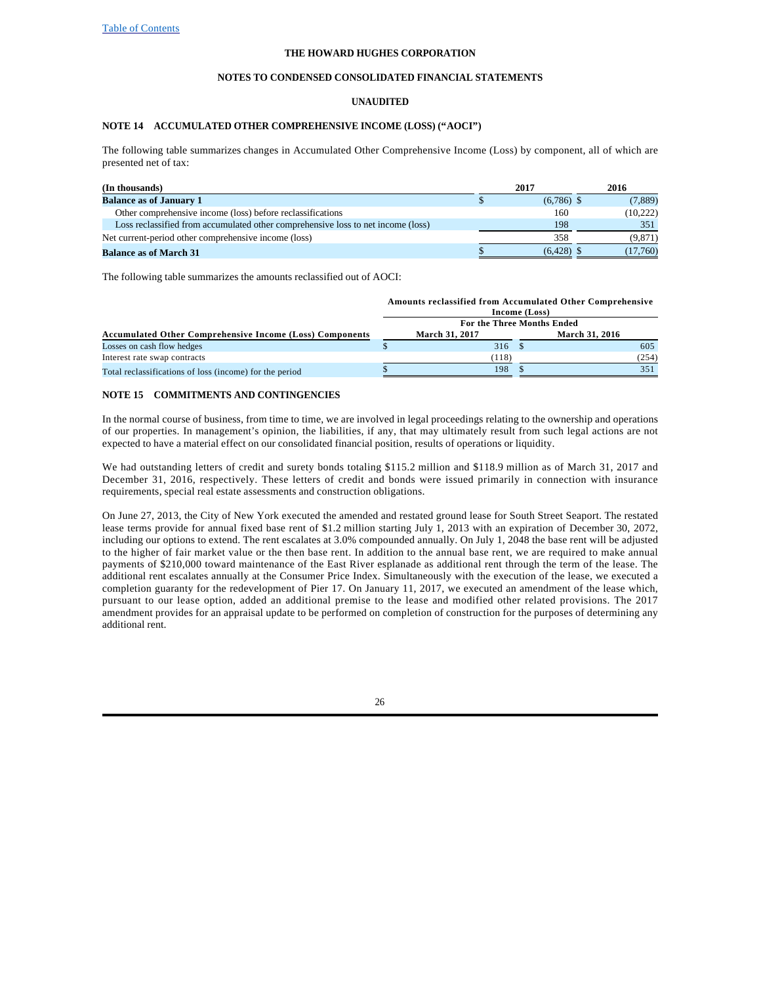### **NOTES TO CONDENSED CONSOLIDATED FINANCIAL STATEMENTS**

### **UNAUDITED**

### **NOTE 14 ACCUMULATED OTHER COMPREHENSIVE INCOME (LOSS) ("AOCI")**

The following table summarizes changes in Accumulated Other Comprehensive Income (Loss) by component, all of which are presented net of tax:

| (In thousands)                                                                   | 2017         | 2016     |
|----------------------------------------------------------------------------------|--------------|----------|
| <b>Balance as of January 1</b>                                                   | $(6,786)$ \$ | (7,889)  |
| Other comprehensive income (loss) before reclassifications                       | 160          | (10,222) |
| Loss reclassified from accumulated other comprehensive loss to net income (loss) | 198          | 351      |
| Net current-period other comprehensive income (loss)                             | 358          | (9,871)  |
| <b>Balance as of March 31</b>                                                    | $(6.428)$ \$ | (17,760) |

The following table summarizes the amounts reclassified out of AOCI:

|                                                                 |               | <b>Amounts reclassified from Accumulated Other Comprehensive</b> |  |                |       |  |  |  |
|-----------------------------------------------------------------|---------------|------------------------------------------------------------------|--|----------------|-------|--|--|--|
|                                                                 | Income (Loss) |                                                                  |  |                |       |  |  |  |
|                                                                 |               | For the Three Months Ended                                       |  |                |       |  |  |  |
| <b>Accumulated Other Comprehensive Income (Loss) Components</b> |               | March 31, 2017                                                   |  | March 31, 2016 |       |  |  |  |
| Losses on cash flow hedges                                      |               | 316S                                                             |  |                | 605   |  |  |  |
| Interest rate swap contracts                                    |               | (118)                                                            |  |                | (254) |  |  |  |
| Total reclassifications of loss (income) for the period         |               | 198                                                              |  |                |       |  |  |  |

### **NOTE 15 COMMITMENTS AND CONTINGENCIES**

In the normal course of business, from time to time, we are involved in legal proceedings relating to the ownership and operations of our properties. In management's opinion, the liabilities, if any, that may ultimately result from such legal actions are not expected to have a material effect on our consolidated financial position, results of operations or liquidity.

We had outstanding letters of credit and surety bonds totaling \$115.2 million and \$118.9 million as of March 31, 2017 and December 31, 2016, respectively. These letters of credit and bonds were issued primarily in connection with insurance requirements, special real estate assessments and construction obligations.

On June 27, 2013, the City of New York executed the amended and restated ground lease for South Street Seaport. The restated lease terms provide for annual fixed base rent of \$1.2 million starting July 1, 2013 with an expiration of December 30, 2072, including our options to extend. The rent escalates at 3.0% compounded annually. On July 1, 2048 the base rent will be adjusted to the higher of fair market value or the then base rent. In addition to the annual base rent, we are required to make annual payments of \$210,000 toward maintenance of the East River esplanade as additional rent through the term of the lease. The additional rent escalates annually at the Consumer Price Index. Simultaneously with the execution of the lease, we executed a completion guaranty for the redevelopment of Pier 17. On January 11, 2017, we executed an amendment of the lease which, pursuant to our lease option, added an additional premise to the lease and modified other related provisions. The 2017 amendment provides for an appraisal update to be performed on completion of construction for the purposes of determining any additional rent.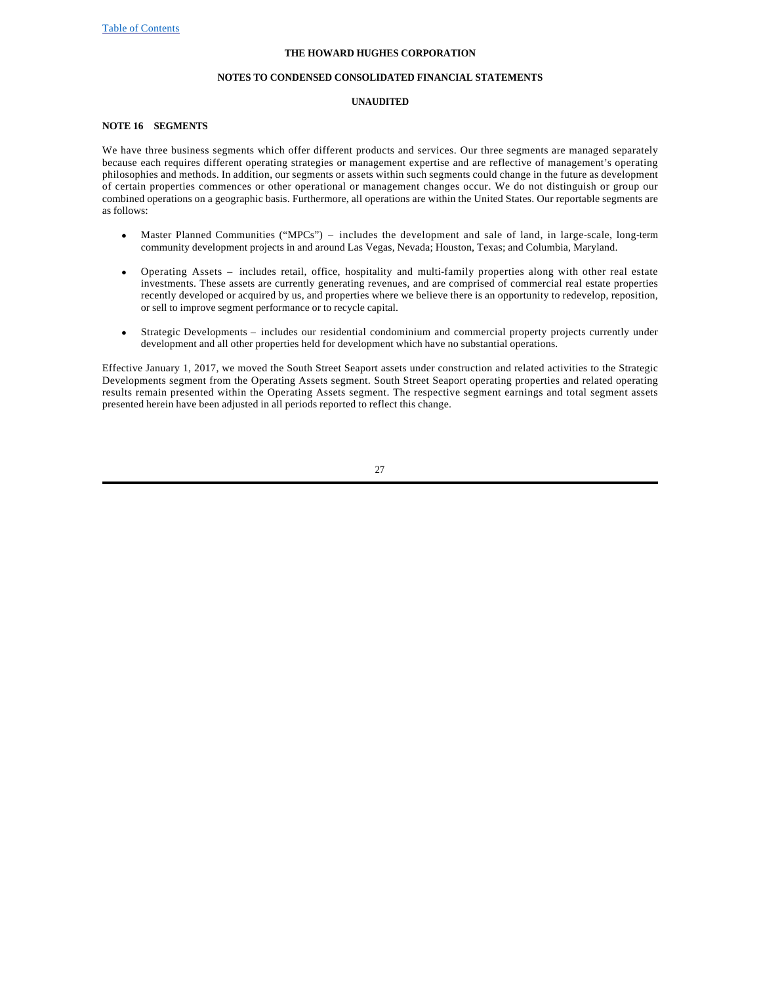### **NOTES TO CONDENSED CONSOLIDATED FINANCIAL STATEMENTS**

### **UNAUDITED**

# **NOTE 16 SEGMENTS**

We have three business segments which offer different products and services. Our three segments are managed separately because each requires different operating strategies or management expertise and are reflective of management's operating philosophies and methods. In addition, our segments or assets within such segments could change in the future as development of certain properties commences or other operational or management changes occur. We do not distinguish or group our combined operations on a geographic basis. Furthermore, all operations are within the United States. Our reportable segments are as follows:

- Master Planned Communities ("MPCs") includes the development and sale of land, in large-scale, long-term community development projects in and around Las Vegas, Nevada; Houston, Texas; and Columbia, Maryland.
- · Operating Assets includes retail, office, hospitality and multi-family properties along with other real estate investments. These assets are currently generating revenues, and are comprised of commercial real estate properties recently developed or acquired by us, and properties where we believe there is an opportunity to redevelop, reposition, or sell to improve segment performance or to recycle capital.
- Strategic Developments includes our residential condominium and commercial property projects currently under development and all other properties held for development which have no substantial operations.

Effective January 1, 2017, we moved the South Street Seaport assets under construction and related activities to the Strategic Developments segment from the Operating Assets segment. South Street Seaport operating properties and related operating results remain presented within the Operating Assets segment. The respective segment earnings and total segment assets presented herein have been adjusted in all periods reported to reflect this change.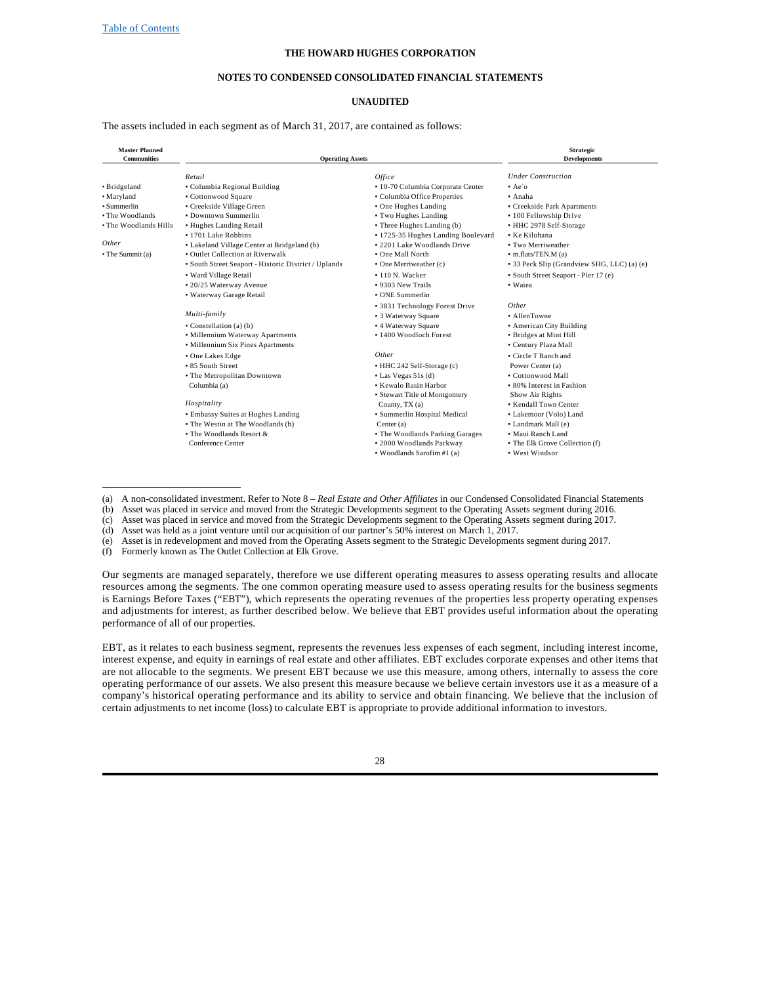### **NOTES TO CONDENSED CONSOLIDATED FINANCIAL STATEMENTS**

### **UNAUDITED**

The assets included in each segment as of March 31, 2017, are contained as follows:

| <b>Master Planned</b><br><b>Communities</b> | <b>Operating Assets</b>                              |                                    | <b>Strategic</b><br><b>Developments</b>     |
|---------------------------------------------|------------------------------------------------------|------------------------------------|---------------------------------------------|
|                                             | Retail                                               | Office                             | <b>Under Construction</b>                   |
| · Bridgeland                                | • Columbia Regional Building                         | · 10-70 Columbia Corporate Center  | $Ae$ o                                      |
| • Maryland                                  | • Cottonwood Square                                  | • Columbia Office Properties       | • Anaha                                     |
| • Summerlin                                 | • Creekside Village Green                            | • One Hughes Landing               | • Creekside Park Apartments                 |
| • The Woodlands                             | • Downtown Summerlin                                 | • Two Hughes Landing               | · 100 Fellowship Drive                      |
| • The Woodlands Hills                       | • Hughes Landing Retail                              | • Three Hughes Landing (b)         | • HHC 2978 Self-Storage                     |
|                                             | • 1701 Lake Robbins                                  | · 1725-35 Hughes Landing Boulevard | • Ke Kilohana                               |
| Other                                       | • Lakeland Village Center at Bridgeland (b)          | . 2201 Lake Woodlands Drive        | • Two Merriweather                          |
| • The Summit (a)                            | • Outlet Collection at Riverwalk                     | • One Mall North                   | $\bullet$ m.flats/TEN.M (a)                 |
|                                             | • South Street Seaport - Historic District / Uplands | $\bullet$ One Merriweather (c)     | • 33 Peck Slip (Grandview SHG, LLC) (a) (e) |
|                                             | • Ward Village Retail                                | • 110 N. Wacker                    | • South Street Seaport - Pier 17 (e)        |
|                                             | • 20/25 Waterway Avenue                              | • 9303 New Trails                  | • Waiea                                     |
|                                             | • Waterway Garage Retail                             | • ONE Summerlin                    |                                             |
|                                             |                                                      | • 3831 Technology Forest Drive     | Other                                       |
|                                             | Multi-family                                         | • 3 Waterway Square                | • AllenTowne                                |
|                                             | $\bullet$ Constellation (a) (b)                      | • 4 Waterway Square                | • American City Building                    |
|                                             | • Millennium Waterway Apartments                     | • 1400 Woodloch Forest             | • Bridges at Mint Hill                      |
|                                             | • Millennium Six Pines Apartments                    |                                    | • Century Plaza Mall                        |
|                                             | • One Lakes Edge                                     | Other                              | Circle T Ranch and                          |
|                                             | • 85 South Street                                    | • HHC 242 Self-Storage (c)         | Power Center (a)                            |
|                                             | • The Metropolitan Downtown                          | $\bullet$ Las Vegas 51s (d)        | • Cottonwood Mall                           |
|                                             | Columbia (a)                                         | • Kewalo Basin Harbor              | • 80% Interest in Fashion                   |
|                                             |                                                      | · Stewart Title of Montgomery      | Show Air Rights                             |
|                                             | Hospitality                                          | County, TX (a)                     | • Kendall Town Center                       |
|                                             | • Embassy Suites at Hughes Landing                   | · Summerlin Hospital Medical       | • Lakemoor (Volo) Land                      |
|                                             | • The Westin at The Woodlands (b)                    | Center $(a)$                       | • Landmark Mall (e)                         |
|                                             | $\bullet$ The Woodlands Resort &                     | • The Woodlands Parking Garages    | • Maui Ranch Land                           |
|                                             | Conference Center                                    | · 2000 Woodlands Parkway           | • The Elk Grove Collection (f)              |
|                                             |                                                      | • Woodlands Sarofim #1 (a)         | • West Windsor                              |

#### (a) A non-consolidated investment. Refer to Note 8 – *Real Estate and Other Affiliates* in our Condensed Consolidated Financial Statements

(b) Asset was placed in service and moved from the Strategic Developments segment to the Operating Assets segment during 2016.

(c) Asset was placed in service and moved from the Strategic Developments segment to the Operating Assets segment during 2017.

(d) Asset was held as a joint venture until our acquisition of our partner's 50% interest on March 1, 2017.

(e) Asset is in redevelopment and moved from the Operating Assets segment to the Strategic Developments segment during 2017.

(f) Formerly known as The Outlet Collection at Elk Grove.

Our segments are managed separately, therefore we use different operating measures to assess operating results and allocate resources among the segments. The one common operating measure used to assess operating results for the business segments is Earnings Before Taxes ("EBT"), which represents the operating revenues of the properties less property operating expenses and adjustments for interest, as further described below. We believe that EBT provides useful information about the operating performance of all of our properties.

EBT, as it relates to each business segment, represents the revenues less expenses of each segment, including interest income, interest expense, and equity in earnings of real estate and other affiliates. EBT excludes corporate expenses and other items that are not allocable to the segments. We present EBT because we use this measure, among others, internally to assess the core operating performance of our assets. We also present this measure because we believe certain investors use it as a measure of a company's historical operating performance and its ability to service and obtain financing. We believe that the inclusion of certain adjustments to net income (loss) to calculate EBT is appropriate to provide additional information to investors.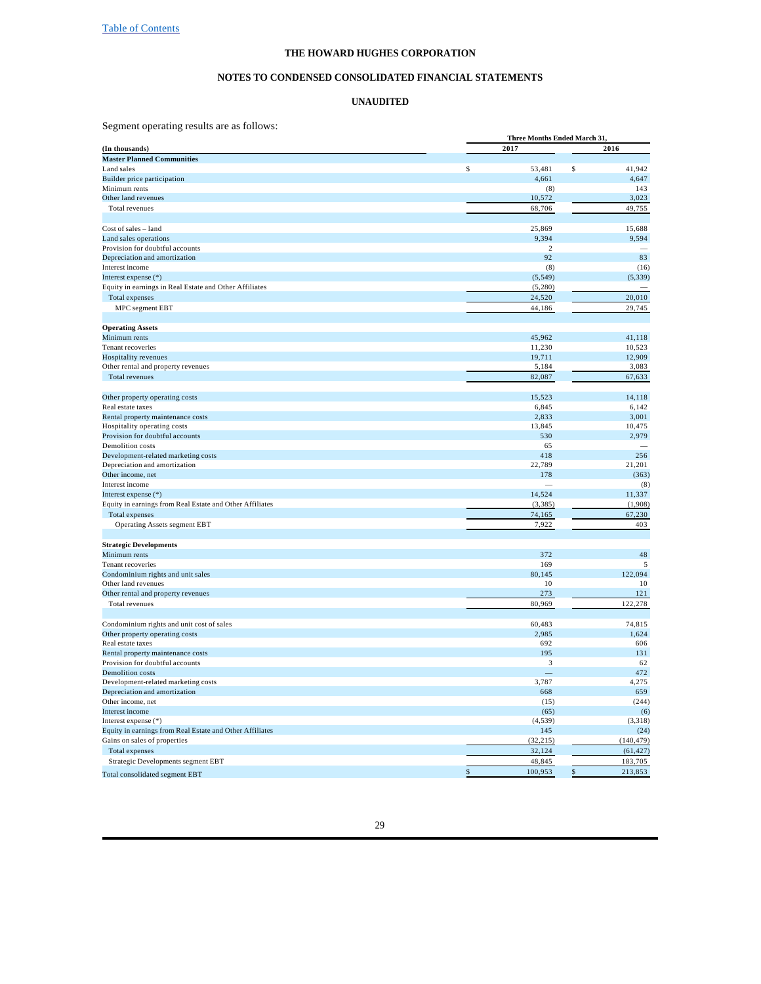#### **NOTES TO CONDENSED CONSOLIDATED FINANCIAL STATEMENTS**

#### **UNAUDITED**

Segment operating results are as follows:

|                                                          |                | <b>Three Months Ended March 31.</b> |  |  |  |  |  |  |
|----------------------------------------------------------|----------------|-------------------------------------|--|--|--|--|--|--|
| (In thousands)                                           | 2017           | 2016                                |  |  |  |  |  |  |
| <b>Master Planned Communities</b>                        |                |                                     |  |  |  |  |  |  |
| Land sales                                               | \$<br>53,481   | \$<br>41,942                        |  |  |  |  |  |  |
| Builder price participation                              | 4,661          | 4,647                               |  |  |  |  |  |  |
| Minimum rents                                            | (8)            | 143                                 |  |  |  |  |  |  |
| Other land revenues                                      | 10,572         | 3,023                               |  |  |  |  |  |  |
| Total revenues                                           | 68,706         | 49,755                              |  |  |  |  |  |  |
| Cost of sales - land                                     | 25,869         | 15,688                              |  |  |  |  |  |  |
| Land sales operations                                    | 9,394          | 9,594                               |  |  |  |  |  |  |
| Provision for doubtful accounts                          | $\overline{c}$ |                                     |  |  |  |  |  |  |
| Depreciation and amortization                            | 92             | 83                                  |  |  |  |  |  |  |
| Interest income                                          | (8)            | (16)                                |  |  |  |  |  |  |
| Interest expense (*)                                     | (5, 549)       | (5, 339)                            |  |  |  |  |  |  |
| Equity in earnings in Real Estate and Other Affiliates   | (5,280)        |                                     |  |  |  |  |  |  |
|                                                          |                | 20,010                              |  |  |  |  |  |  |
| Total expenses                                           | 24,520         |                                     |  |  |  |  |  |  |
| MPC segment EBT                                          | 44,186         | 29,745                              |  |  |  |  |  |  |
| <b>Operating Assets</b>                                  |                |                                     |  |  |  |  |  |  |
| Minimum rents                                            | 45,962         | 41,118                              |  |  |  |  |  |  |
| Tenant recoveries                                        | 11,230         | 10,523                              |  |  |  |  |  |  |
| Hospitality revenues                                     | 19,711         | 12,909                              |  |  |  |  |  |  |
| Other rental and property revenues                       | 5,184          | 3,083                               |  |  |  |  |  |  |
| Total revenues                                           | 82,087         | 67,633                              |  |  |  |  |  |  |
|                                                          |                |                                     |  |  |  |  |  |  |
| Other property operating costs                           | 15,523         | 14,118                              |  |  |  |  |  |  |
| Real estate taxes                                        | 6,845          | 6,142                               |  |  |  |  |  |  |
| Rental property maintenance costs                        | 2,833          | 3,001                               |  |  |  |  |  |  |
| Hospitality operating costs                              | 13,845         | 10,475                              |  |  |  |  |  |  |
| Provision for doubtful accounts                          | 530            | 2,979                               |  |  |  |  |  |  |
| Demolition costs                                         | 65             |                                     |  |  |  |  |  |  |
| Development-related marketing costs                      | 418            | 256                                 |  |  |  |  |  |  |
| Depreciation and amortization                            | 22,789         | 21,201                              |  |  |  |  |  |  |
| Other income, net                                        | 178            | (363)                               |  |  |  |  |  |  |
| Interest income                                          |                | (8)                                 |  |  |  |  |  |  |
| Interest expense (*)                                     | 14,524         | 11,337                              |  |  |  |  |  |  |
| Equity in earnings from Real Estate and Other Affiliates | (3, 385)       | (1,908)                             |  |  |  |  |  |  |
| Total expenses                                           | 74,165         | 67,230                              |  |  |  |  |  |  |
| Operating Assets segment EBT                             | 7,922          | 403                                 |  |  |  |  |  |  |
| <b>Strategic Developments</b>                            |                |                                     |  |  |  |  |  |  |
| Minimum rents                                            | 372            | 48                                  |  |  |  |  |  |  |
| Tenant recoveries                                        | 169            | 5                                   |  |  |  |  |  |  |
| Condominium rights and unit sales                        | 80.145         | 122.094                             |  |  |  |  |  |  |
| Other land revenues                                      | 10             | 10                                  |  |  |  |  |  |  |
| Other rental and property revenues                       | 273            | 121                                 |  |  |  |  |  |  |
| Total revenues                                           | 80,969         | 122,278                             |  |  |  |  |  |  |
|                                                          |                |                                     |  |  |  |  |  |  |
| Condominium rights and unit cost of sales                | 60,483         | 74,815                              |  |  |  |  |  |  |
| Other property operating costs<br>Real estate taxes      | 2,985<br>692   | 1,624<br>606                        |  |  |  |  |  |  |
| Rental property maintenance costs                        | 195            | 131                                 |  |  |  |  |  |  |
| Provision for doubtful accounts                          | 3              | 62                                  |  |  |  |  |  |  |
| <b>Demolition</b> costs                                  |                | 472                                 |  |  |  |  |  |  |
| Development-related marketing costs                      | 3,787          | 4,275                               |  |  |  |  |  |  |
| Depreciation and amortization                            | 668            | 659                                 |  |  |  |  |  |  |
| Other income, net                                        | (15)           | (244)                               |  |  |  |  |  |  |
| Interest income                                          | (65)           | (6)                                 |  |  |  |  |  |  |
| Interest expense (*)                                     | (4, 539)       | (3, 318)                            |  |  |  |  |  |  |
| Equity in earnings from Real Estate and Other Affiliates | 145            | (24)                                |  |  |  |  |  |  |
| Gains on sales of properties                             | (32, 215)      | (140, 479)                          |  |  |  |  |  |  |
| Total expenses                                           | 32,124         | (61, 427)                           |  |  |  |  |  |  |
| Strategic Developments segment EBT                       | 48,845         | 183,705                             |  |  |  |  |  |  |
|                                                          | 100,953<br>\$  | \$<br>213,853                       |  |  |  |  |  |  |
| Total consolidated segment EBT                           |                |                                     |  |  |  |  |  |  |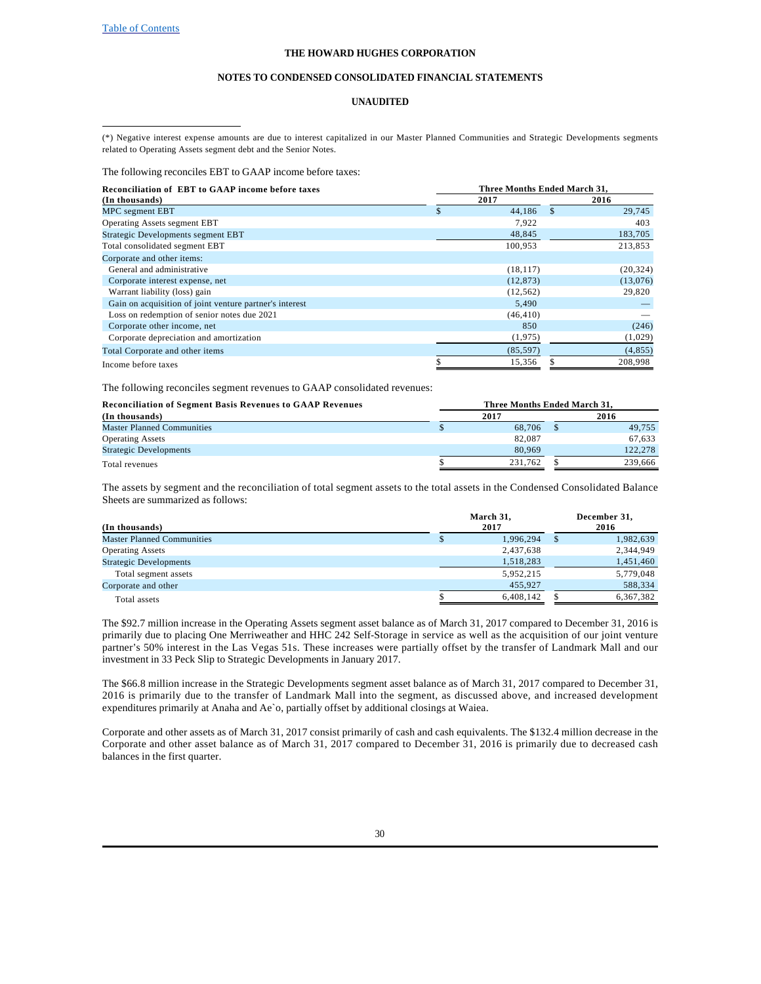#### **NOTES TO CONDENSED CONSOLIDATED FINANCIAL STATEMENTS**

### **UNAUDITED**

The following reconciles EBT to GAAP income before taxes:

| <b>Reconciliation of EBT to GAAP income before taxes</b> | Three Months Ended March 31. |     |           |  |  |  |  |  |
|----------------------------------------------------------|------------------------------|-----|-----------|--|--|--|--|--|
| (In thousands)                                           | 2017                         |     | 2016      |  |  |  |  |  |
| MPC segment EBT                                          | \$<br>44.186                 | \$. | 29,745    |  |  |  |  |  |
| <b>Operating Assets segment EBT</b>                      | 7,922                        |     | 403       |  |  |  |  |  |
| Strategic Developments segment EBT                       | 48,845                       |     | 183,705   |  |  |  |  |  |
| Total consolidated segment EBT                           | 100,953                      |     | 213,853   |  |  |  |  |  |
| Corporate and other items:                               |                              |     |           |  |  |  |  |  |
| General and administrative                               | (18, 117)                    |     | (20, 324) |  |  |  |  |  |
| Corporate interest expense, net                          | (12, 873)                    |     | (13,076)  |  |  |  |  |  |
| Warrant liability (loss) gain                            | (12, 562)                    |     | 29,820    |  |  |  |  |  |
| Gain on acquisition of joint venture partner's interest  | 5.490                        |     |           |  |  |  |  |  |
| Loss on redemption of senior notes due 2021              | (46, 410)                    |     |           |  |  |  |  |  |
| Corporate other income, net                              | 850                          |     | (246)     |  |  |  |  |  |
| Corporate depreciation and amortization                  | (1,975)                      |     | (1,029)   |  |  |  |  |  |
| Total Corporate and other items                          | (85, 597)                    |     | (4, 855)  |  |  |  |  |  |
| Income before taxes                                      | 15,356                       |     | 208,998   |  |  |  |  |  |

The following reconciles segment revenues to GAAP consolidated revenues:

| <b>Reconciliation of Segment Basis Revenues to GAAP Revenues</b> | Three Months Ended March 31. |         |
|------------------------------------------------------------------|------------------------------|---------|
| (In thousands)                                                   | 2017                         | 2016    |
| <b>Master Planned Communities</b>                                | 68.706                       | 49.755  |
| <b>Operating Assets</b>                                          | 82,087                       | 67.633  |
| <b>Strategic Developments</b>                                    | 80,969                       | 122,278 |
| Total revenues                                                   | 231.762                      | 239,666 |

The assets by segment and the reconciliation of total segment assets to the total assets in the Condensed Consolidated Balance Sheets are summarized as follows:

| (In thousands)                    | March 31,<br>2017 | December 31,<br>2016 |
|-----------------------------------|-------------------|----------------------|
| <b>Master Planned Communities</b> | 1,996,294         | 1,982,639            |
| <b>Operating Assets</b>           | 2,437,638         | 2,344,949            |
| <b>Strategic Developments</b>     | 1,518,283         | 1,451,460            |
| Total segment assets              | 5,952,215         | 5,779,048            |
| Corporate and other               | 455.927           | 588,334              |
| Total assets                      | 6,408,142         | 6,367,382            |

The \$92.7 million increase in the Operating Assets segment asset balance as of March 31, 2017 compared to December 31, 2016 is primarily due to placing One Merriweather and HHC 242 Self-Storage in service as well as the acquisition of our joint venture partner's 50% interest in the Las Vegas 51s. These increases were partially offset by the transfer of Landmark Mall and our investment in 33 Peck Slip to Strategic Developments in January 2017.

The \$66.8 million increase in the Strategic Developments segment asset balance as of March 31, 2017 compared to December 31, 2016 is primarily due to the transfer of Landmark Mall into the segment, as discussed above, and increased development expenditures primarily at Anaha and Ae`o, partially offset by additional closings at Waiea.

Corporate and other assets as of March 31, 2017 consist primarily of cash and cash equivalents. The \$132.4 million decrease in the Corporate and other asset balance as of March 31, 2017 compared to December 31, 2016 is primarily due to decreased cash balances in the first quarter.

<sup>(\*)</sup> Negative interest expense amounts are due to interest capitalized in our Master Planned Communities and Strategic Developments segments related to Operating Assets segment debt and the Senior Notes.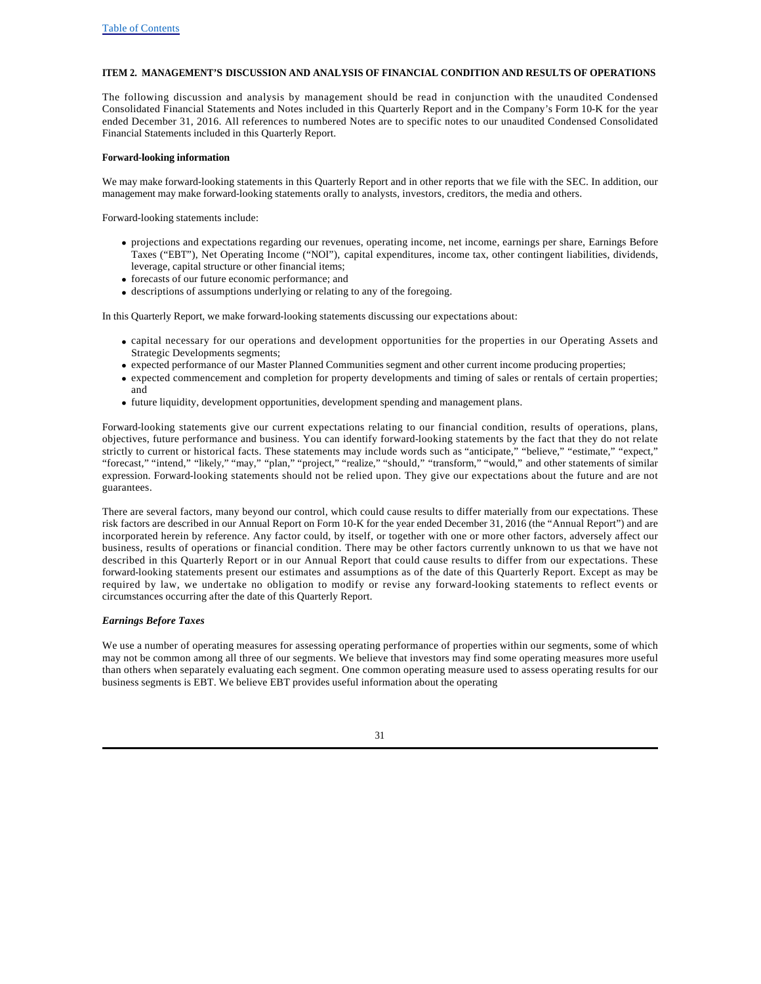### **ITEM 2. MANAGEMENT'S DISCUSSION AND ANALYSIS OF FINANCIAL CONDITION AND RESULTS OF OPERATIONS**

The following discussion and analysis by management should be read in conjunction with the unaudited Condensed Consolidated Financial Statements and Notes included in this Quarterly Report and in the Company's Form 10-K for the year ended December 31, 2016. All references to numbered Notes are to specific notes to our unaudited Condensed Consolidated Financial Statements included in this Quarterly Report.

### **Forward-looking information**

We may make forward-looking statements in this Quarterly Report and in other reports that we file with the SEC. In addition, our management may make forward-looking statements orally to analysts, investors, creditors, the media and others.

Forward-looking statements include:

- · projections and expectations regarding our revenues, operating income, net income, earnings per share, Earnings Before Taxes ("EBT"), Net Operating Income ("NOI"), capital expenditures, income tax, other contingent liabilities, dividends, leverage, capital structure or other financial items;
- · forecasts of our future economic performance; and
- · descriptions of assumptions underlying or relating to any of the foregoing.

In this Quarterly Report, we make forward-looking statements discussing our expectations about:

- · capital necessary for our operations and development opportunities for the properties in our Operating Assets and Strategic Developments segments;
- · expected performance of our Master Planned Communities segment and other current income producing properties;
- · expected commencement and completion for property developments and timing of sales or rentals of certain properties; and
- · future liquidity, development opportunities, development spending and management plans.

Forward-looking statements give our current expectations relating to our financial condition, results of operations, plans, objectives, future performance and business. You can identify forward-looking statements by the fact that they do not relate strictly to current or historical facts. These statements may include words such as "anticipate," "believe," "estimate," "expect," "forecast," "intend," "likely," "may," "plan," "project," "realize," "should," "transform," "would," and other statements of similar expression. Forward-looking statements should not be relied upon. They give our expectations about the future and are not guarantees.

There are several factors, many beyond our control, which could cause results to differ materially from our expectations. These risk factors are described in our Annual Report on Form 10-K for the year ended December 31, 2016 (the "Annual Report") and are incorporated herein by reference. Any factor could, by itself, or together with one or more other factors, adversely affect our business, results of operations or financial condition. There may be other factors currently unknown to us that we have not described in this Quarterly Report or in our Annual Report that could cause results to differ from our expectations. These forward-looking statements present our estimates and assumptions as of the date of this Quarterly Report. Except as may be required by law, we undertake no obligation to modify or revise any forward-looking statements to reflect events or circumstances occurring after the date of this Quarterly Report.

### *Earnings Before Taxes*

We use a number of operating measures for assessing operating performance of properties within our segments, some of which may not be common among all three of our segments. We believe that investors may find some operating measures more useful than others when separately evaluating each segment. One common operating measure used to assess operating results for our business segments is EBT. We believe EBT provides useful information about the operating

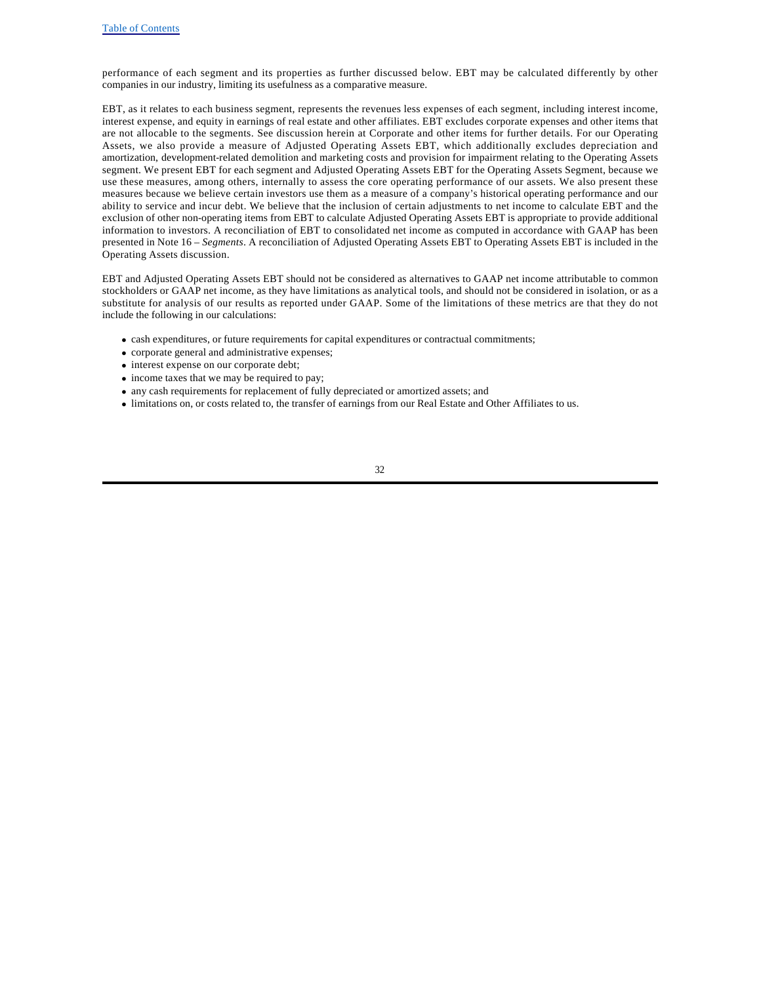performance of each segment and its properties as further discussed below. EBT may be calculated differently by other companies in our industry, limiting its usefulness as a comparative measure.

EBT, as it relates to each business segment, represents the revenues less expenses of each segment, including interest income, interest expense, and equity in earnings of real estate and other affiliates. EBT excludes corporate expenses and other items that are not allocable to the segments. See discussion herein at Corporate and other items for further details. For our Operating Assets, we also provide a measure of Adjusted Operating Assets EBT, which additionally excludes depreciation and amortization, development-related demolition and marketing costs and provision for impairment relating to the Operating Assets segment. We present EBT for each segment and Adjusted Operating Assets EBT for the Operating Assets Segment, because we use these measures, among others, internally to assess the core operating performance of our assets. We also present these measures because we believe certain investors use them as a measure of a company's historical operating performance and our ability to service and incur debt. We believe that the inclusion of certain adjustments to net income to calculate EBT and the exclusion of other non-operating items from EBT to calculate Adjusted Operating Assets EBT is appropriate to provide additional information to investors. A reconciliation of EBT to consolidated net income as computed in accordance with GAAP has been presented in Note 16 – *Segments*. A reconciliation of Adjusted Operating Assets EBT to Operating Assets EBT is included in the Operating Assets discussion.

EBT and Adjusted Operating Assets EBT should not be considered as alternatives to GAAP net income attributable to common stockholders or GAAP net income, as they have limitations as analytical tools, and should not be considered in isolation, or as a substitute for analysis of our results as reported under GAAP. Some of the limitations of these metrics are that they do not include the following in our calculations:

- · cash expenditures, or future requirements for capital expenditures or contractual commitments;
- · corporate general and administrative expenses;
- interest expense on our corporate debt;
- income taxes that we may be required to pay;
- · any cash requirements for replacement of fully depreciated or amortized assets; and
- · limitations on, or costs related to, the transfer of earnings from our Real Estate and Other Affiliates to us.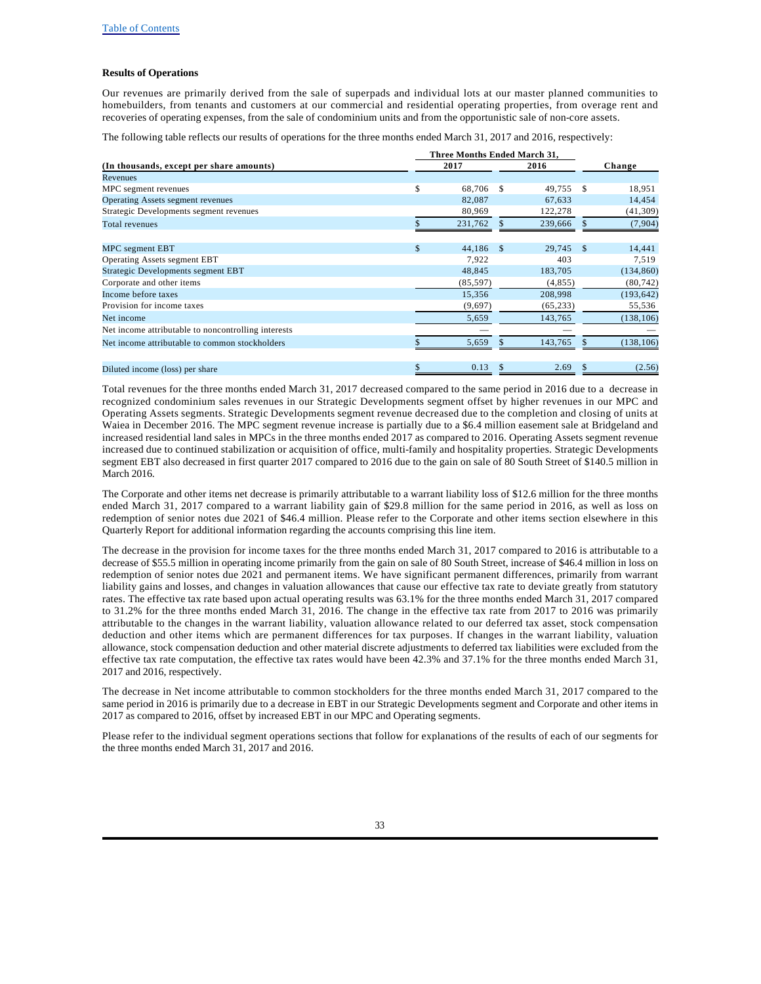#### **Results of Operations**

Our revenues are primarily derived from the sale of superpads and individual lots at our master planned communities to homebuilders, from tenants and customers at our commercial and residential operating properties, from overage rent and recoveries of operating expenses, from the sale of condominium units and from the opportunistic sale of non-core assets.

The following table reflects our results of operations for the three months ended March 31, 2017 and 2016, respectively:

| (In thousands, except per share amounts)            |    | 2017      |    | 2016      |      | Change     |
|-----------------------------------------------------|----|-----------|----|-----------|------|------------|
| Revenues                                            |    |           |    |           |      |            |
| MPC segment revenues                                | \$ | 68,706    | -S | 49,755    | -S   | 18,951     |
| Operating Assets segment revenues                   |    | 82,087    |    | 67,633    |      | 14,454     |
| Strategic Developments segment revenues             |    | 80,969    |    | 122,278   |      | (41, 309)  |
| Total revenues                                      |    | 231,762   |    | 239,666   |      | (7,904)    |
| MPC segment EBT                                     | \$ | 44.186    | -S | 29.745    | - \$ | 14,441     |
| <b>Operating Assets segment EBT</b>                 |    | 7,922     |    | 403       |      | 7,519      |
| Strategic Developments segment EBT                  |    | 48,845    |    | 183,705   |      | (134, 860) |
| Corporate and other items                           |    | (85, 597) |    | (4, 855)  |      | (80, 742)  |
| Income before taxes                                 |    | 15,356    |    | 208,998   |      | (193, 642) |
| Provision for income taxes                          |    | (9,697)   |    | (65, 233) |      | 55,536     |
| Net income                                          |    | 5,659     |    | 143,765   |      | (138, 106) |
| Net income attributable to noncontrolling interests |    |           |    |           |      |            |
| Net income attributable to common stockholders      |    | 5,659     |    | 143,765   |      | (138, 106) |
| Diluted income (loss) per share                     | \$ | 0.13      | \$ | 2.69      |      | (2.56)     |

Total revenues for the three months ended March 31, 2017 decreased compared to the same period in 2016 due to a decrease in recognized condominium sales revenues in our Strategic Developments segment offset by higher revenues in our MPC and Operating Assets segments. Strategic Developments segment revenue decreased due to the completion and closing of units at Waiea in December 2016. The MPC segment revenue increase is partially due to a \$6.4 million easement sale at Bridgeland and increased residential land sales in MPCs in the three months ended 2017 as compared to 2016. Operating Assets segment revenue increased due to continued stabilization or acquisition of office, multi-family and hospitality properties. Strategic Developments segment EBT also decreased in first quarter 2017 compared to 2016 due to the gain on sale of 80 South Street of \$140.5 million in March 2016.

The Corporate and other items net decrease is primarily attributable to a warrant liability loss of \$12.6 million for the three months ended March 31, 2017 compared to a warrant liability gain of \$29.8 million for the same period in 2016, as well as loss on redemption of senior notes due 2021 of \$46.4 million. Please refer to the Corporate and other items section elsewhere in this Quarterly Report for additional information regarding the accounts comprising this line item.

The decrease in the provision for income taxes for the three months ended March 31, 2017 compared to 2016 is attributable to a decrease of \$55.5 million in operating income primarily from the gain on sale of 80 South Street, increase of \$46.4 million in loss on redemption of senior notes due 2021 and permanent items. We have significant permanent differences, primarily from warrant liability gains and losses, and changes in valuation allowances that cause our effective tax rate to deviate greatly from statutory rates. The effective tax rate based upon actual operating results was 63.1% for the three months ended March 31, 2017 compared to 31.2% for the three months ended March 31, 2016. The change in the effective tax rate from 2017 to 2016 was primarily attributable to the changes in the warrant liability, valuation allowance related to our deferred tax asset, stock compensation deduction and other items which are permanent differences for tax purposes. If changes in the warrant liability, valuation allowance, stock compensation deduction and other material discrete adjustments to deferred tax liabilities were excluded from the effective tax rate computation, the effective tax rates would have been 42.3% and 37.1% for the three months ended March 31, 2017 and 2016, respectively.

The decrease in Net income attributable to common stockholders for the three months ended March 31, 2017 compared to the same period in 2016 is primarily due to a decrease in EBT in our Strategic Developments segment and Corporate and other items in 2017 as compared to 2016, offset by increased EBT in our MPC and Operating segments.

Please refer to the individual segment operations sections that follow for explanations of the results of each of our segments for the three months ended March 31, 2017 and 2016.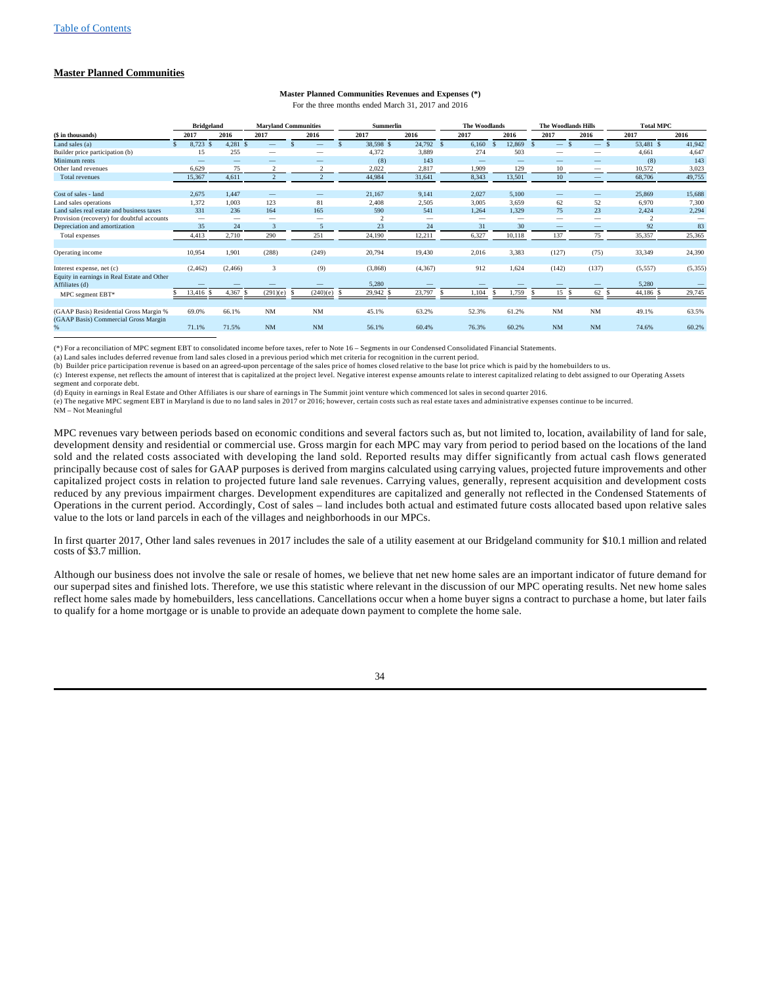## **Master Planned Communities**

# **Master Planned Communities Revenues and Expenses (\*)**

For the three months ended March 31, 2017 and 2016

|                                                               | <b>Bridgeland</b>        |                          |                | <b>Maryland Communities</b> | <b>Summerlin</b> |                          |      | The Woodlands |    |                          | <b>The Woodlands Hills</b> |                                       |      | <b>Total MPC</b> |          |
|---------------------------------------------------------------|--------------------------|--------------------------|----------------|-----------------------------|------------------|--------------------------|------|---------------|----|--------------------------|----------------------------|---------------------------------------|------|------------------|----------|
| (\$ in thousands)                                             | 2017                     | 2016                     | 2017           | 2016                        | 2017             | 2016                     |      | 2017          |    | 2016                     | 2017                       | 2016                                  |      | 2017             | 2016     |
| Land sales (a)                                                | 8,723 \$<br>S.           | 4,281 \$                 |                | $\overline{\phantom{a}}$    | 38,598 \$        | 24,792                   | - \$ | 6,160         | -S | 12.869                   | -                          | $\overline{\phantom{a}}$              | - \$ | 53,481 \$        | 41,942   |
| Builder price participation (b)                               | 15                       | 255                      | -              | -                           | 4,372            | 3,889                    |      | 274           |    | 503                      | -                          | $\overline{\phantom{a}}$              |      | 4,661            | 4,647    |
| Minimum rents                                                 |                          | $\overline{\phantom{a}}$ |                | $\overline{\phantom{a}}$    | (8)              | 143                      |      |               |    | $\overline{\phantom{a}}$ |                            |                                       |      | (8)              | 143      |
| Other land revenues                                           | 6,629                    | 75                       |                |                             | 2,022            | 2,817                    |      | 1,909         |    | 129                      | 10                         | $\hspace{1.0cm} \rule{1.5cm}{0.15cm}$ |      | 10,572           | 3,023    |
| <b>Total revenues</b>                                         | 15,367                   | 4,611                    | $\overline{2}$ | $\overline{2}$              | 44,984           | 31,641                   |      | 8,343         |    | 13,501                   | 10                         | $\qquad \qquad -$                     |      | 68,706           | 49,755   |
| Cost of sales - land                                          | 2,675                    | 1,447                    | -              | $\overline{\phantom{a}}$    | 21,167           | 9,141                    |      | 2,027         |    | 5,100                    |                            | $\overline{\phantom{a}}$              |      | 25,869           | 15,688   |
| Land sales operations                                         | 1.372                    | 1.003                    | 123            | 81                          | 2,408            | 2,505                    |      | 3,005         |    | 3.659                    | 62                         | 52                                    |      | 6,970            | 7,300    |
| Land sales real estate and business taxes                     | 331                      | 236                      | 164            | 165                         | 590              | 541                      |      | 1,264         |    | 1,329                    | 75                         | 23                                    |      | 2,424            | 2,294    |
| Provision (recovery) for doubtful accounts                    | $\overline{\phantom{a}}$ | $\overline{\phantom{a}}$ | -              | $\overline{\phantom{a}}$    |                  | $\overline{\phantom{0}}$ |      | -             |    | -                        | $\overline{\phantom{a}}$   | $\overline{\phantom{a}}$              |      | $\mathcal{L}$    |          |
| Depreciation and amortization                                 | 35                       | 24                       | 3              | 5                           | 23               | 24                       |      | 31            |    | 30                       |                            | $\overline{\phantom{a}}$              |      | 92               | 83       |
| Total expenses                                                | 4,413                    | 2,710                    | 290            | 251                         | 24,190           | 12,211                   |      | 6,327         |    | 10,118                   | 137                        | 75                                    |      | 35,357           | 25,365   |
| Operating income                                              | 10,954                   | 1,901                    | (288)          | (249)                       | 20,794           | 19,430                   |      | 2,016         |    | 3,383                    | (127)                      | (75)                                  |      | 33,349           | 24,390   |
| Interest expense, net (c)                                     | (2, 462)                 | (2, 466)                 | 3              | (9)                         | (3,868)          | (4,367)                  |      | 912           |    | 1.624                    | (142)                      | (137)                                 |      | (5,557)          | (5, 355) |
| Equity in earnings in Real Estate and Other<br>Affiliates (d) |                          |                          |                |                             | 5,280            |                          |      |               |    |                          |                            |                                       |      | 5,280            |          |
| MPC segment EBT*                                              | 13,416 \$                | 4,367                    | (291)(e)       | (240)(e)                    | 29,942 \$        | 23,797                   |      | 1,104         |    | 1.759                    | 15                         | 62                                    |      | 44,186 \$        | 29,745   |
| (GAAP Basis) Residential Gross Margin %                       | 69.0%                    | 66.1%                    | <b>NM</b>      | <b>NM</b>                   | 45.1%            | 63.2%                    |      | 52.3%         |    | 61.2%                    | NM                         | <b>NM</b>                             |      | 49.1%            | 63.5%    |
| (GAAP Basis) Commercial Gross Margin                          |                          |                          |                |                             |                  |                          |      |               |    |                          |                            |                                       |      |                  |          |
| %                                                             | 71.1%                    | 71.5%                    | NM             | <b>NM</b>                   | 56.1%            | 60.4%                    |      | 76.3%         |    | 60.2%                    | NM                         | <b>NM</b>                             |      | 74.6%            | 60.2%    |

(\*) For a reconciliation of MPC segment EBT to consolidated income before taxes, refer to Note 16 – Segments in our Condensed Consolidated Financial Statements.

(a) Land sales includes deferred revenue from land sales closed in a previous period which met criteria for recognition in the current period.

(b) Builder price participation revenue is based on an agreed-upon percentage of the sales price of homes closed relative to the base lot price which is paid by the homebuilders to us.

(c) Interest expense, net reflects the amount of interest that is capitalized at the project level. Negative interest expense amounts relate to interest capitalized relating to debt assigned to our Operating Assets segment and corporate debt.

(d) Equity in earnings in Real Estate and Other Affiliates is our share of earnings in The Summit joint venture which commenced lot sales in second quarter 2016.

(e) The negative MPC segment EBT in Maryland is due to no land sales in 2017 or 2016; however, certain costs such as real estate taxes and administrative expenses continue to be incurred. NM – Not Meaningful

MPC revenues vary between periods based on economic conditions and several factors such as, but not limited to, location, availability of land for sale, development density and residential or commercial use. Gross margin for each MPC may vary from period to period based on the locations of the land sold and the related costs associated with developing the land sold. Reported results may differ significantly from actual cash flows generated principally because cost of sales for GAAP purposes is derived from margins calculated using carrying values, projected future improvements and other capitalized project costs in relation to projected future land sale revenues. Carrying values, generally, represent acquisition and development costs reduced by any previous impairment charges. Development expenditures are capitalized and generally not reflected in the Condensed Statements of Operations in the current period. Accordingly, Cost of sales – land includes both actual and estimated future costs allocated based upon relative sales value to the lots or land parcels in each of the villages and neighborhoods in our MPCs.

In first quarter 2017, Other land sales revenues in 2017 includes the sale of a utility easement at our Bridgeland community for \$10.1 million and related costs of \$3.7 million.

Although our business does not involve the sale or resale of homes, we believe that net new home sales are an important indicator of future demand for our superpad sites and finished lots. Therefore, we use this statistic where relevant in the discussion of our MPC operating results. Net new home sales reflect home sales made by homebuilders, less cancellations. Cancellations occur when a home buyer signs a contract to purchase a home, but later fails to qualify for a home mortgage or is unable to provide an adequate down payment to complete the home sale.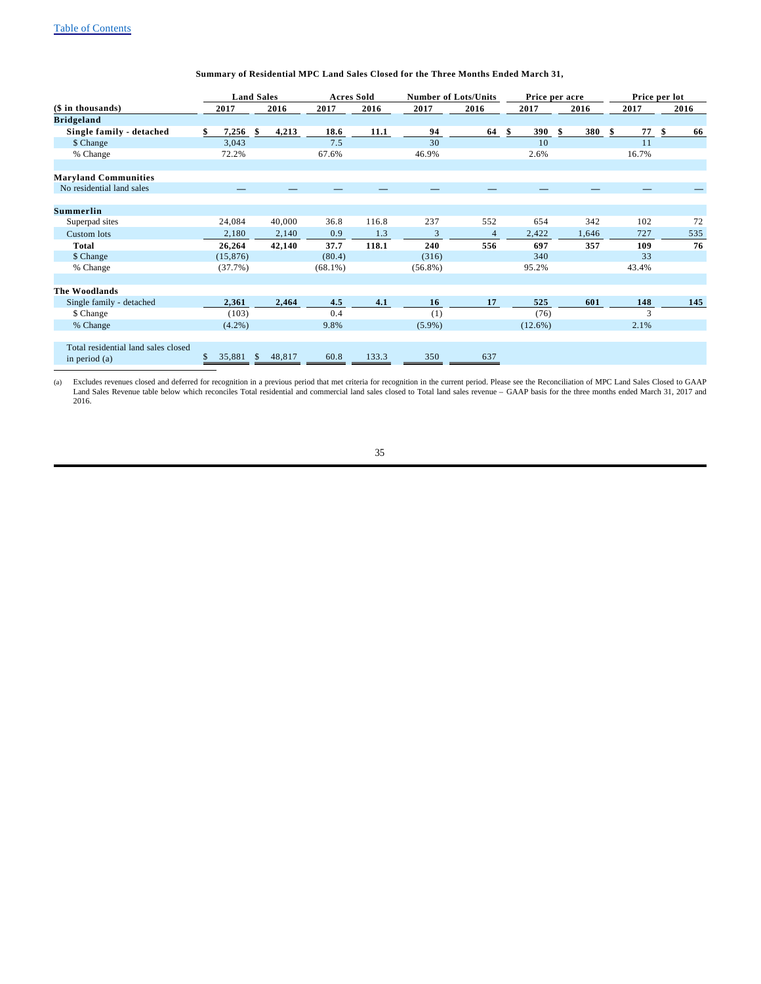# **Summary of Residential MPC Land Sales Closed for the Three Months Ended March 31,**

|                                                        | <b>Land Sales</b> |                    | <b>Acres Sold</b> |       |            | <b>Number of Lots/Units</b> |            | Price per acre |       | Price per lot |
|--------------------------------------------------------|-------------------|--------------------|-------------------|-------|------------|-----------------------------|------------|----------------|-------|---------------|
| $($$ in thousands)                                     | 2017              | 2016               | 2017              | 2016  | 2017       | 2016                        | 2017       | 2016           | 2017  | 2016          |
| <b>Bridgeland</b>                                      |                   |                    |                   |       |            |                             |            |                |       |               |
| Single family - detached                               | 7,256<br>\$       | \$<br>4,213        | 18.6              | 11.1  | 94         | 64                          | 390<br>\$  | 380<br>\$      | 77    | 66            |
| \$ Change                                              | 3,043             |                    | 7.5               |       | 30         |                             | 10         |                | 11    |               |
| % Change                                               | 72.2%             |                    | 67.6%             |       | 46.9%      |                             | 2.6%       |                | 16.7% |               |
|                                                        |                   |                    |                   |       |            |                             |            |                |       |               |
| <b>Maryland Communities</b>                            |                   |                    |                   |       |            |                             |            |                |       |               |
| No residential land sales                              |                   |                    |                   |       |            |                             |            |                |       |               |
|                                                        |                   |                    |                   |       |            |                             |            |                |       |               |
| <b>Summerlin</b>                                       |                   |                    |                   |       |            |                             |            |                |       |               |
| Superpad sites                                         | 24,084            | 40,000             | 36.8              | 116.8 | 237        | 552                         | 654        | 342            | 102   | 72            |
| Custom lots                                            | 2,180             | 2,140              | 0.9               | 1.3   | 3          | $\overline{4}$              | 2,422      | 1,646          | 727   | 535           |
| <b>Total</b>                                           | 26,264            | 42,140             | 37.7              | 118.1 | 240        | 556                         | 697        | 357            | 109   | 76            |
| \$ Change                                              | (15, 876)         |                    | (80.4)            |       | (316)      |                             | 340        |                | 33    |               |
| % Change                                               | (37.7%)           |                    | $(68.1\%)$        |       | $(56.8\%)$ |                             | 95.2%      |                | 43.4% |               |
|                                                        |                   |                    |                   |       |            |                             |            |                |       |               |
| The Woodlands                                          |                   |                    |                   |       |            |                             |            |                |       |               |
| Single family - detached                               | 2,361             | 2,464              | 4.5               | 4.1   | 16         | 17                          | 525        | 601            | 148   | 145           |
| \$ Change                                              | (103)             |                    | 0.4               |       | (1)        |                             | (76)       |                | 3     |               |
| % Change                                               | $(4.2\%)$         |                    | 9.8%              |       | $(5.9\%)$  |                             | $(12.6\%)$ |                | 2.1%  |               |
|                                                        |                   |                    |                   |       |            |                             |            |                |       |               |
| Total residential land sales closed<br>in period $(a)$ | 35,881<br>S       | 48,817<br><b>S</b> | 60.8              | 133.3 | 350        | 637                         |            |                |       |               |

Excludes revenues closed and deferred for recognition in a previous period that met criteria for recognition in the current period. Please see the Reconciliation of MPC Land Sales Closed to GAAP<br>Land Sales Revenue table be 2016.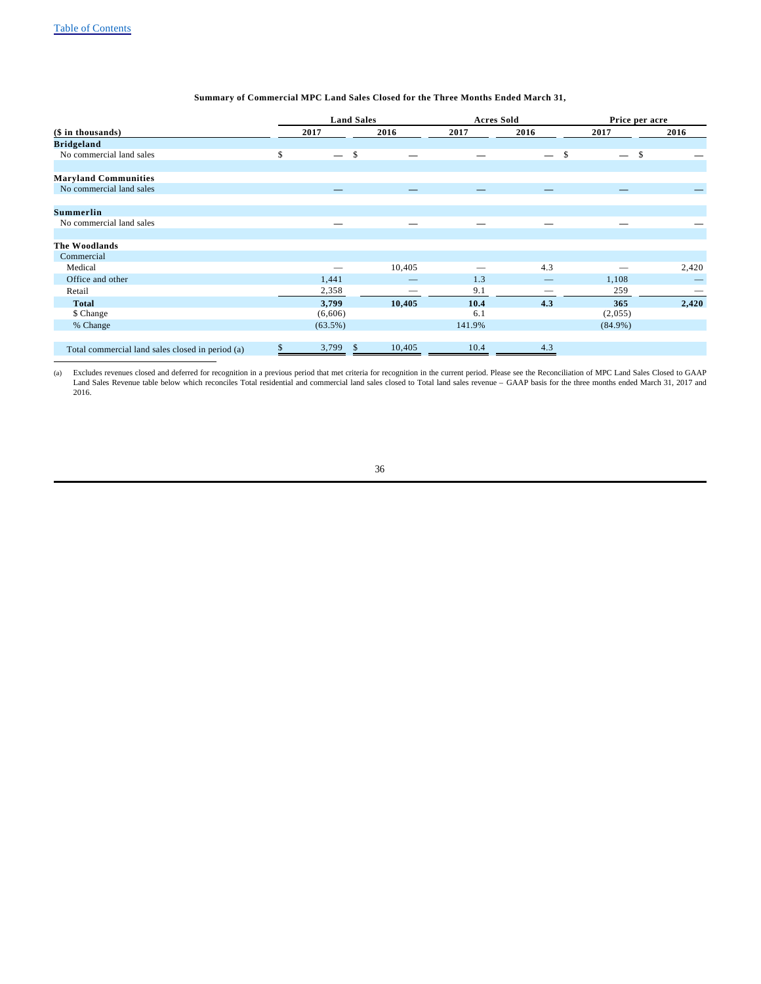# **Summary of Commercial MPC Land Sales Closed for the Three Months Ended March 31,**

|                                                  | <b>Land Sales</b> |               |        |        | <b>Acres Sold</b> |               | Price per acre |       |
|--------------------------------------------------|-------------------|---------------|--------|--------|-------------------|---------------|----------------|-------|
| (\$ in thousands)                                | 2017              |               | 2016   | 2017   | 2016              |               | 2017           | 2016  |
| <b>Bridgeland</b>                                |                   |               |        |        |                   |               |                |       |
| No commercial land sales                         | \$                | $\mathcal{S}$ |        |        |                   | $\mathcal{S}$ | \$             |       |
|                                                  |                   |               |        |        |                   |               |                |       |
| <b>Maryland Communities</b>                      |                   |               |        |        |                   |               |                |       |
| No commercial land sales                         |                   |               |        |        |                   |               |                |       |
|                                                  |                   |               |        |        |                   |               |                |       |
| <b>Summerlin</b>                                 |                   |               |        |        |                   |               |                |       |
| No commercial land sales                         | -                 |               | -      |        |                   |               |                |       |
|                                                  |                   |               |        |        |                   |               |                |       |
| The Woodlands                                    |                   |               |        |        |                   |               |                |       |
| Commercial                                       |                   |               |        |        |                   |               |                |       |
| Medical                                          | –                 |               | 10,405 |        | 4.3               |               |                | 2,420 |
| Office and other                                 | 1,441             |               |        | 1.3    |                   |               | 1,108          |       |
| Retail                                           | 2,358             |               |        | 9.1    | _                 |               | 259            |       |
| <b>Total</b>                                     | 3,799             |               | 10,405 | 10.4   | 4.3               |               | 365            | 2,420 |
| \$ Change                                        | (6,606)           |               |        | 6.1    |                   |               | (2,055)        |       |
| % Change                                         | $(63.5\%)$        |               |        | 141.9% |                   |               | $(84.9\%)$     |       |
|                                                  |                   |               |        |        |                   |               |                |       |
| Total commercial land sales closed in period (a) | \$<br>3,799       | -S            | 10,405 | 10.4   | 4.3               |               |                |       |

Excludes revenues closed and deferred for recognition in a previous period that met criteria for recognition in the current period. Please see the Reconciliation of MPC Land Sales Closed to GAAP<br>Land Sales Revenue table be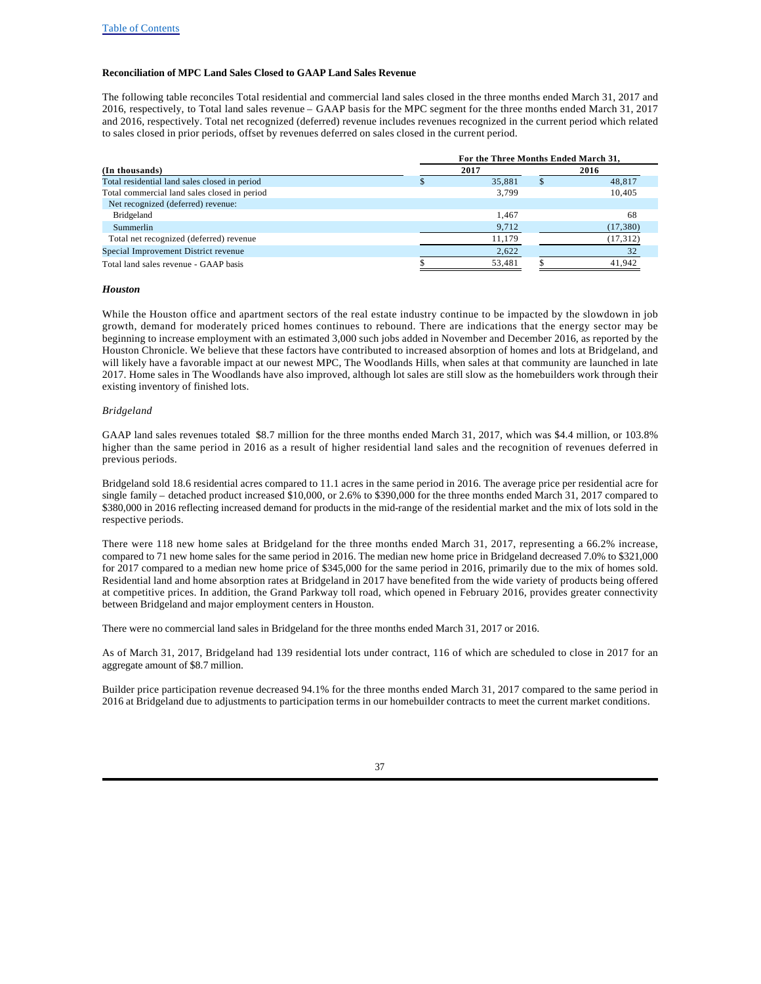### **Reconciliation of MPC Land Sales Closed to GAAP Land Sales Revenue**

The following table reconciles Total residential and commercial land sales closed in the three months ended March 31, 2017 and 2016, respectively, to Total land sales revenue – GAAP basis for the MPC segment for the three months ended March 31, 2017 and 2016, respectively. Total net recognized (deferred) revenue includes revenues recognized in the current period which related to sales closed in prior periods, offset by revenues deferred on sales closed in the current period.

|                                               |      | For the Three Months Ended March 31, |           |
|-----------------------------------------------|------|--------------------------------------|-----------|
| (In thousands)                                | 2017 | 2016                                 |           |
| Total residential land sales closed in period |      | 35,881                               | 48,817    |
| Total commercial land sales closed in period  |      | 3.799                                | 10,405    |
| Net recognized (deferred) revenue:            |      |                                      |           |
| Bridgeland                                    |      | 1.467                                | 68        |
| Summerlin                                     |      | 9,712                                | (17,380)  |
| Total net recognized (deferred) revenue       |      | 11.179                               | (17, 312) |
| Special Improvement District revenue          |      | 2,622                                | 32        |
| Total land sales revenue - GAAP basis         |      | 53,481                               | 41.942    |

#### *Houston*

While the Houston office and apartment sectors of the real estate industry continue to be impacted by the slowdown in job growth, demand for moderately priced homes continues to rebound. There are indications that the energy sector may be beginning to increase employment with an estimated 3,000 such jobs added in November and December 2016, as reported by the Houston Chronicle. We believe that these factors have contributed to increased absorption of homes and lots at Bridgeland, and will likely have a favorable impact at our newest MPC, The Woodlands Hills, when sales at that community are launched in late 2017. Home sales in The Woodlands have also improved, although lot sales are still slow as the homebuilders work through their existing inventory of finished lots.

#### *Bridgeland*

GAAP land sales revenues totaled \$8.7 million for the three months ended March 31, 2017, which was \$4.4 million, or 103.8% higher than the same period in 2016 as a result of higher residential land sales and the recognition of revenues deferred in previous periods.

Bridgeland sold 18.6 residential acres compared to 11.1 acres in the same period in 2016. The average price per residential acre for single family – detached product increased \$10,000, or 2.6% to \$390,000 for the three months ended March 31, 2017 compared to \$380,000 in 2016 reflecting increased demand for products in the mid-range of the residential market and the mix of lots sold in the respective periods.

There were 118 new home sales at Bridgeland for the three months ended March 31, 2017, representing a 66.2% increase, compared to 71 new home sales for the same period in 2016. The median new home price in Bridgeland decreased 7.0% to \$321,000 for 2017 compared to a median new home price of \$345,000 for the same period in 2016, primarily due to the mix of homes sold. Residential land and home absorption rates at Bridgeland in 2017 have benefited from the wide variety of products being offered at competitive prices. In addition, the Grand Parkway toll road, which opened in February 2016, provides greater connectivity between Bridgeland and major employment centers in Houston.

There were no commercial land sales in Bridgeland for the three months ended March 31, 2017 or 2016.

As of March 31, 2017, Bridgeland had 139 residential lots under contract, 116 of which are scheduled to close in 2017 for an aggregate amount of \$8.7 million.

Builder price participation revenue decreased 94.1% for the three months ended March 31, 2017 compared to the same period in 2016 at Bridgeland due to adjustments to participation terms in our homebuilder contracts to meet the current market conditions.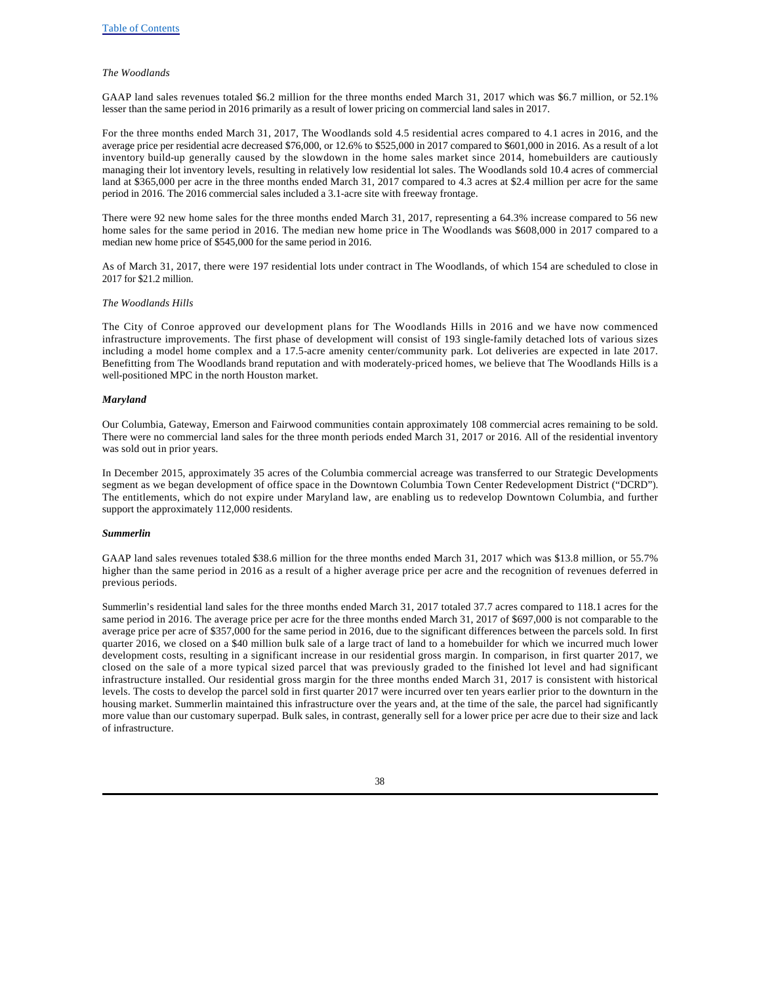#### *The Woodlands*

GAAP land sales revenues totaled \$6.2 million for the three months ended March 31, 2017 which was \$6.7 million, or 52.1% lesser than the same period in 2016 primarily as a result of lower pricing on commercial land sales in 2017.

For the three months ended March 31, 2017, The Woodlands sold 4.5 residential acres compared to 4.1 acres in 2016, and the average price per residential acre decreased \$76,000, or 12.6% to \$525,000 in 2017 compared to \$601,000 in 2016. As a result of a lot inventory build-up generally caused by the slowdown in the home sales market since 2014, homebuilders are cautiously managing their lot inventory levels, resulting in relatively low residential lot sales. The Woodlands sold 10.4 acres of commercial land at \$365,000 per acre in the three months ended March 31, 2017 compared to 4.3 acres at \$2.4 million per acre for the same period in 2016. The 2016 commercial sales included a 3.1-acre site with freeway frontage.

There were 92 new home sales for the three months ended March 31, 2017, representing a 64.3% increase compared to 56 new home sales for the same period in 2016. The median new home price in The Woodlands was \$608,000 in 2017 compared to a median new home price of \$545,000 for the same period in 2016.

As of March 31, 2017, there were 197 residential lots under contract in The Woodlands, of which 154 are scheduled to close in 2017 for \$21.2 million.

#### *The Woodlands Hills*

The City of Conroe approved our development plans for The Woodlands Hills in 2016 and we have now commenced infrastructure improvements. The first phase of development will consist of 193 single-family detached lots of various sizes including a model home complex and a 17.5-acre amenity center/community park. Lot deliveries are expected in late 2017. Benefitting from The Woodlands brand reputation and with moderately-priced homes, we believe that The Woodlands Hills is a well-positioned MPC in the north Houston market.

#### *Maryland*

Our Columbia, Gateway, Emerson and Fairwood communities contain approximately 108 commercial acres remaining to be sold. There were no commercial land sales for the three month periods ended March 31, 2017 or 2016. All of the residential inventory was sold out in prior years.

In December 2015, approximately 35 acres of the Columbia commercial acreage was transferred to our Strategic Developments segment as we began development of office space in the Downtown Columbia Town Center Redevelopment District ("DCRD"). The entitlements, which do not expire under Maryland law, are enabling us to redevelop Downtown Columbia, and further support the approximately 112,000 residents.

### *Summerlin*

GAAP land sales revenues totaled \$38.6 million for the three months ended March 31, 2017 which was \$13.8 million, or 55.7% higher than the same period in 2016 as a result of a higher average price per acre and the recognition of revenues deferred in previous periods.

Summerlin's residential land sales for the three months ended March 31, 2017 totaled 37.7 acres compared to 118.1 acres for the same period in 2016. The average price per acre for the three months ended March 31, 2017 of \$697,000 is not comparable to the average price per acre of \$357,000 for the same period in 2016, due to the significant differences between the parcels sold. In first quarter 2016, we closed on a \$40 million bulk sale of a large tract of land to a homebuilder for which we incurred much lower development costs, resulting in a significant increase in our residential gross margin. In comparison, in first quarter 2017, we closed on the sale of a more typical sized parcel that was previously graded to the finished lot level and had significant infrastructure installed. Our residential gross margin for the three months ended March 31, 2017 is consistent with historical levels. The costs to develop the parcel sold in first quarter 2017 were incurred over ten years earlier prior to the downturn in the housing market. Summerlin maintained this infrastructure over the years and, at the time of the sale, the parcel had significantly more value than our customary superpad. Bulk sales, in contrast, generally sell for a lower price per acre due to their size and lack of infrastructure.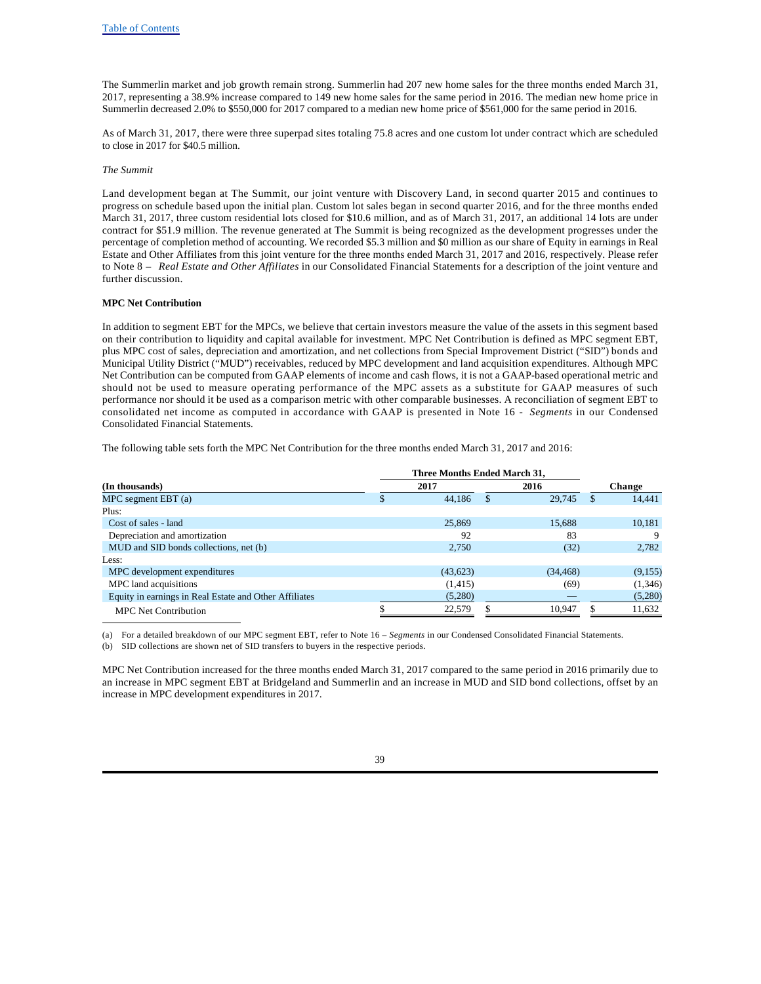The Summerlin market and job growth remain strong. Summerlin had 207 new home sales for the three months ended March 31, 2017, representing a 38.9% increase compared to 149 new home sales for the same period in 2016. The median new home price in Summerlin decreased 2.0% to \$550,000 for 2017 compared to a median new home price of \$561,000 for the same period in 2016.

As of March 31, 2017, there were three superpad sites totaling 75.8 acres and one custom lot under contract which are scheduled to close in 2017 for \$40.5 million.

#### *The Summit*

Land development began at The Summit, our joint venture with Discovery Land, in second quarter 2015 and continues to progress on schedule based upon the initial plan. Custom lot sales began in second quarter 2016, and for the three months ended March 31, 2017, three custom residential lots closed for \$10.6 million, and as of March 31, 2017, an additional 14 lots are under contract for \$51.9 million. The revenue generated at The Summit is being recognized as the development progresses under the percentage of completion method of accounting. We recorded \$5.3 million and \$0 million as our share of Equity in earnings in Real Estate and Other Affiliates from this joint venture for the three months ended March 31, 2017 and 2016, respectively. Please refer to Note 8 – *Real Estate and Other Affiliates* in our Consolidated Financial Statements for a description of the joint venture and further discussion.

#### **MPC Net Contribution**

In addition to segment EBT for the MPCs, we believe that certain investors measure the value of the assets in this segment based on their contribution to liquidity and capital available for investment. MPC Net Contribution is defined as MPC segment EBT, plus MPC cost of sales, depreciation and amortization, and net collections from Special Improvement District ("SID") bonds and Municipal Utility District ("MUD") receivables, reduced by MPC development and land acquisition expenditures. Although MPC Net Contribution can be computed from GAAP elements of income and cash flows, it is not a GAAP-based operational metric and should not be used to measure operating performance of the MPC assets as a substitute for GAAP measures of such performance nor should it be used as a comparison metric with other comparable businesses. A reconciliation of segment EBT to consolidated net income as computed in accordance with GAAP is presented in Note 16 - *Segments* in our Condensed Consolidated Financial Statements.

The following table sets forth the MPC Net Contribution for the three months ended March 31, 2017 and 2016:

| (In thousands)                                         |    | 2017      |     | 2016      |     | Change  |
|--------------------------------------------------------|----|-----------|-----|-----------|-----|---------|
| $MPC$ segment $EBT(a)$                                 | аĐ | 44.186    | \$. | 29,745    | \$. | 14,441  |
| Plus:                                                  |    |           |     |           |     |         |
| Cost of sales - land                                   |    | 25,869    |     | 15,688    |     | 10,181  |
| Depreciation and amortization                          |    | 92        |     | 83        |     | 9       |
| MUD and SID bonds collections, net (b)                 |    | 2.750     |     | (32)      |     | 2,782   |
| Less:                                                  |    |           |     |           |     |         |
| MPC development expenditures                           |    | (43, 623) |     | (34, 468) |     | (9,155) |
| MPC land acquisitions                                  |    | (1,415)   |     | (69)      |     | (1,346) |
| Equity in earnings in Real Estate and Other Affiliates |    | (5,280)   |     |           |     | (5,280) |
| <b>MPC</b> Net Contribution                            |    | 22,579    |     | 10,947    |     | 11,632  |

(a) For a detailed breakdown of our MPC segment EBT, refer to Note 16 – *Segments* in our Condensed Consolidated Financial Statements.

(b) SID collections are shown net of SID transfers to buyers in the respective periods.

MPC Net Contribution increased for the three months ended March 31, 2017 compared to the same period in 2016 primarily due to an increase in MPC segment EBT at Bridgeland and Summerlin and an increase in MUD and SID bond collections, offset by an increase in MPC development expenditures in 2017.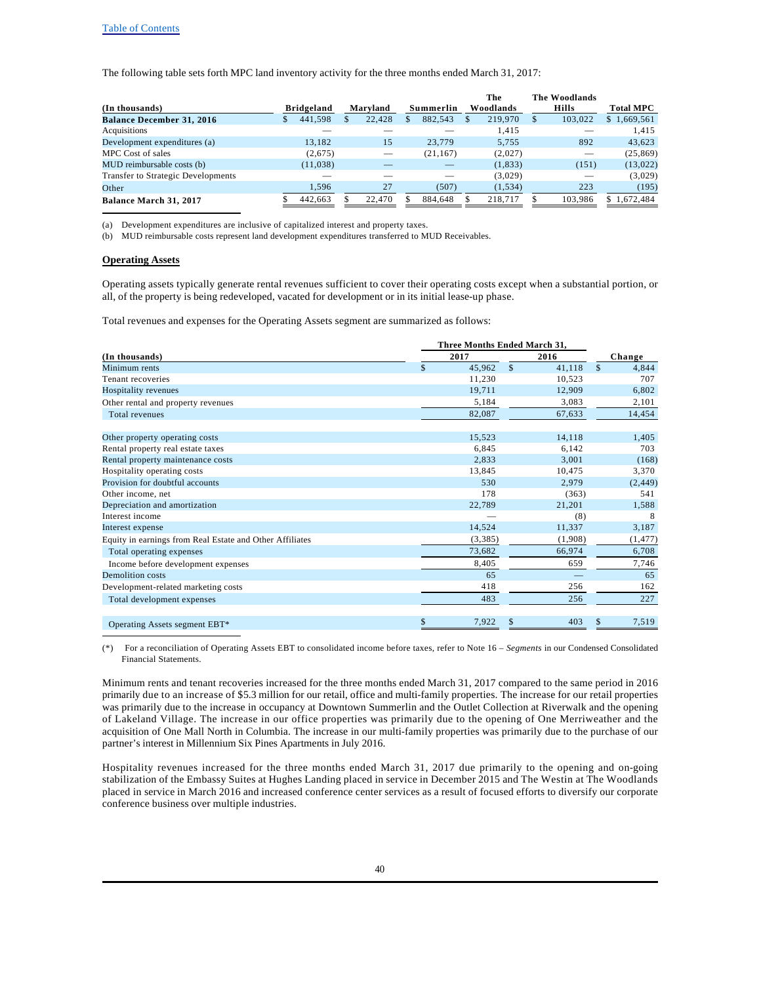### Table of Contents

The following table sets forth MPC land inventory activity for the three months ended March 31, 2017:

|                                           |            |          |    |           | The       | The Woodlands |                  |
|-------------------------------------------|------------|----------|----|-----------|-----------|---------------|------------------|
| (In thousands)                            | Bridgeland | Marvland |    | Summerlin | Woodlands | Hills         | <b>Total MPC</b> |
| <b>Balance December 31, 2016</b>          | 441,598    | 22,428   | ъ. | 882.543   | 219,970   | 103.022       | \$1,669,561      |
| Acquisitions                              |            |          |    |           | 1.415     |               | 1.415            |
| Development expenditures (a)              | 13.182     | 15       |    | 23,779    | 5.755     | 892           | 43,623           |
| MPC Cost of sales                         | (2,675)    |          |    | (21, 167) | (2,027)   |               | (25, 869)        |
| MUD reimbursable costs (b)                | (11,038)   |          |    |           | (1, 833)  | (151)         | (13,022)         |
| <b>Transfer to Strategic Developments</b> |            |          |    |           | (3,029)   |               | (3,029)          |
| Other                                     | 1.596      | 27       |    | (507)     | (1, 534)  | 223           | (195)            |
| Balance March 31, 2017                    | 442.663    | 22,470   |    | 884.648   | 218.717   | 103.986       | \$1.672.484      |

(a) Development expenditures are inclusive of capitalized interest and property taxes.

(b) MUD reimbursable costs represent land development expenditures transferred to MUD Receivables.

#### **Operating Assets**

Operating assets typically generate rental revenues sufficient to cover their operating costs except when a substantial portion, or all, of the property is being redeveloped, vacated for development or in its initial lease-up phase.

Total revenues and expenses for the Operating Assets segment are summarized as follows:

|                                                          | Three Months Ended March 31, |              |         |                       |
|----------------------------------------------------------|------------------------------|--------------|---------|-----------------------|
| (In thousands)                                           | 2017                         |              | 2016    | Change                |
| Minimum rents                                            | \$<br>45,962                 | $\mathbb{S}$ | 41,118  | $\mathbb{S}$<br>4,844 |
| Tenant recoveries                                        | 11,230                       |              | 10,523  | 707                   |
| Hospitality revenues                                     | 19,711                       |              | 12,909  | 6,802                 |
| Other rental and property revenues                       | 5,184                        |              | 3.083   | 2,101                 |
| Total revenues                                           | 82,087                       |              | 67,633  | 14,454                |
| Other property operating costs                           | 15,523                       |              | 14,118  | 1,405                 |
| Rental property real estate taxes                        | 6,845                        |              | 6.142   | 703                   |
| Rental property maintenance costs                        | 2,833                        |              | 3,001   | (168)                 |
| Hospitality operating costs                              | 13,845                       |              | 10.475  | 3,370                 |
| Provision for doubtful accounts                          | 530                          |              | 2,979   | (2, 449)              |
| Other income, net                                        | 178                          |              | (363)   | 541                   |
| Depreciation and amortization                            | 22,789                       |              | 21,201  | 1,588                 |
| Interest income                                          |                              |              | (8)     | 8                     |
| Interest expense                                         | 14,524                       |              | 11,337  | 3,187                 |
| Equity in earnings from Real Estate and Other Affiliates | (3,385)                      |              | (1,908) | (1, 477)              |
| Total operating expenses                                 | 73,682                       |              | 66,974  | 6,708                 |
| Income before development expenses                       | 8,405                        |              | 659     | 7,746                 |
| Demolition costs                                         | 65                           |              |         | 65                    |
| Development-related marketing costs                      | 418                          |              | 256     | 162                   |
| Total development expenses                               | 483                          |              | 256     | 227                   |
| Operating Assets segment EBT*                            | \$<br>7,922                  | \$           | 403     | 7,519<br>\$           |

(\*) For a reconciliation of Operating Assets EBT to consolidated income before taxes, refer to Note 16 – *Segments* in our Condensed Consolidated Financial Statements.

Minimum rents and tenant recoveries increased for the three months ended March 31, 2017 compared to the same period in 2016 primarily due to an increase of \$5.3 million for our retail, office and multi-family properties. The increase for our retail properties was primarily due to the increase in occupancy at Downtown Summerlin and the Outlet Collection at Riverwalk and the opening of Lakeland Village. The increase in our office properties was primarily due to the opening of One Merriweather and the acquisition of One Mall North in Columbia. The increase in our multi-family properties was primarily due to the purchase of our partner's interest in Millennium Six Pines Apartments in July 2016.

Hospitality revenues increased for the three months ended March 31, 2017 due primarily to the opening and on-going stabilization of the Embassy Suites at Hughes Landing placed in service in December 2015 and The Westin at The Woodlands placed in service in March 2016 and increased conference center services as a result of focused efforts to diversify our corporate conference business over multiple industries.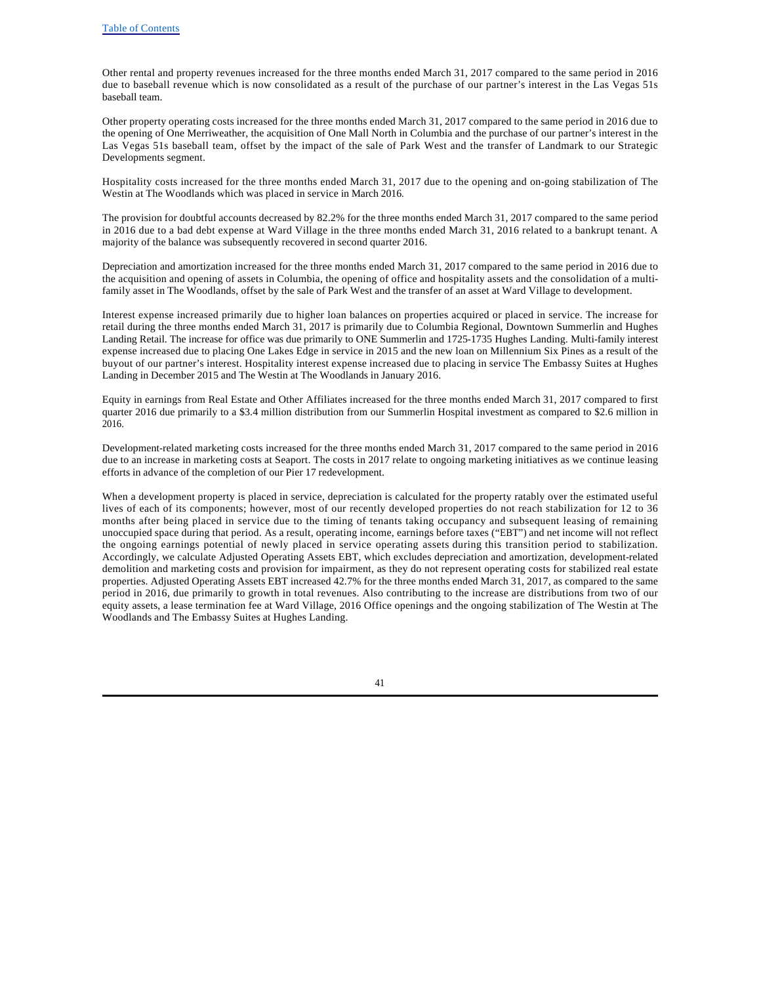Other rental and property revenues increased for the three months ended March 31, 2017 compared to the same period in 2016 due to baseball revenue which is now consolidated as a result of the purchase of our partner's interest in the Las Vegas 51s baseball team.

Other property operating costs increased for the three months ended March 31, 2017 compared to the same period in 2016 due to the opening of One Merriweather, the acquisition of One Mall North in Columbia and the purchase of our partner's interest in the Las Vegas 51s baseball team, offset by the impact of the sale of Park West and the transfer of Landmark to our Strategic Developments segment.

Hospitality costs increased for the three months ended March 31, 2017 due to the opening and on-going stabilization of The Westin at The Woodlands which was placed in service in March 2016.

The provision for doubtful accounts decreased by 82.2% for the three months ended March 31, 2017 compared to the same period in 2016 due to a bad debt expense at Ward Village in the three months ended March 31, 2016 related to a bankrupt tenant. A majority of the balance was subsequently recovered in second quarter 2016.

Depreciation and amortization increased for the three months ended March 31, 2017 compared to the same period in 2016 due to the acquisition and opening of assets in Columbia, the opening of office and hospitality assets and the consolidation of a multifamily asset in The Woodlands, offset by the sale of Park West and the transfer of an asset at Ward Village to development.

Interest expense increased primarily due to higher loan balances on properties acquired or placed in service. The increase for retail during the three months ended March 31, 2017 is primarily due to Columbia Regional, Downtown Summerlin and Hughes Landing Retail. The increase for office was due primarily to ONE Summerlin and 1725-1735 Hughes Landing. Multi-family interest expense increased due to placing One Lakes Edge in service in 2015 and the new loan on Millennium Six Pines as a result of the buyout of our partner's interest. Hospitality interest expense increased due to placing in service The Embassy Suites at Hughes Landing in December 2015 and The Westin at The Woodlands in January 2016.

Equity in earnings from Real Estate and Other Affiliates increased for the three months ended March 31, 2017 compared to first quarter 2016 due primarily to a \$3.4 million distribution from our Summerlin Hospital investment as compared to \$2.6 million in 2016.

Development-related marketing costs increased for the three months ended March 31, 2017 compared to the same period in 2016 due to an increase in marketing costs at Seaport. The costs in 2017 relate to ongoing marketing initiatives as we continue leasing efforts in advance of the completion of our Pier 17 redevelopment.

When a development property is placed in service, depreciation is calculated for the property ratably over the estimated useful lives of each of its components; however, most of our recently developed properties do not reach stabilization for 12 to 36 months after being placed in service due to the timing of tenants taking occupancy and subsequent leasing of remaining unoccupied space during that period. As a result, operating income, earnings before taxes ("EBT") and net income will not reflect the ongoing earnings potential of newly placed in service operating assets during this transition period to stabilization. Accordingly, we calculate Adjusted Operating Assets EBT, which excludes depreciation and amortization, development-related demolition and marketing costs and provision for impairment, as they do not represent operating costs for stabilized real estate properties. Adjusted Operating Assets EBT increased 42.7% for the three months ended March 31, 2017, as compared to the same period in 2016, due primarily to growth in total revenues. Also contributing to the increase are distributions from two of our equity assets, a lease termination fee at Ward Village, 2016 Office openings and the ongoing stabilization of The Westin at The Woodlands and The Embassy Suites at Hughes Landing.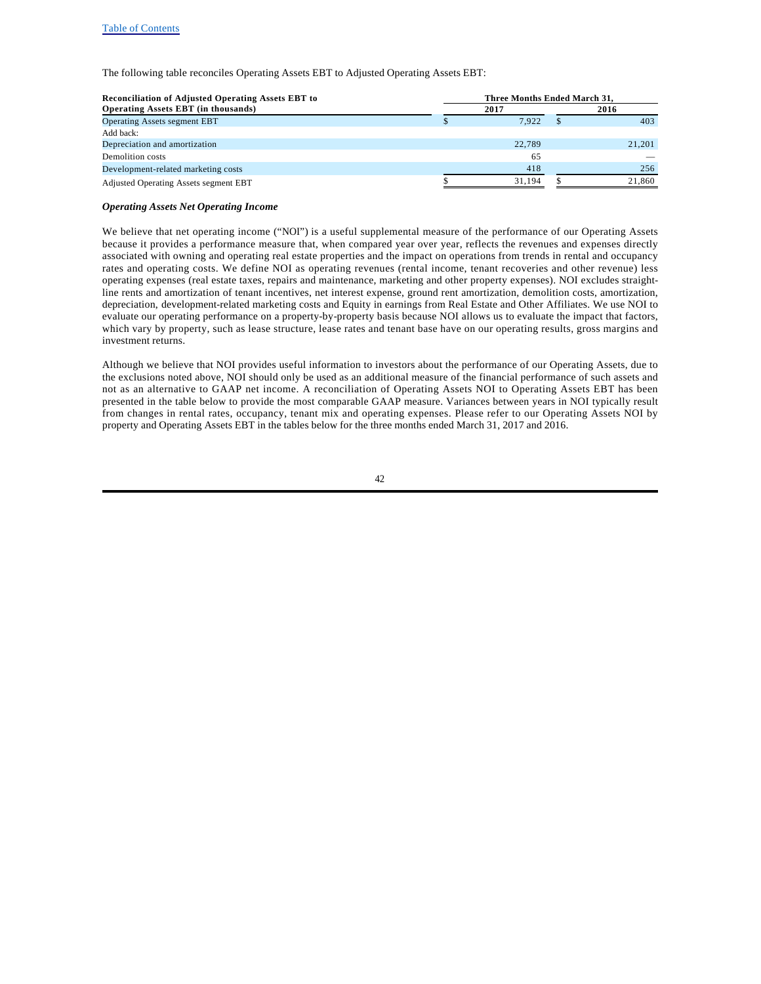The following table reconciles Operating Assets EBT to Adjusted Operating Assets EBT:

| <b>Reconciliation of Adjusted Operating Assets EBT to</b> | Three Months Ended March 31. |  |        |  |  |  |  |  |  |
|-----------------------------------------------------------|------------------------------|--|--------|--|--|--|--|--|--|
| <b>Operating Assets EBT</b> (in thousands)                | 2017                         |  | 2016   |  |  |  |  |  |  |
| <b>Operating Assets segment EBT</b>                       | 7.922                        |  | 403    |  |  |  |  |  |  |
| Add back:                                                 |                              |  |        |  |  |  |  |  |  |
| Depreciation and amortization                             | 22,789                       |  | 21,201 |  |  |  |  |  |  |
| Demolition costs                                          | 65                           |  |        |  |  |  |  |  |  |
| Development-related marketing costs                       | 418                          |  | 256    |  |  |  |  |  |  |
| Adjusted Operating Assets segment EBT                     | 31.194                       |  | 21,860 |  |  |  |  |  |  |

#### *Operating Assets Net Operating Income*

We believe that net operating income ("NOI") is a useful supplemental measure of the performance of our Operating Assets because it provides a performance measure that, when compared year over year, reflects the revenues and expenses directly associated with owning and operating real estate properties and the impact on operations from trends in rental and occupancy rates and operating costs. We define NOI as operating revenues (rental income, tenant recoveries and other revenue) less operating expenses (real estate taxes, repairs and maintenance, marketing and other property expenses). NOI excludes straightline rents and amortization of tenant incentives, net interest expense, ground rent amortization, demolition costs, amortization, depreciation, development-related marketing costs and Equity in earnings from Real Estate and Other Affiliates. We use NOI to evaluate our operating performance on a property-by-property basis because NOI allows us to evaluate the impact that factors, which vary by property, such as lease structure, lease rates and tenant base have on our operating results, gross margins and investment returns.

Although we believe that NOI provides useful information to investors about the performance of our Operating Assets, due to the exclusions noted above, NOI should only be used as an additional measure of the financial performance of such assets and not as an alternative to GAAP net income. A reconciliation of Operating Assets NOI to Operating Assets EBT has been presented in the table below to provide the most comparable GAAP measure. Variances between years in NOI typically result from changes in rental rates, occupancy, tenant mix and operating expenses. Please refer to our Operating Assets NOI by property and Operating Assets EBT in the tables below for the three months ended March 31, 2017 and 2016.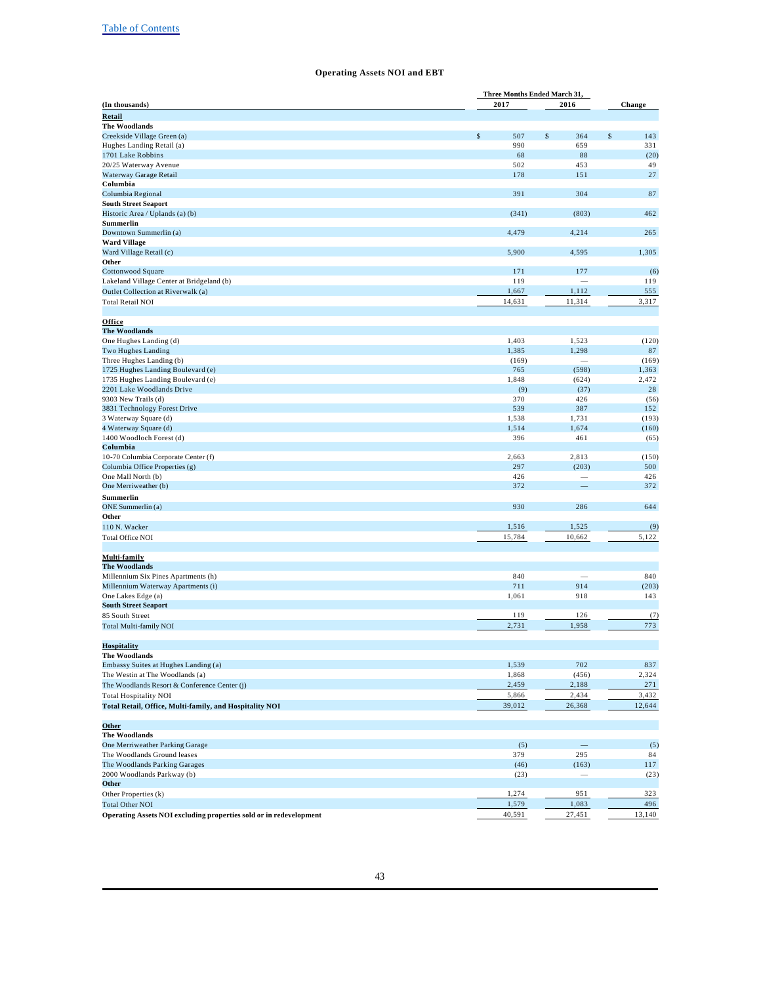# **Operating Assets NOI and EBT**

|                                                                    |            | Three Months Ended March 31, |            |  |  |
|--------------------------------------------------------------------|------------|------------------------------|------------|--|--|
| (In thousands)                                                     | 2017       | 2016                         | Change     |  |  |
| <b>Retail</b>                                                      |            |                              |            |  |  |
| <b>The Woodlands</b>                                               |            |                              |            |  |  |
| Creekside Village Green (a)                                        | \$<br>507  | \$<br>364                    | \$<br>143  |  |  |
| Hughes Landing Retail (a)                                          | 990        | 659                          | 331        |  |  |
| 1701 Lake Robbins                                                  | 68         | 88                           | (20)       |  |  |
| 20/25 Waterway Avenue                                              | 502        | 453                          | 49         |  |  |
| Waterway Garage Retail<br>Columbia                                 | 178        | 151                          | 27         |  |  |
| Columbia Regional                                                  | 391        | 304                          | 87         |  |  |
| <b>South Street Seaport</b>                                        |            |                              |            |  |  |
| Historic Area / Uplands (a) (b)                                    | (341)      | (803)                        | 462        |  |  |
| Summerlin                                                          |            |                              |            |  |  |
| Downtown Summerlin (a)                                             | 4,479      | 4,214                        | 265        |  |  |
| <b>Ward Village</b>                                                |            |                              |            |  |  |
| Ward Village Retail (c)                                            | 5,900      | 4,595                        | 1,305      |  |  |
| Other                                                              |            |                              |            |  |  |
| Cottonwood Square                                                  | 171        | 177                          | (6)        |  |  |
| Lakeland Village Center at Bridgeland (b)                          | 119        |                              | 119        |  |  |
| Outlet Collection at Riverwalk (a)                                 | 1,667      | 1,112                        | 555        |  |  |
| <b>Total Retail NOI</b>                                            | 14,631     | 11,314                       | 3,317      |  |  |
|                                                                    |            |                              |            |  |  |
| Office                                                             |            |                              |            |  |  |
| <b>The Woodlands</b>                                               |            |                              |            |  |  |
| One Hughes Landing (d)                                             | 1,403      | 1,523                        | (120)      |  |  |
| Two Hughes Landing                                                 | 1,385      | 1,298                        | 87         |  |  |
| Three Hughes Landing (b)                                           | (169)      | $\sim$                       | (169)      |  |  |
| 1725 Hughes Landing Boulevard (e)                                  | 765        | (598)                        | 1,363      |  |  |
| 1735 Hughes Landing Boulevard (e)                                  | 1,848      | (624)                        | 2,472      |  |  |
| 2201 Lake Woodlands Drive<br>9303 New Trails (d)                   | (9)<br>370 | (37)<br>426                  | 28<br>(56) |  |  |
| 3831 Technology Forest Drive                                       | 539        | 387                          | 152        |  |  |
| 3 Waterway Square (d)                                              | 1,538      | 1,731                        | (193)      |  |  |
| 4 Waterway Square (d)                                              | 1,514      | 1,674                        | (160)      |  |  |
| 1400 Woodloch Forest (d)                                           | 396        | 461                          | (65)       |  |  |
| Columbia                                                           |            |                              |            |  |  |
| 10-70 Columbia Corporate Center (f)                                | 2,663      | 2,813                        | (150)      |  |  |
| Columbia Office Properties (g)                                     | 297        | (203)                        | 500        |  |  |
| One Mall North (b)                                                 | 426        |                              | 426        |  |  |
| One Merriweather (b)                                               | 372        |                              | 372        |  |  |
| Summerlin                                                          |            |                              |            |  |  |
| <b>ONE</b> Summerlin (a)                                           | 930        | 286                          | 644        |  |  |
| Other                                                              |            |                              |            |  |  |
| 110 N. Wacker                                                      | 1,516      | 1,525                        | (9)        |  |  |
| <b>Total Office NOI</b>                                            | 15,784     | 10,662                       | 5,122      |  |  |
|                                                                    |            |                              |            |  |  |
| Multi-family                                                       |            |                              |            |  |  |
| <b>The Woodlands</b>                                               |            |                              |            |  |  |
| Millennium Six Pines Apartments (h)                                | 840        |                              | 840        |  |  |
| Millennium Waterway Apartments (i)                                 | 711        | 914                          | (203)      |  |  |
| One Lakes Edge (a)                                                 | 1,061      | 918                          | 143        |  |  |
| <b>South Street Seaport</b>                                        |            |                              |            |  |  |
| 85 South Street                                                    | 119        | 126                          | (7)        |  |  |
| <b>Total Multi-family NOI</b>                                      | 2,731      | 1,958                        | 773        |  |  |
|                                                                    |            |                              |            |  |  |
| <b>Hospitality</b>                                                 |            |                              |            |  |  |
| <b>The Woodlands</b><br>Embassy Suites at Hughes Landing (a)       | 1,539      | 702                          | 837        |  |  |
| The Westin at The Woodlands (a)                                    | 1,868      | (456)                        | 2,324      |  |  |
| The Woodlands Resort & Conference Center (j)                       | 2,459      | 2,188                        | 271        |  |  |
| <b>Total Hospitality NOI</b>                                       | 5,866      | 2,434                        | 3,432      |  |  |
|                                                                    | 39,012     | 26,368                       | 12,644     |  |  |
| Total Retail, Office, Multi-family, and Hospitality NOI            |            |                              |            |  |  |
| Other                                                              |            |                              |            |  |  |
| <b>The Woodlands</b>                                               |            |                              |            |  |  |
| One Merriweather Parking Garage                                    | (5)        |                              | (5)        |  |  |
| The Woodlands Ground leases                                        | 379        | 295                          | 84         |  |  |
| The Woodlands Parking Garages                                      | (46)       | (163)                        | 117        |  |  |
| 2000 Woodlands Parkway (b)                                         | (23)       |                              | (23)       |  |  |
| Other                                                              |            |                              |            |  |  |
| Other Properties (k)                                               | 1,274      | 951                          | 323        |  |  |
| <b>Total Other NOI</b>                                             | 1,579      | 1,083                        | 496        |  |  |
| Operating Assets NOI excluding properties sold or in redevelopment | 40,591     | 27,451                       | 13,140     |  |  |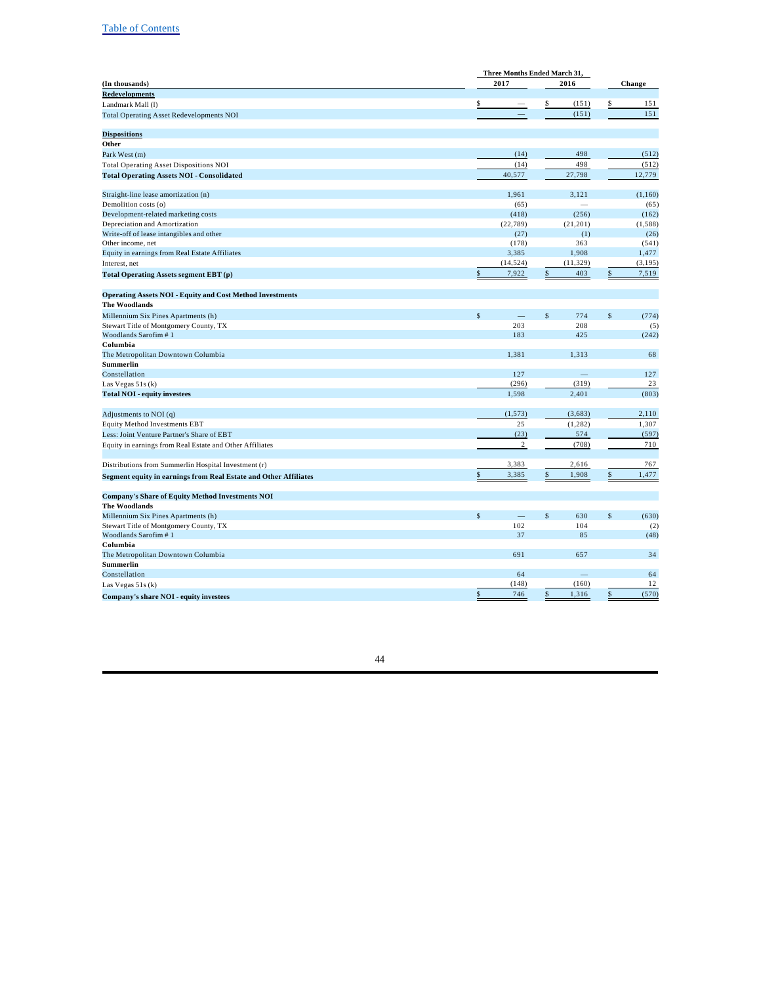| 2017<br>2016<br>(In thousands)<br>Change<br><b>Redevelopments</b><br>\$<br>(151)<br>\$<br>151<br>\$<br>Landmark Mall (l)<br>151<br>(151)<br><b>Total Operating Asset Redevelopments NOI</b><br>Other<br>498<br>(512)<br>(14)<br>Park West (m)<br>(14)<br>498<br>(512)<br>40,577<br>27,798<br>12,779<br>1,961<br>Straight-line lease amortization (n)<br>3,121<br>(1,160)<br>Demolition costs (o)<br>(65)<br>(65)<br>Development-related marketing costs<br>(418)<br>(256)<br>(162)<br>(22, 789)<br>(21, 201)<br>(1, 588)<br>(27)<br>(26)<br>(1)<br>363<br>(178)<br>(541)<br>3,385<br>1,908<br>1,477<br>(14, 524)<br>(11, 329)<br>(3, 195)<br>7,922<br>403<br>7,519<br>\$<br>\$<br><b>Operating Assets NOI - Equity and Cost Method Investments</b><br><b>The Woodlands</b><br>$\mathsf{s}$<br>$\mathsf{\$}$<br>$\mathbf{\hat{S}}$<br>774<br>(774)<br>203<br>208<br>Stewart Title of Montgomery County, TX<br>(5)<br>Woodlands Sarofim #1<br>425<br>183<br>(242)<br>Columbia<br>68<br>The Metropolitan Downtown Columbia<br>1,381<br>1,313<br>Summerlin<br>127<br>Constellation<br>127<br>(296)<br>(319)<br>23<br>Las Vegas 51s (k)<br>2,401<br>1,598<br>(803)<br><b>Total NOI - equity investees</b><br>(1, 573)<br>(3,683)<br>2,110<br>Adjustments to NOI (q)<br>25<br>(1, 282)<br>1,307<br><b>Equity Method Investments EBT</b><br>(23)<br>574<br>(597)<br>Less: Joint Venture Partner's Share of EBT<br>$\sqrt{2}$<br>710<br>(708)<br>Equity in earnings from Real Estate and Other Affiliates<br>3,383<br>2,616<br>767<br>1,477<br>3,385<br>1,908<br>\$<br>\$<br><b>Company's Share of Equity Method Investments NOI</b><br><b>The Woodlands</b><br>\$<br>$\mathbf{s}$<br>$\mathsf{s}$<br>Millennium Six Pines Apartments (h)<br>630<br>(630)<br>102<br>104<br>Stewart Title of Montgomery County, TX<br>(2)<br>Woodlands Sarofim #1<br>37<br>85<br>(48)<br>Columbia<br>The Metropolitan Downtown Columbia<br>691<br>657<br>34<br>Summerlin<br>64<br>64<br>Constellation<br>(160)<br>(148)<br>12<br>Las Vegas 51s (k)<br>746<br>\$<br>1,316<br>\$<br>(570)<br>\$<br>Company's share NOI - equity investees |                                                                         | Three Months Ended March 31, |  |  |  |  |
|----------------------------------------------------------------------------------------------------------------------------------------------------------------------------------------------------------------------------------------------------------------------------------------------------------------------------------------------------------------------------------------------------------------------------------------------------------------------------------------------------------------------------------------------------------------------------------------------------------------------------------------------------------------------------------------------------------------------------------------------------------------------------------------------------------------------------------------------------------------------------------------------------------------------------------------------------------------------------------------------------------------------------------------------------------------------------------------------------------------------------------------------------------------------------------------------------------------------------------------------------------------------------------------------------------------------------------------------------------------------------------------------------------------------------------------------------------------------------------------------------------------------------------------------------------------------------------------------------------------------------------------------------------------------------------------------------------------------------------------------------------------------------------------------------------------------------------------------------------------------------------------------------------------------------------------------------------------------------------------------------------------------------------------------------------------------------------------------------------------|-------------------------------------------------------------------------|------------------------------|--|--|--|--|
|                                                                                                                                                                                                                                                                                                                                                                                                                                                                                                                                                                                                                                                                                                                                                                                                                                                                                                                                                                                                                                                                                                                                                                                                                                                                                                                                                                                                                                                                                                                                                                                                                                                                                                                                                                                                                                                                                                                                                                                                                                                                                                                |                                                                         |                              |  |  |  |  |
|                                                                                                                                                                                                                                                                                                                                                                                                                                                                                                                                                                                                                                                                                                                                                                                                                                                                                                                                                                                                                                                                                                                                                                                                                                                                                                                                                                                                                                                                                                                                                                                                                                                                                                                                                                                                                                                                                                                                                                                                                                                                                                                |                                                                         |                              |  |  |  |  |
|                                                                                                                                                                                                                                                                                                                                                                                                                                                                                                                                                                                                                                                                                                                                                                                                                                                                                                                                                                                                                                                                                                                                                                                                                                                                                                                                                                                                                                                                                                                                                                                                                                                                                                                                                                                                                                                                                                                                                                                                                                                                                                                |                                                                         |                              |  |  |  |  |
|                                                                                                                                                                                                                                                                                                                                                                                                                                                                                                                                                                                                                                                                                                                                                                                                                                                                                                                                                                                                                                                                                                                                                                                                                                                                                                                                                                                                                                                                                                                                                                                                                                                                                                                                                                                                                                                                                                                                                                                                                                                                                                                |                                                                         |                              |  |  |  |  |
|                                                                                                                                                                                                                                                                                                                                                                                                                                                                                                                                                                                                                                                                                                                                                                                                                                                                                                                                                                                                                                                                                                                                                                                                                                                                                                                                                                                                                                                                                                                                                                                                                                                                                                                                                                                                                                                                                                                                                                                                                                                                                                                |                                                                         |                              |  |  |  |  |
|                                                                                                                                                                                                                                                                                                                                                                                                                                                                                                                                                                                                                                                                                                                                                                                                                                                                                                                                                                                                                                                                                                                                                                                                                                                                                                                                                                                                                                                                                                                                                                                                                                                                                                                                                                                                                                                                                                                                                                                                                                                                                                                | <b>Dispositions</b>                                                     |                              |  |  |  |  |
|                                                                                                                                                                                                                                                                                                                                                                                                                                                                                                                                                                                                                                                                                                                                                                                                                                                                                                                                                                                                                                                                                                                                                                                                                                                                                                                                                                                                                                                                                                                                                                                                                                                                                                                                                                                                                                                                                                                                                                                                                                                                                                                |                                                                         |                              |  |  |  |  |
|                                                                                                                                                                                                                                                                                                                                                                                                                                                                                                                                                                                                                                                                                                                                                                                                                                                                                                                                                                                                                                                                                                                                                                                                                                                                                                                                                                                                                                                                                                                                                                                                                                                                                                                                                                                                                                                                                                                                                                                                                                                                                                                |                                                                         |                              |  |  |  |  |
|                                                                                                                                                                                                                                                                                                                                                                                                                                                                                                                                                                                                                                                                                                                                                                                                                                                                                                                                                                                                                                                                                                                                                                                                                                                                                                                                                                                                                                                                                                                                                                                                                                                                                                                                                                                                                                                                                                                                                                                                                                                                                                                | <b>Total Operating Asset Dispositions NOI</b>                           |                              |  |  |  |  |
|                                                                                                                                                                                                                                                                                                                                                                                                                                                                                                                                                                                                                                                                                                                                                                                                                                                                                                                                                                                                                                                                                                                                                                                                                                                                                                                                                                                                                                                                                                                                                                                                                                                                                                                                                                                                                                                                                                                                                                                                                                                                                                                | <b>Total Operating Assets NOI - Consolidated</b>                        |                              |  |  |  |  |
|                                                                                                                                                                                                                                                                                                                                                                                                                                                                                                                                                                                                                                                                                                                                                                                                                                                                                                                                                                                                                                                                                                                                                                                                                                                                                                                                                                                                                                                                                                                                                                                                                                                                                                                                                                                                                                                                                                                                                                                                                                                                                                                |                                                                         |                              |  |  |  |  |
|                                                                                                                                                                                                                                                                                                                                                                                                                                                                                                                                                                                                                                                                                                                                                                                                                                                                                                                                                                                                                                                                                                                                                                                                                                                                                                                                                                                                                                                                                                                                                                                                                                                                                                                                                                                                                                                                                                                                                                                                                                                                                                                |                                                                         |                              |  |  |  |  |
|                                                                                                                                                                                                                                                                                                                                                                                                                                                                                                                                                                                                                                                                                                                                                                                                                                                                                                                                                                                                                                                                                                                                                                                                                                                                                                                                                                                                                                                                                                                                                                                                                                                                                                                                                                                                                                                                                                                                                                                                                                                                                                                |                                                                         |                              |  |  |  |  |
|                                                                                                                                                                                                                                                                                                                                                                                                                                                                                                                                                                                                                                                                                                                                                                                                                                                                                                                                                                                                                                                                                                                                                                                                                                                                                                                                                                                                                                                                                                                                                                                                                                                                                                                                                                                                                                                                                                                                                                                                                                                                                                                | Depreciation and Amortization                                           |                              |  |  |  |  |
|                                                                                                                                                                                                                                                                                                                                                                                                                                                                                                                                                                                                                                                                                                                                                                                                                                                                                                                                                                                                                                                                                                                                                                                                                                                                                                                                                                                                                                                                                                                                                                                                                                                                                                                                                                                                                                                                                                                                                                                                                                                                                                                | Write-off of lease intangibles and other                                |                              |  |  |  |  |
|                                                                                                                                                                                                                                                                                                                                                                                                                                                                                                                                                                                                                                                                                                                                                                                                                                                                                                                                                                                                                                                                                                                                                                                                                                                                                                                                                                                                                                                                                                                                                                                                                                                                                                                                                                                                                                                                                                                                                                                                                                                                                                                | Other income, net                                                       |                              |  |  |  |  |
|                                                                                                                                                                                                                                                                                                                                                                                                                                                                                                                                                                                                                                                                                                                                                                                                                                                                                                                                                                                                                                                                                                                                                                                                                                                                                                                                                                                                                                                                                                                                                                                                                                                                                                                                                                                                                                                                                                                                                                                                                                                                                                                | Equity in earnings from Real Estate Affiliates                          |                              |  |  |  |  |
|                                                                                                                                                                                                                                                                                                                                                                                                                                                                                                                                                                                                                                                                                                                                                                                                                                                                                                                                                                                                                                                                                                                                                                                                                                                                                                                                                                                                                                                                                                                                                                                                                                                                                                                                                                                                                                                                                                                                                                                                                                                                                                                | Interest, net                                                           |                              |  |  |  |  |
|                                                                                                                                                                                                                                                                                                                                                                                                                                                                                                                                                                                                                                                                                                                                                                                                                                                                                                                                                                                                                                                                                                                                                                                                                                                                                                                                                                                                                                                                                                                                                                                                                                                                                                                                                                                                                                                                                                                                                                                                                                                                                                                | Total Operating Assets segment EBT (p)                                  |                              |  |  |  |  |
|                                                                                                                                                                                                                                                                                                                                                                                                                                                                                                                                                                                                                                                                                                                                                                                                                                                                                                                                                                                                                                                                                                                                                                                                                                                                                                                                                                                                                                                                                                                                                                                                                                                                                                                                                                                                                                                                                                                                                                                                                                                                                                                |                                                                         |                              |  |  |  |  |
|                                                                                                                                                                                                                                                                                                                                                                                                                                                                                                                                                                                                                                                                                                                                                                                                                                                                                                                                                                                                                                                                                                                                                                                                                                                                                                                                                                                                                                                                                                                                                                                                                                                                                                                                                                                                                                                                                                                                                                                                                                                                                                                |                                                                         |                              |  |  |  |  |
|                                                                                                                                                                                                                                                                                                                                                                                                                                                                                                                                                                                                                                                                                                                                                                                                                                                                                                                                                                                                                                                                                                                                                                                                                                                                                                                                                                                                                                                                                                                                                                                                                                                                                                                                                                                                                                                                                                                                                                                                                                                                                                                |                                                                         |                              |  |  |  |  |
|                                                                                                                                                                                                                                                                                                                                                                                                                                                                                                                                                                                                                                                                                                                                                                                                                                                                                                                                                                                                                                                                                                                                                                                                                                                                                                                                                                                                                                                                                                                                                                                                                                                                                                                                                                                                                                                                                                                                                                                                                                                                                                                | Millennium Six Pines Apartments (h)                                     |                              |  |  |  |  |
|                                                                                                                                                                                                                                                                                                                                                                                                                                                                                                                                                                                                                                                                                                                                                                                                                                                                                                                                                                                                                                                                                                                                                                                                                                                                                                                                                                                                                                                                                                                                                                                                                                                                                                                                                                                                                                                                                                                                                                                                                                                                                                                |                                                                         |                              |  |  |  |  |
|                                                                                                                                                                                                                                                                                                                                                                                                                                                                                                                                                                                                                                                                                                                                                                                                                                                                                                                                                                                                                                                                                                                                                                                                                                                                                                                                                                                                                                                                                                                                                                                                                                                                                                                                                                                                                                                                                                                                                                                                                                                                                                                |                                                                         |                              |  |  |  |  |
|                                                                                                                                                                                                                                                                                                                                                                                                                                                                                                                                                                                                                                                                                                                                                                                                                                                                                                                                                                                                                                                                                                                                                                                                                                                                                                                                                                                                                                                                                                                                                                                                                                                                                                                                                                                                                                                                                                                                                                                                                                                                                                                |                                                                         |                              |  |  |  |  |
|                                                                                                                                                                                                                                                                                                                                                                                                                                                                                                                                                                                                                                                                                                                                                                                                                                                                                                                                                                                                                                                                                                                                                                                                                                                                                                                                                                                                                                                                                                                                                                                                                                                                                                                                                                                                                                                                                                                                                                                                                                                                                                                |                                                                         |                              |  |  |  |  |
|                                                                                                                                                                                                                                                                                                                                                                                                                                                                                                                                                                                                                                                                                                                                                                                                                                                                                                                                                                                                                                                                                                                                                                                                                                                                                                                                                                                                                                                                                                                                                                                                                                                                                                                                                                                                                                                                                                                                                                                                                                                                                                                |                                                                         |                              |  |  |  |  |
|                                                                                                                                                                                                                                                                                                                                                                                                                                                                                                                                                                                                                                                                                                                                                                                                                                                                                                                                                                                                                                                                                                                                                                                                                                                                                                                                                                                                                                                                                                                                                                                                                                                                                                                                                                                                                                                                                                                                                                                                                                                                                                                |                                                                         |                              |  |  |  |  |
|                                                                                                                                                                                                                                                                                                                                                                                                                                                                                                                                                                                                                                                                                                                                                                                                                                                                                                                                                                                                                                                                                                                                                                                                                                                                                                                                                                                                                                                                                                                                                                                                                                                                                                                                                                                                                                                                                                                                                                                                                                                                                                                |                                                                         |                              |  |  |  |  |
|                                                                                                                                                                                                                                                                                                                                                                                                                                                                                                                                                                                                                                                                                                                                                                                                                                                                                                                                                                                                                                                                                                                                                                                                                                                                                                                                                                                                                                                                                                                                                                                                                                                                                                                                                                                                                                                                                                                                                                                                                                                                                                                |                                                                         |                              |  |  |  |  |
|                                                                                                                                                                                                                                                                                                                                                                                                                                                                                                                                                                                                                                                                                                                                                                                                                                                                                                                                                                                                                                                                                                                                                                                                                                                                                                                                                                                                                                                                                                                                                                                                                                                                                                                                                                                                                                                                                                                                                                                                                                                                                                                |                                                                         |                              |  |  |  |  |
|                                                                                                                                                                                                                                                                                                                                                                                                                                                                                                                                                                                                                                                                                                                                                                                                                                                                                                                                                                                                                                                                                                                                                                                                                                                                                                                                                                                                                                                                                                                                                                                                                                                                                                                                                                                                                                                                                                                                                                                                                                                                                                                |                                                                         |                              |  |  |  |  |
|                                                                                                                                                                                                                                                                                                                                                                                                                                                                                                                                                                                                                                                                                                                                                                                                                                                                                                                                                                                                                                                                                                                                                                                                                                                                                                                                                                                                                                                                                                                                                                                                                                                                                                                                                                                                                                                                                                                                                                                                                                                                                                                |                                                                         |                              |  |  |  |  |
|                                                                                                                                                                                                                                                                                                                                                                                                                                                                                                                                                                                                                                                                                                                                                                                                                                                                                                                                                                                                                                                                                                                                                                                                                                                                                                                                                                                                                                                                                                                                                                                                                                                                                                                                                                                                                                                                                                                                                                                                                                                                                                                |                                                                         |                              |  |  |  |  |
|                                                                                                                                                                                                                                                                                                                                                                                                                                                                                                                                                                                                                                                                                                                                                                                                                                                                                                                                                                                                                                                                                                                                                                                                                                                                                                                                                                                                                                                                                                                                                                                                                                                                                                                                                                                                                                                                                                                                                                                                                                                                                                                |                                                                         |                              |  |  |  |  |
|                                                                                                                                                                                                                                                                                                                                                                                                                                                                                                                                                                                                                                                                                                                                                                                                                                                                                                                                                                                                                                                                                                                                                                                                                                                                                                                                                                                                                                                                                                                                                                                                                                                                                                                                                                                                                                                                                                                                                                                                                                                                                                                | Distributions from Summerlin Hospital Investment (r)                    |                              |  |  |  |  |
|                                                                                                                                                                                                                                                                                                                                                                                                                                                                                                                                                                                                                                                                                                                                                                                                                                                                                                                                                                                                                                                                                                                                                                                                                                                                                                                                                                                                                                                                                                                                                                                                                                                                                                                                                                                                                                                                                                                                                                                                                                                                                                                | <b>Segment equity in earnings from Real Estate and Other Affiliates</b> |                              |  |  |  |  |
|                                                                                                                                                                                                                                                                                                                                                                                                                                                                                                                                                                                                                                                                                                                                                                                                                                                                                                                                                                                                                                                                                                                                                                                                                                                                                                                                                                                                                                                                                                                                                                                                                                                                                                                                                                                                                                                                                                                                                                                                                                                                                                                |                                                                         |                              |  |  |  |  |
|                                                                                                                                                                                                                                                                                                                                                                                                                                                                                                                                                                                                                                                                                                                                                                                                                                                                                                                                                                                                                                                                                                                                                                                                                                                                                                                                                                                                                                                                                                                                                                                                                                                                                                                                                                                                                                                                                                                                                                                                                                                                                                                |                                                                         |                              |  |  |  |  |
|                                                                                                                                                                                                                                                                                                                                                                                                                                                                                                                                                                                                                                                                                                                                                                                                                                                                                                                                                                                                                                                                                                                                                                                                                                                                                                                                                                                                                                                                                                                                                                                                                                                                                                                                                                                                                                                                                                                                                                                                                                                                                                                |                                                                         |                              |  |  |  |  |
|                                                                                                                                                                                                                                                                                                                                                                                                                                                                                                                                                                                                                                                                                                                                                                                                                                                                                                                                                                                                                                                                                                                                                                                                                                                                                                                                                                                                                                                                                                                                                                                                                                                                                                                                                                                                                                                                                                                                                                                                                                                                                                                |                                                                         |                              |  |  |  |  |
|                                                                                                                                                                                                                                                                                                                                                                                                                                                                                                                                                                                                                                                                                                                                                                                                                                                                                                                                                                                                                                                                                                                                                                                                                                                                                                                                                                                                                                                                                                                                                                                                                                                                                                                                                                                                                                                                                                                                                                                                                                                                                                                |                                                                         |                              |  |  |  |  |
|                                                                                                                                                                                                                                                                                                                                                                                                                                                                                                                                                                                                                                                                                                                                                                                                                                                                                                                                                                                                                                                                                                                                                                                                                                                                                                                                                                                                                                                                                                                                                                                                                                                                                                                                                                                                                                                                                                                                                                                                                                                                                                                |                                                                         |                              |  |  |  |  |
|                                                                                                                                                                                                                                                                                                                                                                                                                                                                                                                                                                                                                                                                                                                                                                                                                                                                                                                                                                                                                                                                                                                                                                                                                                                                                                                                                                                                                                                                                                                                                                                                                                                                                                                                                                                                                                                                                                                                                                                                                                                                                                                |                                                                         |                              |  |  |  |  |
|                                                                                                                                                                                                                                                                                                                                                                                                                                                                                                                                                                                                                                                                                                                                                                                                                                                                                                                                                                                                                                                                                                                                                                                                                                                                                                                                                                                                                                                                                                                                                                                                                                                                                                                                                                                                                                                                                                                                                                                                                                                                                                                |                                                                         |                              |  |  |  |  |
|                                                                                                                                                                                                                                                                                                                                                                                                                                                                                                                                                                                                                                                                                                                                                                                                                                                                                                                                                                                                                                                                                                                                                                                                                                                                                                                                                                                                                                                                                                                                                                                                                                                                                                                                                                                                                                                                                                                                                                                                                                                                                                                |                                                                         |                              |  |  |  |  |
|                                                                                                                                                                                                                                                                                                                                                                                                                                                                                                                                                                                                                                                                                                                                                                                                                                                                                                                                                                                                                                                                                                                                                                                                                                                                                                                                                                                                                                                                                                                                                                                                                                                                                                                                                                                                                                                                                                                                                                                                                                                                                                                |                                                                         |                              |  |  |  |  |
|                                                                                                                                                                                                                                                                                                                                                                                                                                                                                                                                                                                                                                                                                                                                                                                                                                                                                                                                                                                                                                                                                                                                                                                                                                                                                                                                                                                                                                                                                                                                                                                                                                                                                                                                                                                                                                                                                                                                                                                                                                                                                                                |                                                                         |                              |  |  |  |  |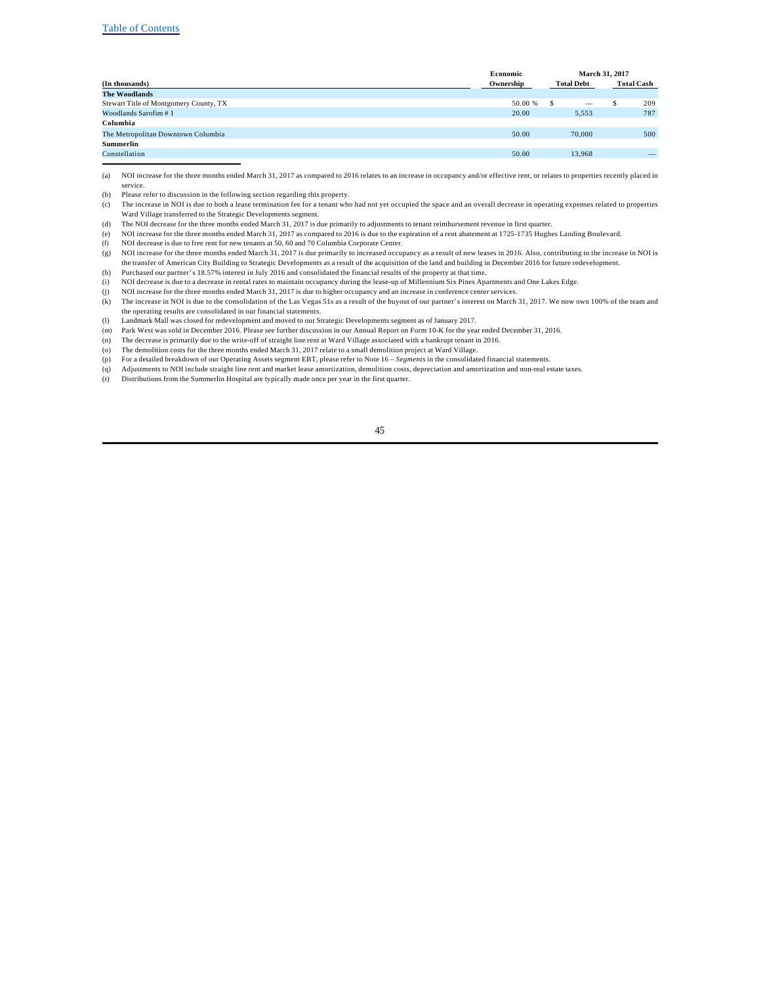|                                        | Economic  |                   | March 31, 2017    |
|----------------------------------------|-----------|-------------------|-------------------|
| (In thousands)                         | Ownership | <b>Total Debt</b> | <b>Total Cash</b> |
| <b>The Woodlands</b>                   |           |                   |                   |
| Stewart Title of Montgomery County, TX | 50.00 %   | S                 | 209               |
| Woodlands Sarofim #1                   | 20.00     | 5.553             | 787               |
| Columbia                               |           |                   |                   |
| The Metropolitan Downtown Columbia     | 50.00     | 70,000            | 500               |
| <b>Summerlin</b>                       |           |                   |                   |
| Constellation                          | 50.00     | 13.968            |                   |
|                                        |           |                   |                   |

(a) NOI increase for the three months ended March 31, 2017 as compared to 2016 relates to an increase in occupancy and/or effective rent, or relates to properties recently placed in service.

- (b) Please refer to discussion in the following section regarding this property.
- (c) The increase in NOI is due to both a lease termination fee for a tenant who had not yet occupied the space and an overall decrease in operating expenses related to properties Ward Village transferred to the Strategic Developments segment.
- (d) The NOI decrease for the three months ended March 31, 2017 is due primarily to adjustments to tenant reimbursement revenue in first quarter.
- (e) NOI increase for the three months ended March 31, 2017 as compared to 2016 is due to the expiration of a rent abatement at 1725-1735 Hughes Landing Boulevard.
- (f) NOI decrease is due to free rent for new tenants at 50, 60 and 70 Columbia Corporate Center.
- (g) NOI increase for the three months ended March 31, 2017 is due primarily to increased occupancy as a result of new leases in 2016. Also, contributing to the increase in NOI is the transfer of American City Building to Strategic Developments as a result of the acquisition of the land and building in December 2016 for future redevelopment. (h) Purchased our partner's 18.57% interest in July 2016 and consolidated the financial results of the property at that time.
- (i) NOI decrease is due to a decrease in rental rates to maintain occupancy during the lease-up of Millennium Six Pines Apartments and One Lakes Edge.
- (j) NOI increase for the three months ended March 31, 2017 is due to higher occupancy and an increase in conference center services.
- $(k)$  The increase in NOI is due to the consolidation of the Las Vegas 51s as a result of the buyout of our partner's interest on March 31, 2017. We now own 100% of the team and the operating results are consolidated in our financial statements.
- (l) Landmark Mall was closed for redevelopment and moved to our Strategic Developments segment as of January 2017.
- (m) Park West was sold in December 2016. Please see further discussion in our Annual Report on Form 10-K for the year ended December 31, 2016.
- (n) The decrease is primarily due to the write-off of straight line rent at Ward Village associated with a bankrupt tenant in 2016.
- (o) The demolition costs for the three months ended March 31, 2017 relate to a small demolition project at Ward Village.
- (p) For a detailed breakdown of our Operating Assets segment EBT, please refer to Note 16 *Segments* in the consolidated financial statements.
- (q) Adjustments to NOI include straight line rent and market lease amortization, demolition costs, depreciation and amortization and non-real estate taxes.
- (r) Distributions from the Summerlin Hospital are typically made once per year in the first quarter.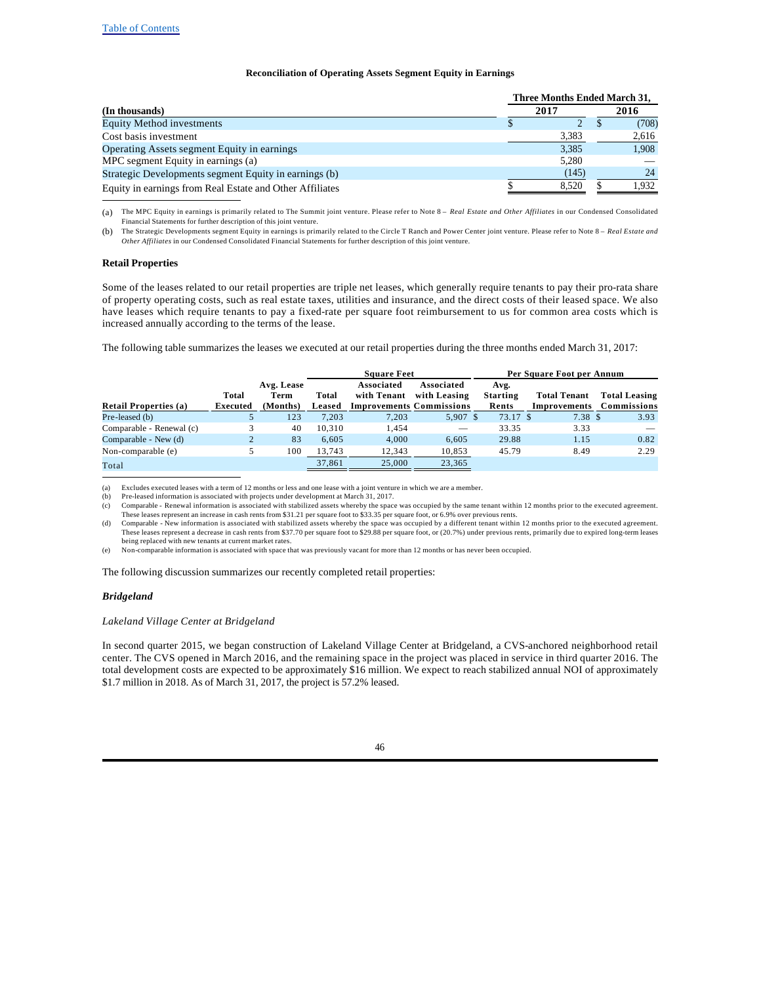### **Reconciliation of Operating Assets Segment Equity in Earnings**

|                                                          |       | Three Months Ended March 31. |  |  |  |  |  |  |
|----------------------------------------------------------|-------|------------------------------|--|--|--|--|--|--|
| (In thousands)                                           | 2017  | 2016                         |  |  |  |  |  |  |
| <b>Equity Method investments</b>                         |       | (708)                        |  |  |  |  |  |  |
| Cost basis investment                                    | 3,383 | 2,616                        |  |  |  |  |  |  |
| Operating Assets segment Equity in earnings              | 3.385 | 1.908                        |  |  |  |  |  |  |
| MPC segment Equity in earnings (a)                       | 5.280 |                              |  |  |  |  |  |  |
| Strategic Developments segment Equity in earnings (b)    | (145) | 24                           |  |  |  |  |  |  |
| Equity in earnings from Real Estate and Other Affiliates | 8.520 | 1.932                        |  |  |  |  |  |  |

(a) The MPC Equity in earnings is primarily related to The Summit joint venture. Please refer to Note 8 – *Real Estate and Other Affiliates* in our Condensed Consolidated Financial Statements for further description of this joint venture.

(b) The Strategic Developments segment Equity in earnings is primarily related to the Circle T Ranch and Power Center joint venture. Please refer to Note 8 – *Real Estate and Other Affiliates* in our Condensed Consolidated Financial Statements for further description of this joint venture.

#### **Retail Properties**

Some of the leases related to our retail properties are triple net leases, which generally require tenants to pay their pro-rata share of property operating costs, such as real estate taxes, utilities and insurance, and the direct costs of their leased space. We also have leases which require tenants to pay a fixed-rate per square foot reimbursement to us for common area costs which is increased annually according to the terms of the lease.

The following table summarizes the leases we executed at our retail properties during the three months ended March 31, 2017:

|                              |          |            |        | <b>Square Feet</b>              |              |                 | Per Square Foot per Annum |                          |
|------------------------------|----------|------------|--------|---------------------------------|--------------|-----------------|---------------------------|--------------------------|
|                              |          | Avg. Lease |        | Associated                      | Associated   | Avg.            |                           |                          |
|                              | Total    | Term       | Total  | with Tenant                     | with Leasing | <b>Starting</b> | <b>Total Tenant</b>       | <b>Total Leasing</b>     |
| <b>Retail Properties (a)</b> | Executed | (Months)   | Leased | <b>Improvements Commissions</b> |              | Rents           |                           | Improvements Commissions |
| Pre-leased (b)               |          | 123        | 7.203  | 7.203                           | $5,907$ \$   | 73.17 \$        | 7.38 S                    | 3.93                     |
| Comparable - Renewal (c)     |          | 40         | 10.310 | 1.454                           |              | 33.35           | 3.33                      |                          |
| Comparable - New (d)         |          | 83         | 6.605  | 4.000                           | 6.605        | 29.88           | 1.15                      | 0.82                     |
| Non-comparable (e)           |          | 100        | 13.743 | 12.343                          | 10.853       | 45.79           | 8.49                      | 2.29                     |
| Total                        |          |            | 37,861 | 25,000                          | 23,365       |                 |                           |                          |

(a) Excludes executed leases with a term of 12 months or less and one lease with a joint venture in which we are a member.

(b) Pre-leased information is associated with projects under development at March 31, 2017.<br>(c) Comparable - Renewal information is associated with stabilized assets whereby the space was occupied by the same tenant within These leases represent an increase in cash rents from \$31.21 per square foot to \$33.35 per square foot, or 6.9% over previous rents.

(d) Comparable - New information is associated with stabilized assets whereby the space was occupied by a different tenant within 12 months prior to the executed agreement. These leases represent a decrease in cash rents from \$37.70 per square foot to \$29.88 per square foot, or (20.7%) under previous rents, primarily due to expired long-term leases being replaced with new tenants at current market rates.

(e) Non-comparable information is associated with space that was previously vacant for more than 12 months or has never been occupied.

The following discussion summarizes our recently completed retail properties:

#### *Bridgeland*

#### *Lakeland Village Center at Bridgeland*

In second quarter 2015, we began construction of Lakeland Village Center at Bridgeland, a CVS-anchored neighborhood retail center. The CVS opened in March 2016, and the remaining space in the project was placed in service in third quarter 2016. The total development costs are expected to be approximately \$16 million. We expect to reach stabilized annual NOI of approximately \$1.7 million in 2018. As of March 31, 2017, the project is 57.2% leased.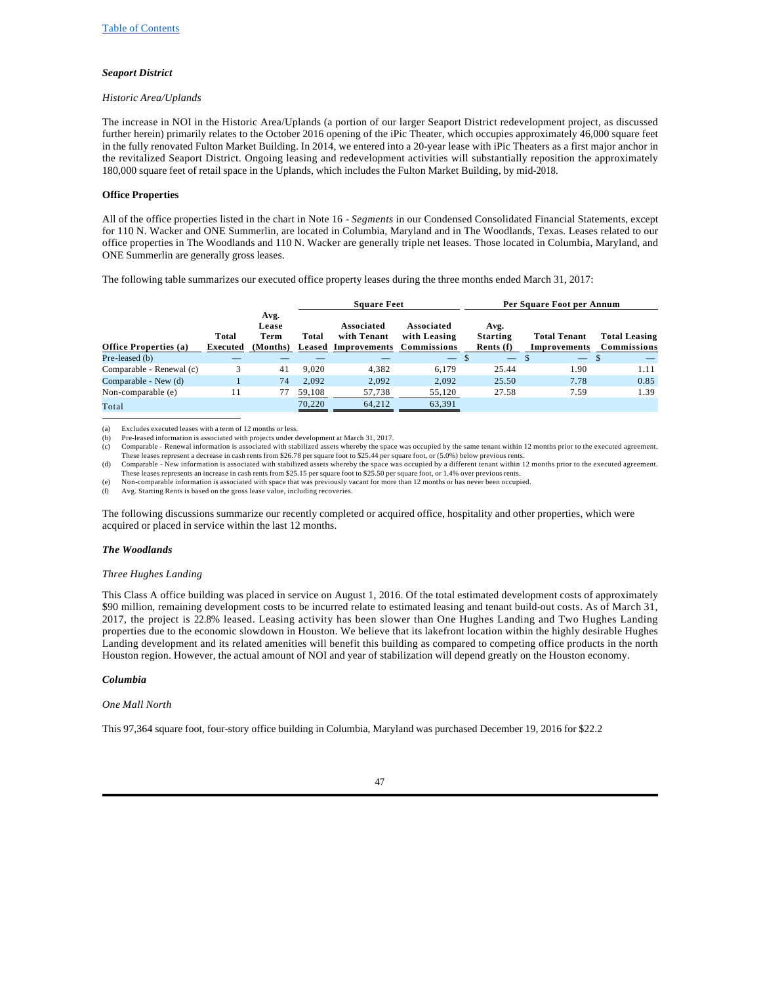### *Seaport District*

#### *Historic Area/Uplands*

The increase in NOI in the Historic Area/Uplands (a portion of our larger Seaport District redevelopment project, as discussed further herein) primarily relates to the October 2016 opening of the iPic Theater, which occupies approximately 46,000 square feet in the fully renovated Fulton Market Building. In 2014, we entered into a 20-year lease with iPic Theaters as a first major anchor in the revitalized Seaport District. Ongoing leasing and redevelopment activities will substantially reposition the approximately 180,000 square feet of retail space in the Uplands, which includes the Fulton Market Building, by mid-2018.

#### **Office Properties**

All of the office properties listed in the chart in Note 16 - *Segments* in our Condensed Consolidated Financial Statements, except for 110 N. Wacker and ONE Summerlin, are located in Columbia, Maryland and in The Woodlands, Texas. Leases related to our office properties in The Woodlands and 110 N. Wacker are generally triple net leases. Those located in Columbia, Maryland, and ONE Summerlin are generally gross leases.

The following table summarizes our executed office property leases during the three months ended March 31, 2017:

|                              |                   |                                   |        | <b>Square Feet</b>                                                  |                            |                                        | Per Square Foot per Annum           |                                     |
|------------------------------|-------------------|-----------------------------------|--------|---------------------------------------------------------------------|----------------------------|----------------------------------------|-------------------------------------|-------------------------------------|
| <b>Office Properties (a)</b> | Total<br>Executed | Avg.<br>Lease<br>Term<br>(Months) | Total  | Associated<br>with Tenant<br><b>Leased Improvements Commissions</b> | Associated<br>with Leasing | Avg.<br><b>Starting</b><br>Rents $(f)$ | <b>Total Tenant</b><br>Improvements | <b>Total Leasing</b><br>Commissions |
| Pre-leased (b)               |                   |                                   |        |                                                                     | <u>a shekara ta </u>       |                                        | $\qquad \qquad -$                   | <b>S</b>                            |
| Comparable - Renewal (c)     | 3                 | 41                                | 9.020  | 4.382                                                               | 6.179                      | 25.44                                  | 1.90                                | 1.11                                |
| Comparable - New (d)         |                   | 74                                | 2.092  | 2,092                                                               | 2,092                      | 25.50                                  | 7.78                                | 0.85                                |
| Non-comparable (e)           | 11                | 77                                | 59,108 | 57,738                                                              | 55,120                     | 27.58                                  | 7.59                                | 1.39                                |
| Total                        |                   |                                   | 70,220 | 64.212                                                              | 63,391                     |                                        |                                     |                                     |

(a) Excludes executed leases with a term of 12 months or less.

(b) Pre-leased information is associated with projects under development at March 31, 2017.

(c) Comparable - Renewal information is associated with stabilized assets whereby the space was occupied by the same tenant within 12 months prior to the executed agreement. These leases represent a decrease in cash rents from \$26.78 per square foot to \$25.44 per square foot, or (5.0%) below previous rents.

(d) Comparable - New information is associated with stabilized assets whereby the space was occupied by a different tenant within 12 months prior to the executed agreement.

These leases represents an increase in cash rents from \$25.15 per square foot to \$25.50 per square foot, or 1.4% over previous rents.<br>(e) Non-comparable information is associated with space that was previously vacant for m

(f) Avg. Starting Rents is based on the gross lease value, including recoveries.

The following discussions summarize our recently completed or acquired office, hospitality and other properties, which were acquired or placed in service within the last 12 months.

#### *The Woodlands*

#### *Three Hughes Landing*

This Class A office building was placed in service on August 1, 2016. Of the total estimated development costs of approximately \$90 million, remaining development costs to be incurred relate to estimated leasing and tenant build-out costs. As of March 31, 2017, the project is 22.8% leased. Leasing activity has been slower than One Hughes Landing and Two Hughes Landing properties due to the economic slowdown in Houston. We believe that its lakefront location within the highly desirable Hughes Landing development and its related amenities will benefit this building as compared to competing office products in the north Houston region. However, the actual amount of NOI and year of stabilization will depend greatly on the Houston economy.

#### *Columbia*

#### *One Mall North*

This 97,364 square foot, four-story office building in Columbia, Maryland was purchased December 19, 2016 for \$22.2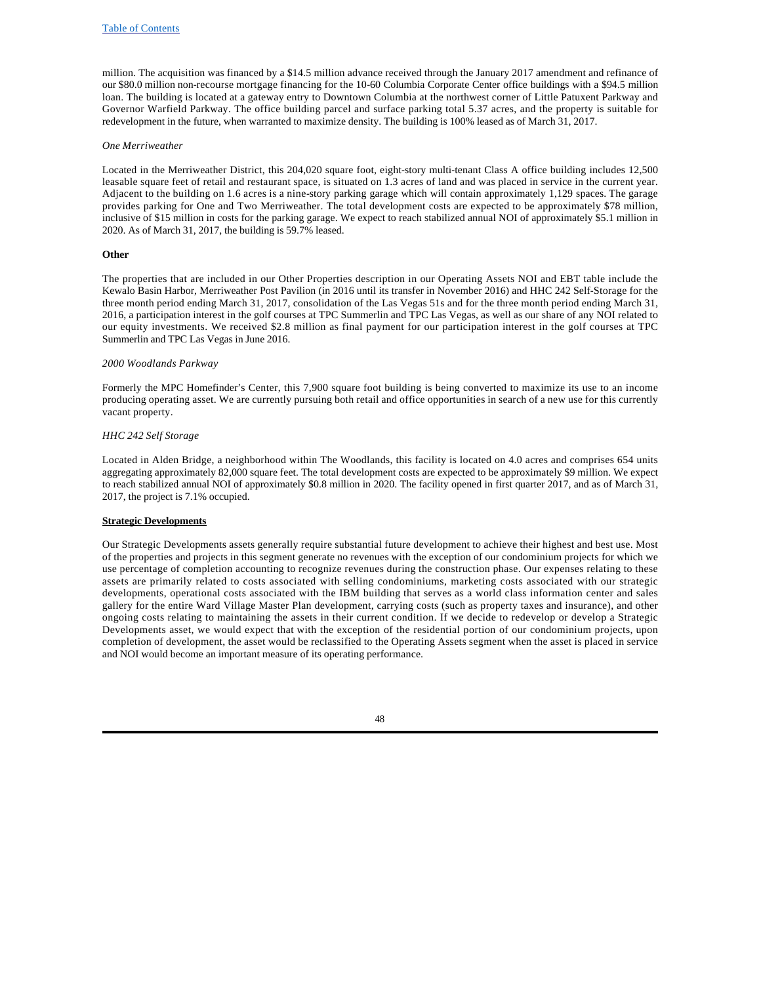million. The acquisition was financed by a \$14.5 million advance received through the January 2017 amendment and refinance of our \$80.0 million non-recourse mortgage financing for the 10-60 Columbia Corporate Center office buildings with a \$94.5 million loan. The building is located at a gateway entry to Downtown Columbia at the northwest corner of Little Patuxent Parkway and Governor Warfield Parkway. The office building parcel and surface parking total 5.37 acres, and the property is suitable for redevelopment in the future, when warranted to maximize density. The building is 100% leased as of March 31, 2017.

### *One Merriweather*

Located in the Merriweather District, this 204,020 square foot, eight-story multi-tenant Class A office building includes 12,500 leasable square feet of retail and restaurant space, is situated on 1.3 acres of land and was placed in service in the current year. Adjacent to the building on 1.6 acres is a nine-story parking garage which will contain approximately 1,129 spaces. The garage provides parking for One and Two Merriweather. The total development costs are expected to be approximately \$78 million, inclusive of \$15 million in costs for the parking garage. We expect to reach stabilized annual NOI of approximately \$5.1 million in 2020. As of March 31, 2017, the building is 59.7% leased.

### **Other**

The properties that are included in our Other Properties description in our Operating Assets NOI and EBT table include the Kewalo Basin Harbor, Merriweather Post Pavilion (in 2016 until its transfer in November 2016) and HHC 242 Self-Storage for the three month period ending March 31, 2017, consolidation of the Las Vegas 51s and for the three month period ending March 31, 2016, a participation interest in the golf courses at TPC Summerlin and TPC Las Vegas, as well as our share of any NOI related to our equity investments. We received \$2.8 million as final payment for our participation interest in the golf courses at TPC Summerlin and TPC Las Vegas in June 2016.

### *2000 Woodlands Parkway*

Formerly the MPC Homefinder's Center, this 7,900 square foot building is being converted to maximize its use to an income producing operating asset. We are currently pursuing both retail and office opportunities in search of a new use for this currently vacant property.

### *HHC 242 Self Storage*

Located in Alden Bridge, a neighborhood within The Woodlands, this facility is located on 4.0 acres and comprises 654 units aggregating approximately 82,000 square feet. The total development costs are expected to be approximately \$9 million. We expect to reach stabilized annual NOI of approximately \$0.8 million in 2020. The facility opened in first quarter 2017, and as of March 31, 2017, the project is 7.1% occupied.

#### **Strategic Developments**

Our Strategic Developments assets generally require substantial future development to achieve their highest and best use. Most of the properties and projects in this segment generate no revenues with the exception of our condominium projects for which we use percentage of completion accounting to recognize revenues during the construction phase. Our expenses relating to these assets are primarily related to costs associated with selling condominiums, marketing costs associated with our strategic developments, operational costs associated with the IBM building that serves as a world class information center and sales gallery for the entire Ward Village Master Plan development, carrying costs (such as property taxes and insurance), and other ongoing costs relating to maintaining the assets in their current condition. If we decide to redevelop or develop a Strategic Developments asset, we would expect that with the exception of the residential portion of our condominium projects, upon completion of development, the asset would be reclassified to the Operating Assets segment when the asset is placed in service and NOI would become an important measure of its operating performance.

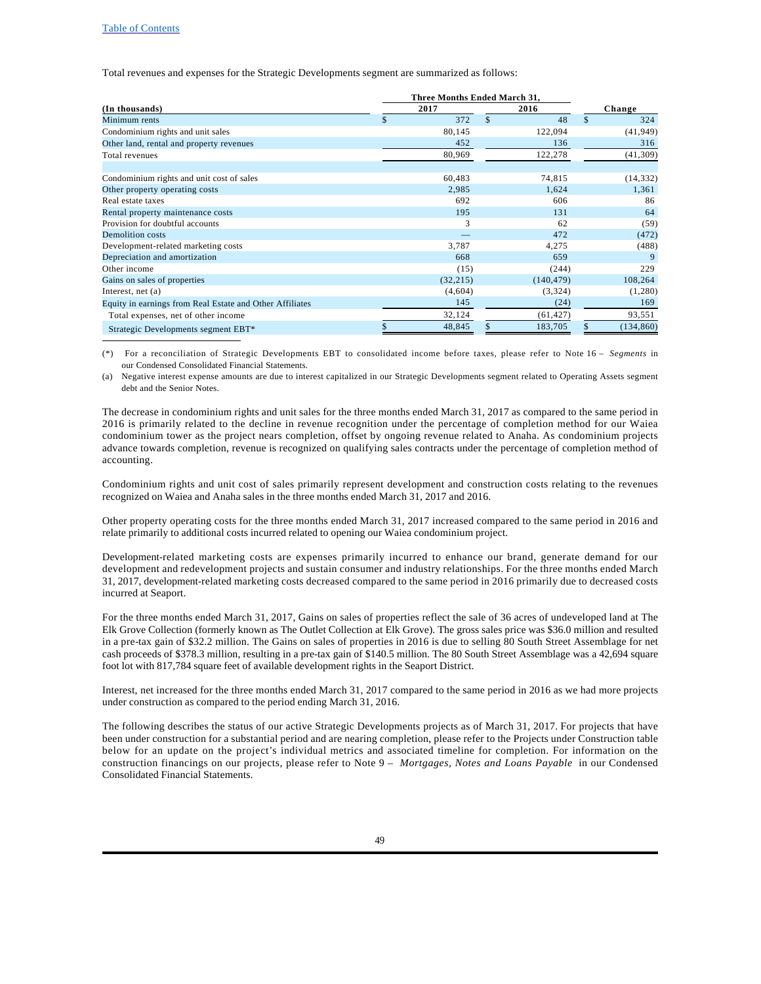#### Table of Contents

Total revenues and expenses for the Strategic Developments segment are summarized as follows:

| (In thousands)                                           | 2017 |           |               | 2016       |               | Change     |
|----------------------------------------------------------|------|-----------|---------------|------------|---------------|------------|
| Minimum rents                                            | \$   | 372       | $\mathcal{S}$ | 48         | $\mathcal{S}$ | 324        |
| Condominium rights and unit sales                        |      | 80,145    |               | 122,094    |               | (41, 949)  |
| Other land, rental and property revenues                 |      | 452       |               | 136        |               | 316        |
| Total revenues                                           |      | 80,969    |               | 122,278    |               | (41, 309)  |
| Condominium rights and unit cost of sales                |      | 60,483    |               | 74,815     |               | (14, 332)  |
| Other property operating costs                           |      | 2,985     |               | 1,624      |               | 1,361      |
| Real estate taxes                                        |      | 692       |               | 606        |               | 86         |
| Rental property maintenance costs                        |      | 195       |               | 131        |               | 64         |
| Provision for doubtful accounts                          |      | 3         |               | 62         |               | (59)       |
| Demolition costs                                         |      |           |               | 472        |               | (472)      |
| Development-related marketing costs                      |      | 3,787     |               | 4,275      |               | (488)      |
| Depreciation and amortization                            |      | 668       |               | 659        |               | 9          |
| Other income                                             |      | (15)      |               | (244)      |               | 229        |
| Gains on sales of properties                             |      | (32, 215) |               | (140, 479) |               | 108,264    |
| Interest, net $(a)$                                      |      | (4,604)   |               | (3,324)    |               | (1,280)    |
| Equity in earnings from Real Estate and Other Affiliates |      | 145       |               | (24)       |               | 169        |
| Total expenses, net of other income                      |      | 32,124    |               | (61, 427)  |               | 93,551     |
| Strategic Developments segment EBT*                      |      | 48,845    |               | 183,705    |               | (134, 860) |

(\*) For a reconciliation of Strategic Developments EBT to consolidated income before taxes, please refer to Note 16 – *Segments* in our Condensed Consolidated Financial Statements.

(a) Negative interest expense amounts are due to interest capitalized in our Strategic Developments segment related to Operating Assets segment debt and the Senior Notes.

The decrease in condominium rights and unit sales for the three months ended March 31, 2017 as compared to the same period in 2016 is primarily related to the decline in revenue recognition under the percentage of completion method for our Waiea condominium tower as the project nears completion, offset by ongoing revenue related to Anaha. As condominium projects advance towards completion, revenue is recognized on qualifying sales contracts under the percentage of completion method of accounting.

Condominium rights and unit cost of sales primarily represent development and construction costs relating to the revenues recognized on Waiea and Anaha sales in the three months ended March 31, 2017 and 2016.

Other property operating costs for the three months ended March 31, 2017 increased compared to the same period in 2016 and relate primarily to additional costs incurred related to opening our Waiea condominium project.

Development-related marketing costs are expenses primarily incurred to enhance our brand, generate demand for our development and redevelopment projects and sustain consumer and industry relationships. For the three months ended March 31, 2017, development-related marketing costs decreased compared to the same period in 2016 primarily due to decreased costs incurred at Seaport.

For the three months ended March 31, 2017, Gains on sales of properties reflect the sale of 36 acres of undeveloped land at The Elk Grove Collection (formerly known as The Outlet Collection at Elk Grove). The gross sales price was \$36.0 million and resulted in a pre-tax gain of \$32.2 million. The Gains on sales of properties in 2016 is due to selling 80 South Street Assemblage for net cash proceeds of \$378.3 million, resulting in a pre-tax gain of \$140.5 million. The 80 South Street Assemblage was a 42,694 square foot lot with 817,784 square feet of available development rights in the Seaport District.

Interest, net increased for the three months ended March 31, 2017 compared to the same period in 2016 as we had more projects under construction as compared to the period ending March 31, 2016.

The following describes the status of our active Strategic Developments projects as of March 31, 2017. For projects that have been under construction for a substantial period and are nearing completion, please refer to the Projects under Construction table below for an update on the project's individual metrics and associated timeline for completion. For information on the construction financings on our projects, please refer to Note 9 – *Mortgages, Notes and Loans Payable* in our Condensed Consolidated Financial Statements.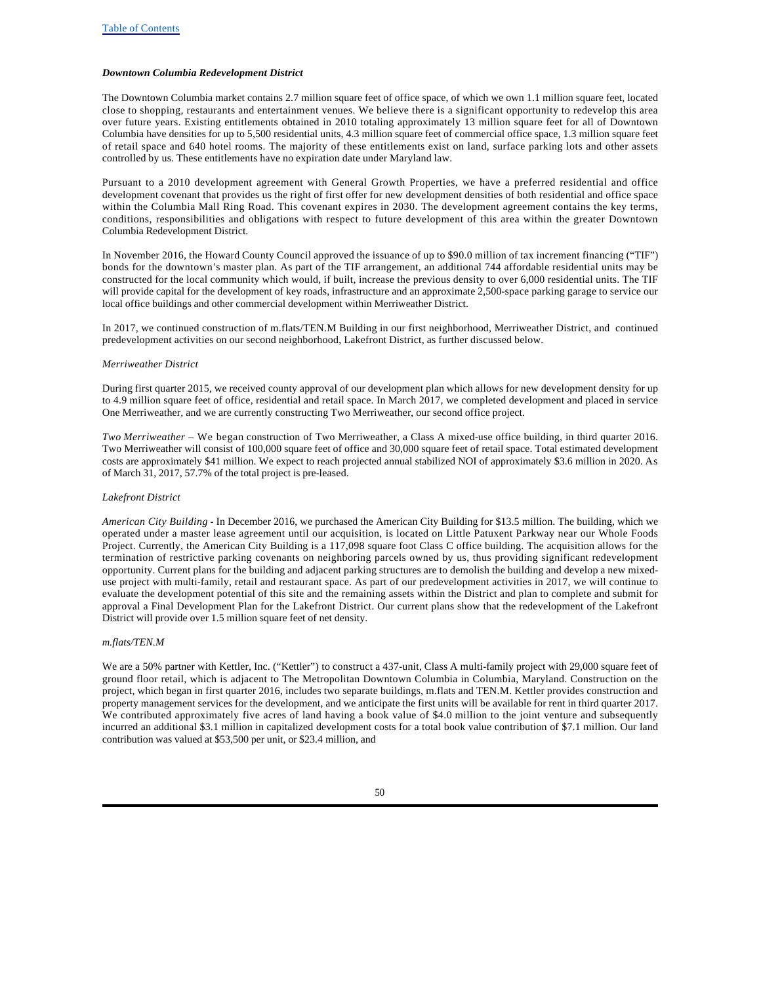### *Downtown Columbia Redevelopment District*

The Downtown Columbia market contains 2.7 million square feet of office space, of which we own 1.1 million square feet, located close to shopping, restaurants and entertainment venues. We believe there is a significant opportunity to redevelop this area over future years. Existing entitlements obtained in 2010 totaling approximately 13 million square feet for all of Downtown Columbia have densities for up to 5,500 residential units, 4.3 million square feet of commercial office space, 1.3 million square feet of retail space and 640 hotel rooms. The majority of these entitlements exist on land, surface parking lots and other assets controlled by us. These entitlements have no expiration date under Maryland law.

Pursuant to a 2010 development agreement with General Growth Properties, we have a preferred residential and office development covenant that provides us the right of first offer for new development densities of both residential and office space within the Columbia Mall Ring Road. This covenant expires in 2030. The development agreement contains the key terms, conditions, responsibilities and obligations with respect to future development of this area within the greater Downtown Columbia Redevelopment District.

In November 2016, the Howard County Council approved the issuance of up to \$90.0 million of tax increment financing ("TIF") bonds for the downtown's master plan. As part of the TIF arrangement, an additional 744 affordable residential units may be constructed for the local community which would, if built, increase the previous density to over 6,000 residential units. The TIF will provide capital for the development of key roads, infrastructure and an approximate 2,500-space parking garage to service our local office buildings and other commercial development within Merriweather District.

In 2017, we continued construction of m.flats/TEN.M Building in our first neighborhood, Merriweather District, and continued predevelopment activities on our second neighborhood, Lakefront District, as further discussed below.

#### *Merriweather District*

During first quarter 2015, we received county approval of our development plan which allows for new development density for up to 4.9 million square feet of office, residential and retail space. In March 2017, we completed development and placed in service One Merriweather, and we are currently constructing Two Merriweather, our second office project.

*Two Merriweather –* We began construction of Two Merriweather, a Class A mixed-use office building, in third quarter 2016. Two Merriweather will consist of 100,000 square feet of office and 30,000 square feet of retail space. Total estimated development costs are approximately \$41 million. We expect to reach projected annual stabilized NOI of approximately \$3.6 million in 2020. As of March 31, 2017, 57.7% of the total project is pre-leased.

### *Lakefront District*

*American City Building* - In December 2016, we purchased the American City Building for \$13.5 million. The building, which we operated under a master lease agreement until our acquisition, is located on Little Patuxent Parkway near our Whole Foods Project. Currently, the American City Building is a 117,098 square foot Class C office building. The acquisition allows for the termination of restrictive parking covenants on neighboring parcels owned by us, thus providing significant redevelopment opportunity. Current plans for the building and adjacent parking structures are to demolish the building and develop a new mixeduse project with multi-family, retail and restaurant space. As part of our predevelopment activities in 2017, we will continue to evaluate the development potential of this site and the remaining assets within the District and plan to complete and submit for approval a Final Development Plan for the Lakefront District. Our current plans show that the redevelopment of the Lakefront District will provide over 1.5 million square feet of net density.

### *m.flats/TEN.M*

We are a 50% partner with Kettler, Inc. ("Kettler") to construct a 437-unit, Class A multi-family project with 29,000 square feet of ground floor retail, which is adjacent to The Metropolitan Downtown Columbia in Columbia, Maryland. Construction on the project, which began in first quarter 2016, includes two separate buildings, m.flats and TEN.M. Kettler provides construction and property management services for the development, and we anticipate the first units will be available for rent in third quarter 2017. We contributed approximately five acres of land having a book value of \$4.0 million to the joint venture and subsequently incurred an additional \$3.1 million in capitalized development costs for a total book value contribution of \$7.1 million. Our land contribution was valued at \$53,500 per unit, or \$23.4 million, and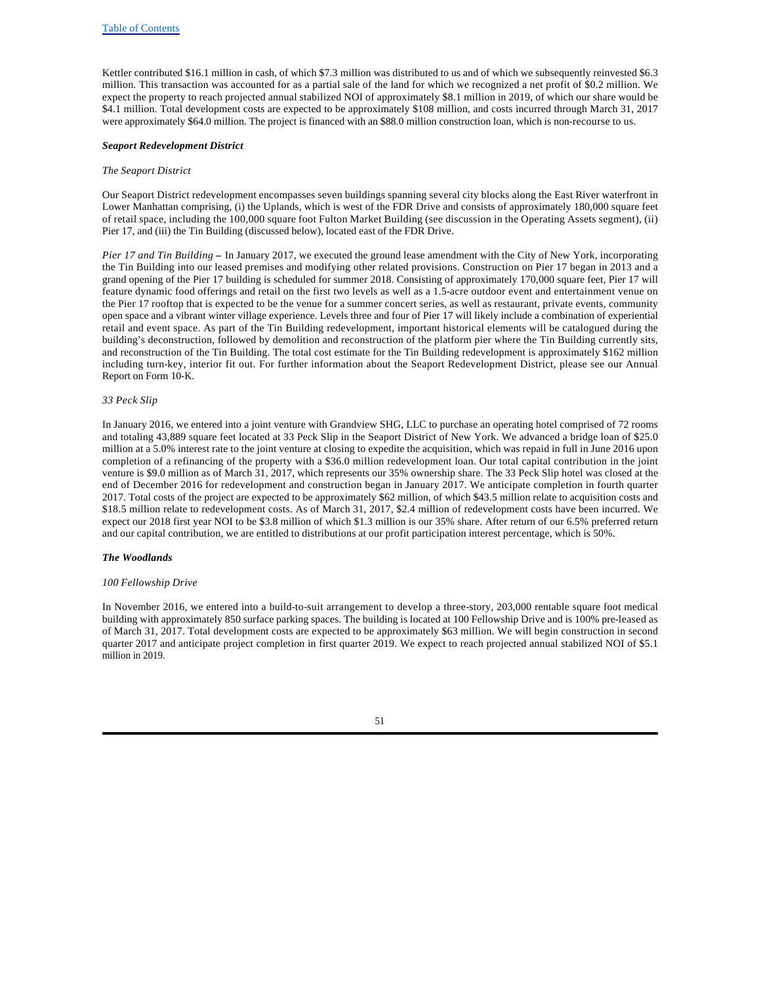Kettler contributed \$16.1 million in cash, of which \$7.3 million was distributed to us and of which we subsequently reinvested \$6.3 million. This transaction was accounted for as a partial sale of the land for which we recognized a net profit of \$0.2 million. We expect the property to reach projected annual stabilized NOI of approximately \$8.1 million in 2019, of which our share would be \$4.1 million. Total development costs are expected to be approximately \$108 million, and costs incurred through March 31, 2017 were approximately \$64.0 million. The project is financed with an \$88.0 million construction loan, which is non-recourse to us.

#### *Seaport Redevelopment District*

#### *The Seaport District*

Our Seaport District redevelopment encompasses seven buildings spanning several city blocks along the East River waterfront in Lower Manhattan comprising, (i) the Uplands, which is west of the FDR Drive and consists of approximately 180,000 square feet of retail space, including the 100,000 square foot Fulton Market Building (see discussion in the Operating Assets segment), (ii) Pier 17, and (iii) the Tin Building (discussed below), located east of the FDR Drive.

*Pier 17 and Tin Building* **–** In January 2017, we executed the ground lease amendment with the City of New York, incorporating the Tin Building into our leased premises and modifying other related provisions. Construction on Pier 17 began in 2013 and a grand opening of the Pier 17 building is scheduled for summer 2018. Consisting of approximately 170,000 square feet, Pier 17 will feature dynamic food offerings and retail on the first two levels as well as a 1.5-acre outdoor event and entertainment venue on the Pier 17 rooftop that is expected to be the venue for a summer concert series, as well as restaurant, private events, community open space and a vibrant winter village experience. Levels three and four of Pier 17 will likely include a combination of experiential retail and event space. As part of the Tin Building redevelopment, important historical elements will be catalogued during the building's deconstruction, followed by demolition and reconstruction of the platform pier where the Tin Building currently sits, and reconstruction of the Tin Building. The total cost estimate for the Tin Building redevelopment is approximately \$162 million including turn-key, interior fit out. For further information about the Seaport Redevelopment District, please see our Annual Report on Form 10-K.

#### *33 Peck Slip*

In January 2016, we entered into a joint venture with Grandview SHG, LLC to purchase an operating hotel comprised of 72 rooms and totaling 43,889 square feet located at 33 Peck Slip in the Seaport District of New York. We advanced a bridge loan of \$25.0 million at a 5.0% interest rate to the joint venture at closing to expedite the acquisition, which was repaid in full in June 2016 upon completion of a refinancing of the property with a \$36.0 million redevelopment loan. Our total capital contribution in the joint venture is \$9.0 million as of March 31, 2017, which represents our 35% ownership share. The 33 Peck Slip hotel was closed at the end of December 2016 for redevelopment and construction began in January 2017. We anticipate completion in fourth quarter 2017. Total costs of the project are expected to be approximately \$62 million, of which \$43.5 million relate to acquisition costs and \$18.5 million relate to redevelopment costs. As of March 31, 2017, \$2.4 million of redevelopment costs have been incurred. We expect our 2018 first year NOI to be \$3.8 million of which \$1.3 million is our 35% share. After return of our 6.5% preferred return and our capital contribution, we are entitled to distributions at our profit participation interest percentage, which is 50%.

### *The Woodlands*

#### *100 Fellowship Drive*

In November 2016, we entered into a build-to-suit arrangement to develop a three-story, 203,000 rentable square foot medical building with approximately 850 surface parking spaces. The building is located at 100 Fellowship Drive and is 100% pre-leased as of March 31, 2017. Total development costs are expected to be approximately \$63 million. We will begin construction in second quarter 2017 and anticipate project completion in first quarter 2019. We expect to reach projected annual stabilized NOI of \$5.1 million in 2019.

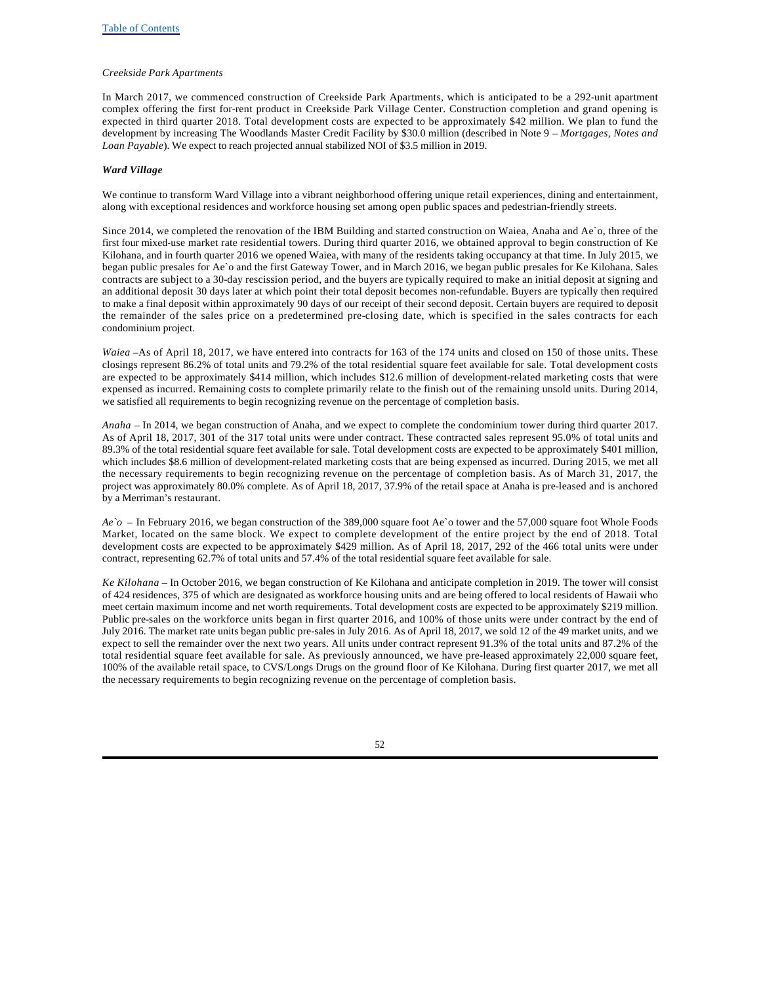### *Creekside Park Apartments*

In March 2017, we commenced construction of Creekside Park Apartments, which is anticipated to be a 292-unit apartment complex offering the first for-rent product in Creekside Park Village Center. Construction completion and grand opening is expected in third quarter 2018. Total development costs are expected to be approximately \$42 million. We plan to fund the development by increasing The Woodlands Master Credit Facility by \$30.0 million (described in Note 9 – *Mortgages, Notes and Loan Payable*). We expect to reach projected annual stabilized NOI of \$3.5 million in 2019.

### *Ward Village*

We continue to transform Ward Village into a vibrant neighborhood offering unique retail experiences, dining and entertainment, along with exceptional residences and workforce housing set among open public spaces and pedestrian-friendly streets.

Since 2014, we completed the renovation of the IBM Building and started construction on Waiea, Anaha and Ae`o, three of the first four mixed-use market rate residential towers. During third quarter 2016, we obtained approval to begin construction of Ke Kilohana, and in fourth quarter 2016 we opened Waiea, with many of the residents taking occupancy at that time. In July 2015, we began public presales for Ae`o and the first Gateway Tower, and in March 2016, we began public presales for Ke Kilohana. Sales contracts are subject to a 30-day rescission period, and the buyers are typically required to make an initial deposit at signing and an additional deposit 30 days later at which point their total deposit becomes non-refundable. Buyers are typically then required to make a final deposit within approximately 90 days of our receipt of their second deposit. Certain buyers are required to deposit the remainder of the sales price on a predetermined pre-closing date, which is specified in the sales contracts for each condominium project.

*Waiea* –As of April 18, 2017, we have entered into contracts for 163 of the 174 units and closed on 150 of those units. These closings represent 86.2% of total units and 79.2% of the total residential square feet available for sale. Total development costs are expected to be approximately \$414 million, which includes \$12.6 million of development-related marketing costs that were expensed as incurred. Remaining costs to complete primarily relate to the finish out of the remaining unsold units. During 2014, we satisfied all requirements to begin recognizing revenue on the percentage of completion basis.

*Anaha* – In 2014, we began construction of Anaha, and we expect to complete the condominium tower during third quarter 2017. As of April 18, 2017, 301 of the 317 total units were under contract. These contracted sales represent 95.0% of total units and 89.3% of the total residential square feet available for sale. Total development costs are expected to be approximately \$401 million, which includes \$8.6 million of development-related marketing costs that are being expensed as incurred. During 2015, we met all the necessary requirements to begin recognizing revenue on the percentage of completion basis. As of March 31, 2017, the project was approximately 80.0% complete. As of April 18, 2017, 37.9% of the retail space at Anaha is pre-leased and is anchored by a Merriman's restaurant.

*Ae`o –* In February 2016, we began construction of the 389,000 square foot Ae`o tower and the 57,000 square foot Whole Foods Market, located on the same block. We expect to complete development of the entire project by the end of 2018. Total development costs are expected to be approximately \$429 million. As of April 18, 2017, 292 of the 466 total units were under contract, representing 62.7% of total units and 57.4% of the total residential square feet available for sale.

*Ke Kilohana –* In October 2016, we began construction of Ke Kilohana and anticipate completion in 2019. The tower will consist of 424 residences, 375 of which are designated as workforce housing units and are being offered to local residents of Hawaii who meet certain maximum income and net worth requirements. Total development costs are expected to be approximately \$219 million. Public pre-sales on the workforce units began in first quarter 2016, and 100% of those units were under contract by the end of July 2016. The market rate units began public pre-sales in July 2016. As of April 18, 2017, we sold 12 of the 49 market units, and we expect to sell the remainder over the next two years. All units under contract represent 91.3% of the total units and 87.2% of the total residential square feet available for sale. As previously announced, we have pre-leased approximately 22,000 square feet, 100% of the available retail space, to CVS/Longs Drugs on the ground floor of Ke Kilohana. During first quarter 2017, we met all the necessary requirements to begin recognizing revenue on the percentage of completion basis.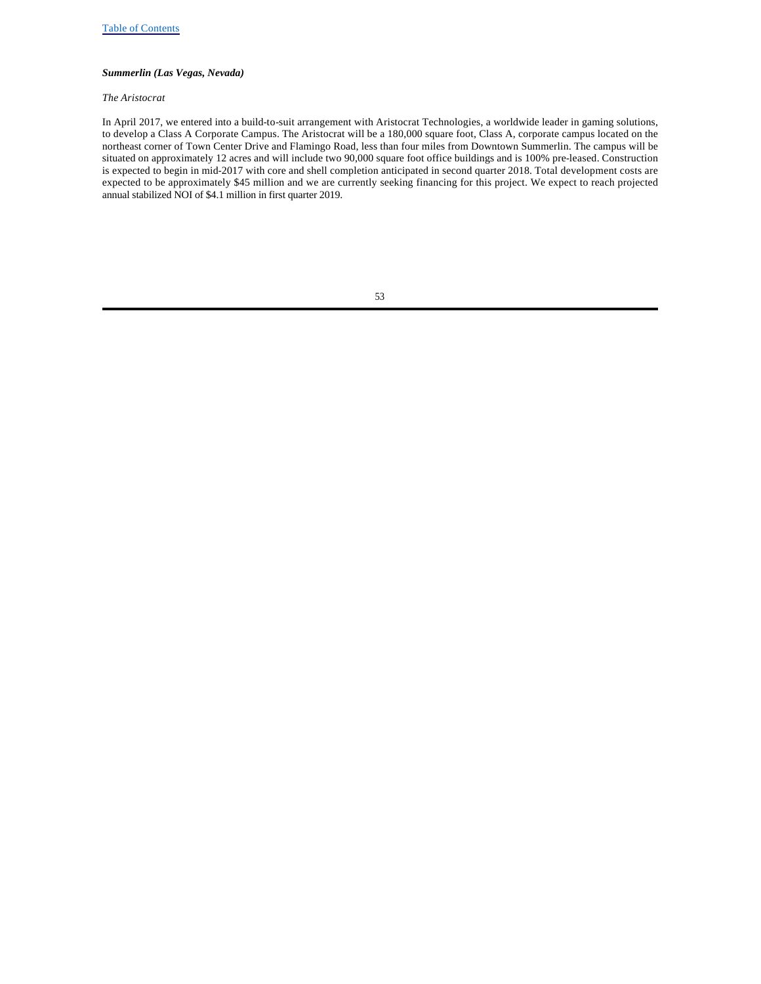# *Summerlin (Las Vegas, Nevada)*

#### *The Aristocrat*

In April 2017, we entered into a build-to-suit arrangement with Aristocrat Technologies, a worldwide leader in gaming solutions, to develop a Class A Corporate Campus. The Aristocrat will be a 180,000 square foot, Class A, corporate campus located on the northeast corner of Town Center Drive and Flamingo Road, less than four miles from Downtown Summerlin. The campus will be situated on approximately 12 acres and will include two 90,000 square foot office buildings and is 100% pre-leased. Construction is expected to begin in mid-2017 with core and shell completion anticipated in second quarter 2018. Total development costs are expected to be approximately \$45 million and we are currently seeking financing for this project. We expect to reach projected annual stabilized NOI of \$4.1 million in first quarter 2019.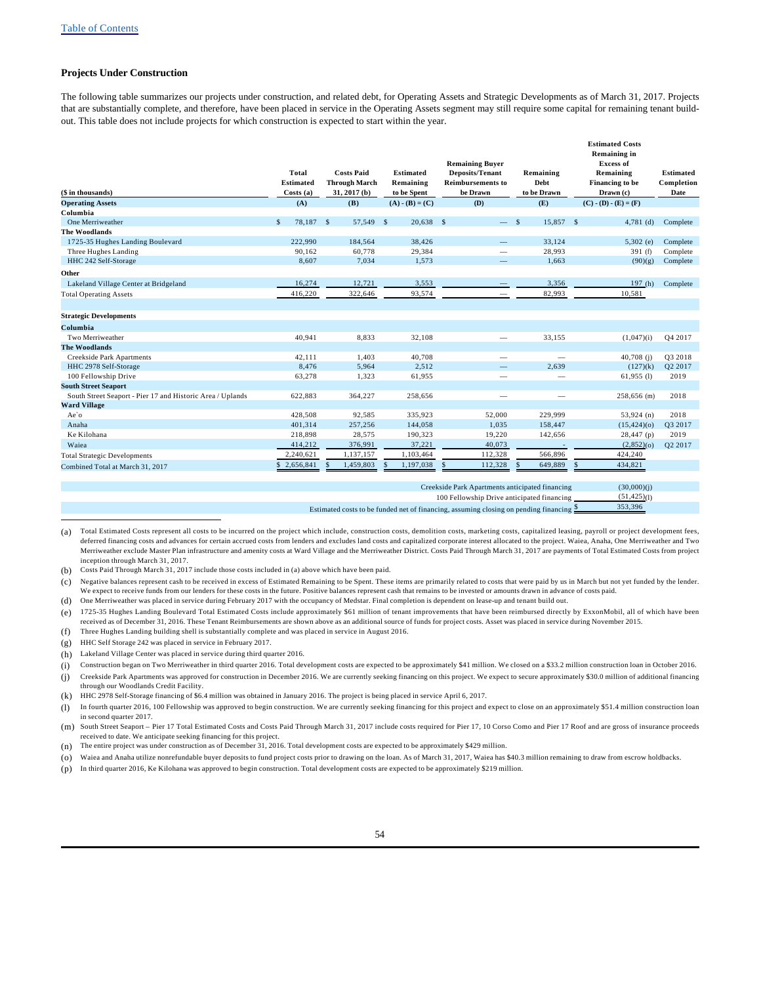### **Projects Under Construction**

The following table summarizes our projects under construction, and related debt, for Operating Assets and Strategic Developments as of March 31, 2017. Projects that are substantially complete, and therefore, have been placed in service in the Operating Assets segment may still require some capital for remaining tenant buildout. This table does not include projects for which construction is expected to start within the year.

| (\$ in thousands)                                          | <b>Total</b><br><b>Estimated</b><br>Costs(a) | <b>Costs Paid</b><br><b>Through March</b><br>$31, 2017$ (b) | <b>Estimated</b><br>Remaining<br>to be Spent | <b>Remaining Buyer</b><br><b>Deposits/Tenant</b><br><b>Reimbursements to</b><br>be Drawn | Remaining<br>Debt<br>to be Drawn | <b>Estimated Costs</b><br><b>Remaining in</b><br><b>Excess of</b><br>Remaining<br>Financing to be<br>Drawn (c) | <b>Estimated</b><br>Completion<br>Date |
|------------------------------------------------------------|----------------------------------------------|-------------------------------------------------------------|----------------------------------------------|------------------------------------------------------------------------------------------|----------------------------------|----------------------------------------------------------------------------------------------------------------|----------------------------------------|
| <b>Operating Assets</b>                                    | (A)                                          | (B)                                                         | $(A) - (B) = (C)$                            | (D)                                                                                      | (E)                              | $(C) - (D) - (E) = (F)$                                                                                        |                                        |
| Columbia                                                   |                                              |                                                             |                                              |                                                                                          |                                  |                                                                                                                |                                        |
| One Merriweather                                           | 78,187<br>$\mathcal{S}$                      | $\mathcal{S}$<br>57,549 \$                                  | $20,638$ \$                                  | $-$ \$                                                                                   | 15,857 \$                        | $4,781$ (d)                                                                                                    | Complete                               |
| <b>The Woodlands</b>                                       |                                              |                                                             |                                              |                                                                                          |                                  |                                                                                                                |                                        |
| 1725-35 Hughes Landing Boulevard                           | 222,990                                      | 184,564                                                     | 38,426                                       |                                                                                          | 33,124                           | $5,302$ (e)                                                                                                    | Complete                               |
| Three Hughes Landing                                       | 90.162                                       | 60,778                                                      | 29,384                                       | $\overline{\phantom{m}}$                                                                 | 28.993                           | 391(f)                                                                                                         | Complete                               |
| HHC 242 Self-Storage                                       | 8,607                                        | 7,034                                                       | 1,573                                        |                                                                                          | 1,663                            | (90)(g)                                                                                                        | Complete                               |
| Other                                                      |                                              |                                                             |                                              |                                                                                          |                                  |                                                                                                                |                                        |
| Lakeland Village Center at Bridgeland                      | 16,274                                       | 12,721                                                      | 3,553                                        |                                                                                          | 3,356                            | 197(h)                                                                                                         | Complete                               |
| <b>Total Operating Assets</b>                              | 416,220                                      | 322,646                                                     | 93,574                                       |                                                                                          | 82,993                           | 10,581                                                                                                         |                                        |
| <b>Strategic Developments</b>                              |                                              |                                                             |                                              |                                                                                          |                                  |                                                                                                                |                                        |
| Columbia                                                   |                                              |                                                             |                                              |                                                                                          |                                  |                                                                                                                |                                        |
| Two Merriweather                                           | 40,941                                       | 8,833                                                       | 32,108                                       |                                                                                          | 33,155                           | (1,047)(i)                                                                                                     | Q4 2017                                |
| <b>The Woodlands</b>                                       |                                              |                                                             |                                              |                                                                                          |                                  |                                                                                                                |                                        |
| Creekside Park Apartments                                  | 42,111                                       | 1,403                                                       | 40,708                                       | $\overline{\phantom{0}}$                                                                 | $\overline{\phantom{m}}$         | $40,708$ (j)                                                                                                   | Q3 2018                                |
| HHC 2978 Self-Storage                                      | 8,476                                        | 5,964                                                       | 2,512                                        |                                                                                          | 2,639                            | (127)(k)                                                                                                       | Q2 2017                                |
| 100 Fellowship Drive                                       | 63,278                                       | 1,323                                                       | 61,955                                       |                                                                                          | $\overline{\phantom{0}}$         | $61,955$ (1)                                                                                                   | 2019                                   |
| <b>South Street Seaport</b>                                |                                              |                                                             |                                              |                                                                                          |                                  |                                                                                                                |                                        |
| South Street Seaport - Pier 17 and Historic Area / Uplands | 622,883                                      | 364,227                                                     | 258,656                                      |                                                                                          | -                                | 258,656 (m)                                                                                                    | 2018                                   |
| <b>Ward Village</b>                                        |                                              |                                                             |                                              |                                                                                          |                                  |                                                                                                                |                                        |
| Ae'o                                                       | 428,508                                      | 92,585                                                      | 335,923                                      | 52,000                                                                                   | 229,999                          | $53,924$ (n)                                                                                                   | 2018                                   |
| Anaha                                                      | 401.314                                      | 257,256                                                     | 144,058                                      | 1,035                                                                                    | 158,447                          | (15, 424)(o)                                                                                                   | Q3 2017                                |
| Ke Kilohana                                                | 218,898                                      | 28,575                                                      | 190,323                                      | 19,220                                                                                   | 142,656                          | $28,447$ (p)                                                                                                   | 2019                                   |
| Waiea                                                      | 414,212                                      | 376,991                                                     | 37,221                                       | 40,073                                                                                   |                                  | $(2,852)$ (o)                                                                                                  | Q2 2017                                |
| <b>Total Strategic Developments</b>                        | 2,240,621                                    | 1,137,157                                                   | 1,103,464                                    | 112,328                                                                                  | 566,896                          | 424,240                                                                                                        |                                        |
| Combined Total at March 31, 2017                           | 2,656,841<br>\$.                             | 1,459,803<br>$\mathcal{S}$                                  | 1,197,038<br>S.                              | 112,328<br>$\mathcal{S}$                                                                 | 649,889<br>\$                    | 434,821<br>\$                                                                                                  |                                        |
|                                                            |                                              |                                                             |                                              | Creekside Park Apartments anticipated financing                                          |                                  | (30,000)(i)                                                                                                    |                                        |

Creekside Park Apartments anticipated financing (30,000)(j) 100 Fellowship Drive anticipated financing  $(51,425)(1)$ Estimated costs to be funded net of financing, assuming closing on pending financing \$ 353,396

(b) Costs Paid Through March 31, 2017 include those costs included in (a) above which have been paid.

(c) Negative balances represent cash to be received in excess of Estimated Remaining to be Spent. These items are primarily related to costs that were paid by us in March but not yet funded by the lender. We expect to receive funds from our lenders for these costs in the future. Positive balances represent cash that remains to be invested or amounts drawn in advance of costs paid.

(d) One Merriweather was placed in service during February 2017 with the occupancy of Medstar. Final completion is dependent on lease-up and tenant build out.

(e) 1725-35 Hughes Landing Boulevard Total Estimated Costs include approximately \$61 million of tenant improvements that have been reimbursed directly by ExxonMobil, all of which have been received as of December 31, 2016. These Tenant Reimbursements are shown above as an additional source of funds for project costs. Asset was placed in service during November 2015. (f) Three Hughes Landing building shell is substantially complete and was placed in service in August 2016.

(g) HHC Self Storage 242 was placed in service in February 2017.

(h) Lakeland Village Center was placed in service during third quarter 2016.

(i) Construction began on Two Merriweather in third quarter 2016. Total development costs are expected to be approximately \$41 million. We closed on a \$33.2 million construction loan in October 2016.

(j) Creekside Park Apartments was approved for construction in December 2016. We are currently seeking financing on this project. We expect to secure approximately \$30.0 million of additional financing through our Woodlands Credit Facility.

(k) HHC 2978 Self-Storage financing of \$6.4 million was obtained in January 2016. The project is being placed in service April 6, 2017.

(l) In fourth quarter 2016, 100 Fellowship was approved to begin construction. We are currently seeking financing for this project and expect to close on an approximately \$51.4 million construction loan in second quarter 2017.

(m) South Street Seaport – Pier 17 Total Estimated Costs and Costs Paid Through March 31, 2017 include costs required for Pier 17, 10 Corso Como and Pier 17 Roof and are gross of insurance proceeds received to date. We anticipate seeking financing for this project.

(n) The entire project was under construction as of December 31, 2016. Total development costs are expected to be approximately \$429 million.

(o) Waiea and Anaha utilize nonrefundable buyer deposits to fund project costs prior to drawing on the loan. As of March 31, 2017, Waiea has \$40.3 million remaining to draw from escrow holdbacks.

(p) In third quarter 2016, Ke Kilohana was approved to begin construction. Total development costs are expected to be approximately \$219 million.

<sup>(</sup>a) Total Estimated Costs represent all costs to be incurred on the project which include, construction costs, demolition costs, marketing costs, capitalized leasing, payroll or project development fees, deferred financing costs and advances for certain accrued costs from lenders and excludes land costs and capitalized corporate interest allocated to the project. Waiea, Anaha, One Merriweather and Two Merriweather exclude Master Plan infrastructure and amenity costs at Ward Village and the Merriweather District. Costs Paid Through March 31, 2017 are payments of Total Estimated Costs from project inception through March 31, 2017.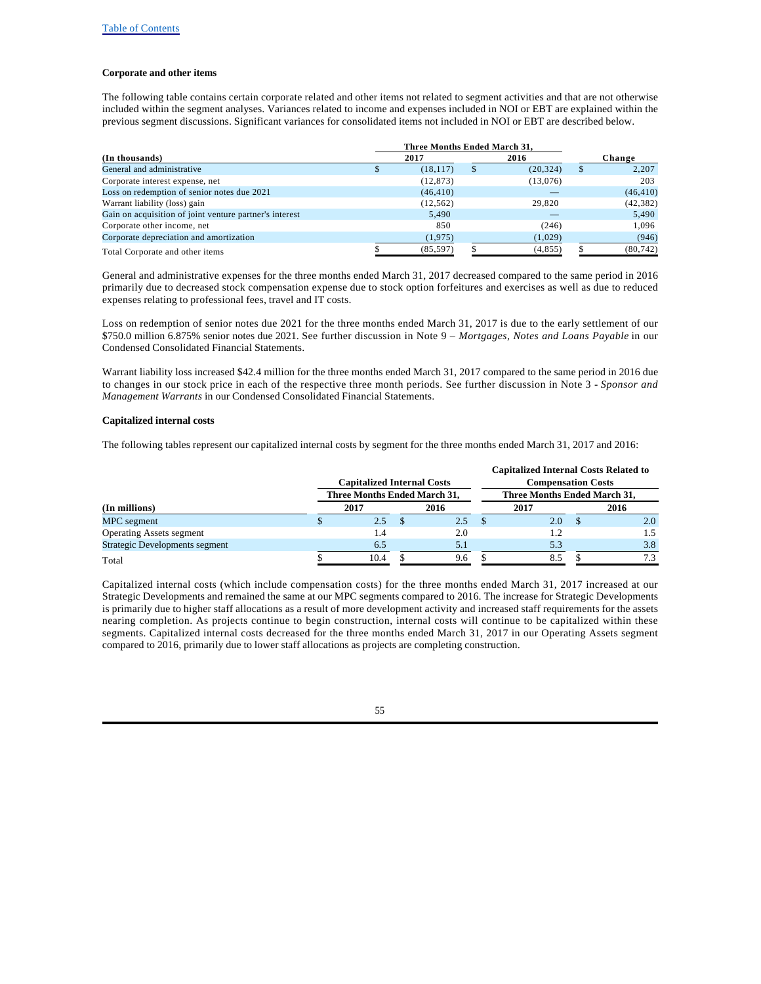### **Corporate and other items**

The following table contains certain corporate related and other items not related to segment activities and that are not otherwise included within the segment analyses. Variances related to income and expenses included in NOI or EBT are explained within the previous segment discussions. Significant variances for consolidated items not included in NOI or EBT are described below.

| (In thousands)                                          |  | 2017      | 2016            | Change      |
|---------------------------------------------------------|--|-----------|-----------------|-------------|
| General and administrative                              |  | (18, 117) | \$<br>(20, 324) | \$<br>2,207 |
| Corporate interest expense, net                         |  | (12, 873) | (13,076)        | 203         |
| Loss on redemption of senior notes due 2021             |  | (46, 410) |                 | (46, 410)   |
| Warrant liability (loss) gain                           |  | (12, 562) | 29,820          | (42, 382)   |
| Gain on acquisition of joint venture partner's interest |  | 5.490     |                 | 5,490       |
| Corporate other income, net                             |  | 850       | (246)           | 1.096       |
| Corporate depreciation and amortization                 |  | (1, 975)  | (1,029)         | (946)       |
| Total Corporate and other items                         |  | (85, 597) | (4, 855)        | (80, 742)   |

General and administrative expenses for the three months ended March 31, 2017 decreased compared to the same period in 2016 primarily due to decreased stock compensation expense due to stock option forfeitures and exercises as well as due to reduced expenses relating to professional fees, travel and IT costs.

Loss on redemption of senior notes due 2021 for the three months ended March 31, 2017 is due to the early settlement of our \$750.0 million 6.875% senior notes due 2021. See further discussion in Note 9 – *Mortgages, Notes and Loans Payable* in our Condensed Consolidated Financial Statements.

Warrant liability loss increased \$42.4 million for the three months ended March 31, 2017 compared to the same period in 2016 due to changes in our stock price in each of the respective three month periods. See further discussion in Note 3 - *Sponsor and Management Warrants* in our Condensed Consolidated Financial Statements.

#### **Capitalized internal costs**

The following tables represent our capitalized internal costs by segment for the three months ended March 31, 2017 and 2016:

|                                       | <b>Capitalized Internal Costs</b><br>Three Months Ended March 31, |  | <b>Capitalized Internal Costs Related to</b><br><b>Compensation Costs</b><br>Three Months Ended March 31, |  |      |  |      |  |
|---------------------------------------|-------------------------------------------------------------------|--|-----------------------------------------------------------------------------------------------------------|--|------|--|------|--|
| (In millions)                         | 2017                                                              |  | 2016                                                                                                      |  | 2017 |  | 2016 |  |
| MPC segment                           | 2.5                                                               |  | 2.5                                                                                                       |  | 2.0  |  | 2.0  |  |
| <b>Operating Assets segment</b>       | 1.4                                                               |  | 2.0                                                                                                       |  |      |  | 1.5  |  |
| <b>Strategic Developments segment</b> | 6.5                                                               |  | 5.1                                                                                                       |  | 5.3  |  | 3.8  |  |
| Total                                 | 10.4                                                              |  | 9.6                                                                                                       |  | .85  |  | 7.3  |  |

Capitalized internal costs (which include compensation costs) for the three months ended March 31, 2017 increased at our Strategic Developments and remained the same at our MPC segments compared to 2016. The increase for Strategic Developments is primarily due to higher staff allocations as a result of more development activity and increased staff requirements for the assets nearing completion. As projects continue to begin construction, internal costs will continue to be capitalized within these segments. Capitalized internal costs decreased for the three months ended March 31, 2017 in our Operating Assets segment compared to 2016, primarily due to lower staff allocations as projects are completing construction.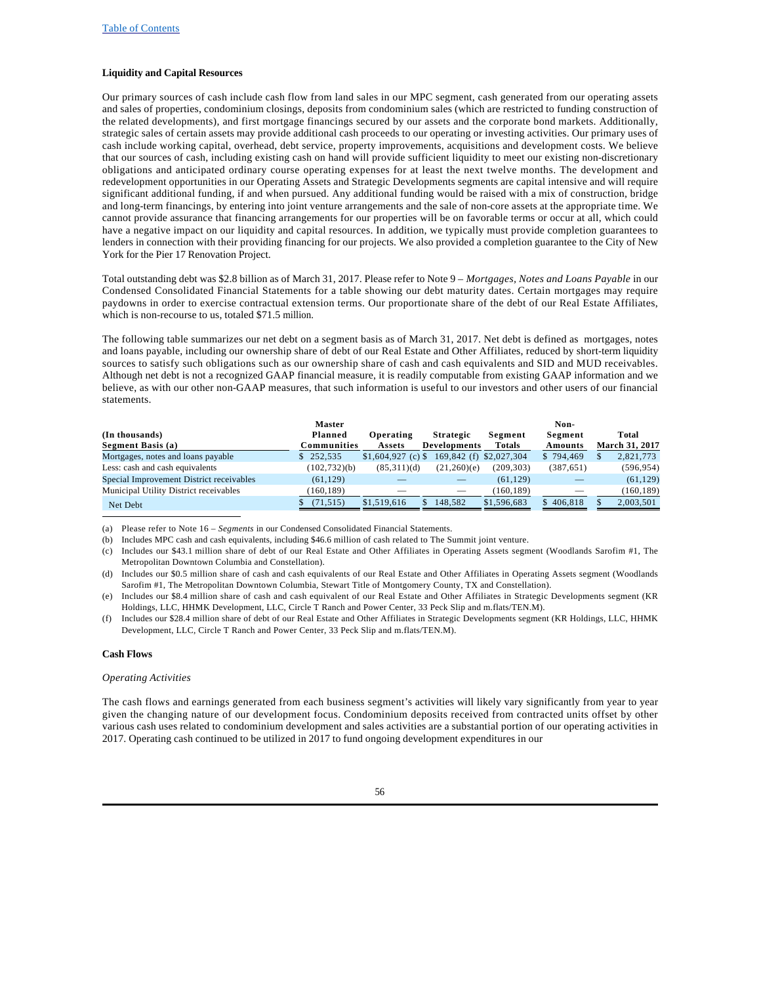### **Liquidity and Capital Resources**

Our primary sources of cash include cash flow from land sales in our MPC segment, cash generated from our operating assets and sales of properties, condominium closings, deposits from condominium sales (which are restricted to funding construction of the related developments), and first mortgage financings secured by our assets and the corporate bond markets. Additionally, strategic sales of certain assets may provide additional cash proceeds to our operating or investing activities. Our primary uses of cash include working capital, overhead, debt service, property improvements, acquisitions and development costs. We believe that our sources of cash, including existing cash on hand will provide sufficient liquidity to meet our existing non-discretionary obligations and anticipated ordinary course operating expenses for at least the next twelve months. The development and redevelopment opportunities in our Operating Assets and Strategic Developments segments are capital intensive and will require significant additional funding, if and when pursued. Any additional funding would be raised with a mix of construction, bridge and long-term financings, by entering into joint venture arrangements and the sale of non-core assets at the appropriate time. We cannot provide assurance that financing arrangements for our properties will be on favorable terms or occur at all, which could have a negative impact on our liquidity and capital resources. In addition, we typically must provide completion guarantees to lenders in connection with their providing financing for our projects. We also provided a completion guarantee to the City of New York for the Pier 17 Renovation Project.

Total outstanding debt was \$2.8 billion as of March 31, 2017. Please refer to Note 9 – *Mortgages, Notes and Loans Payable* in our Condensed Consolidated Financial Statements for a table showing our debt maturity dates. Certain mortgages may require paydowns in order to exercise contractual extension terms. Our proportionate share of the debt of our Real Estate Affiliates, which is non-recourse to us, totaled \$71.5 million.

The following table summarizes our net debt on a segment basis as of March 31, 2017. Net debt is defined as mortgages, notes and loans payable, including our ownership share of debt of our Real Estate and Other Affiliates, reduced by short-term liquidity sources to satisfy such obligations such as our ownership share of cash and cash equivalents and SID and MUD receivables. Although net debt is not a recognized GAAP financial measure, it is readily computable from existing GAAP information and we believe, as with our other non-GAAP measures, that such information is useful to our investors and other users of our financial statements.

|                                          | <b>Master</b>          |                     |                                         |                   | Non-               |                                |
|------------------------------------------|------------------------|---------------------|-----------------------------------------|-------------------|--------------------|--------------------------------|
| (In thousands)<br>Segment Basis (a)      | Planned<br>Communities | Operating<br>Assets | <b>Strategic</b><br><b>Developments</b> | Segment<br>Totals | Segment<br>Amounts | Total<br><b>March 31, 2017</b> |
| Mortgages, notes and loans payable       | \$252.535              | $$1,604,927$ (c) \$ | 169,842 (f) \$2,027,304                 |                   | \$794,469          | 2,821,773                      |
| Less: cash and cash equivalents          | (102, 732)(b)          | (85,311)(d)         | (21,260)(e)                             | (209, 303)        | (387, 651)         | (596, 954)                     |
| Special Improvement District receivables | (61, 129)              |                     |                                         | (61, 129)         |                    | (61, 129)                      |
| Municipal Utility District receivables   | (160.189)              |                     |                                         | (160.189)         |                    | (160, 189)                     |
| Net Debt                                 | (71, 515)              | \$1,519,616         | 148.582                                 | \$1,596,683       | \$406.818          | 2,003,501                      |

(a) Please refer to Note 16 – *Segments* in our Condensed Consolidated Financial Statements.

(b) Includes MPC cash and cash equivalents, including \$46.6 million of cash related to The Summit joint venture.

(c) Includes our \$43.1 million share of debt of our Real Estate and Other Affiliates in Operating Assets segment (Woodlands Sarofim #1, The Metropolitan Downtown Columbia and Constellation).

#### **Cash Flows**

#### *Operating Activities*

The cash flows and earnings generated from each business segment's activities will likely vary significantly from year to year given the changing nature of our development focus. Condominium deposits received from contracted units offset by other various cash uses related to condominium development and sales activities are a substantial portion of our operating activities in 2017. Operating cash continued to be utilized in 2017 to fund ongoing development expenditures in our

<sup>(</sup>d) Includes our \$0.5 million share of cash and cash equivalents of our Real Estate and Other Affiliates in Operating Assets segment (Woodlands Sarofim #1, The Metropolitan Downtown Columbia, Stewart Title of Montgomery County, TX and Constellation).

Includes our \$8.4 million share of cash and cash equivalent of our Real Estate and Other Affiliates in Strategic Developments segment (KR Holdings, LLC, HHMK Development, LLC, Circle T Ranch and Power Center, 33 Peck Slip and m.flats/TEN.M).

<sup>(</sup>f) Includes our \$28.4 million share of debt of our Real Estate and Other Affiliates in Strategic Developments segment (KR Holdings, LLC, HHMK Development, LLC, Circle T Ranch and Power Center, 33 Peck Slip and m.flats/TEN.M).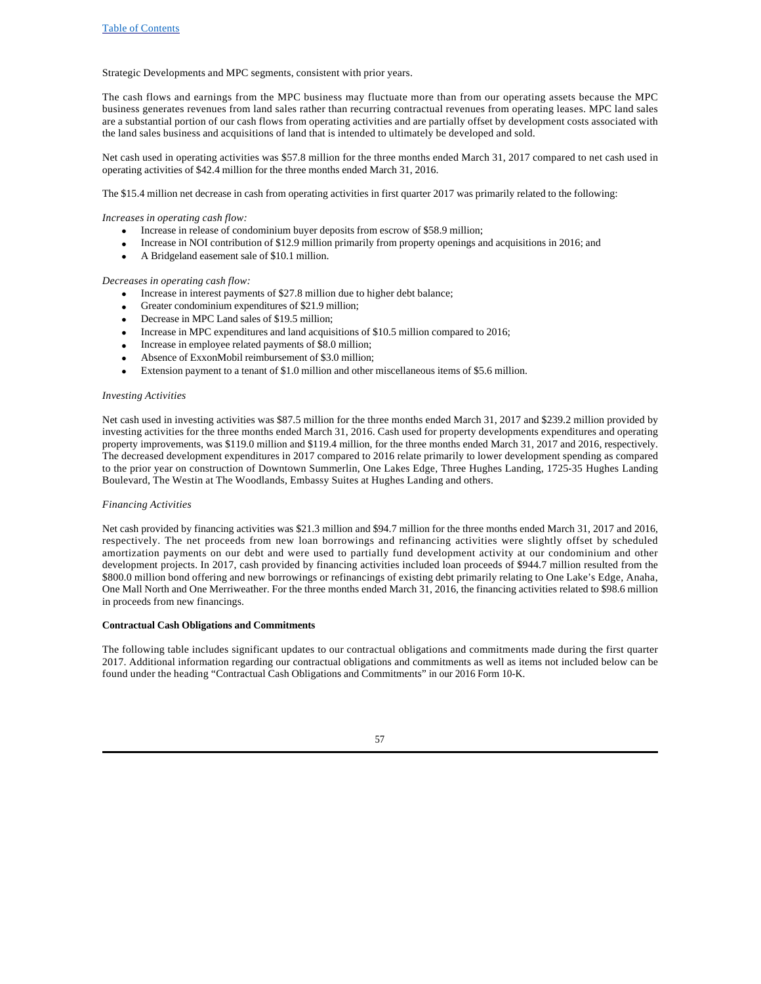Strategic Developments and MPC segments, consistent with prior years.

The cash flows and earnings from the MPC business may fluctuate more than from our operating assets because the MPC business generates revenues from land sales rather than recurring contractual revenues from operating leases. MPC land sales are a substantial portion of our cash flows from operating activities and are partially offset by development costs associated with the land sales business and acquisitions of land that is intended to ultimately be developed and sold.

Net cash used in operating activities was \$57.8 million for the three months ended March 31, 2017 compared to net cash used in operating activities of \$42.4 million for the three months ended March 31, 2016.

The \$15.4 million net decrease in cash from operating activities in first quarter 2017 was primarily related to the following:

*Increases in operating cash flow:* 

- Increase in release of condominium buyer deposits from escrow of \$58.9 million;
- · Increase in NOI contribution of \$12.9 million primarily from property openings and acquisitions in 2016; and
- · A Bridgeland easement sale of \$10.1 million.

### *Decreases in operating cash flow:*

- Increase in interest payments of \$27.8 million due to higher debt balance;
- Greater condominium expenditures of \$21.9 million;
- · Decrease in MPC Land sales of \$19.5 million;
- · Increase in MPC expenditures and land acquisitions of \$10.5 million compared to 2016;
- Increase in employee related payments of \$8.0 million;
- Absence of ExxonMobil reimbursement of \$3.0 million;
- Extension payment to a tenant of \$1.0 million and other miscellaneous items of \$5.6 million.

#### *Investing Activities*

Net cash used in investing activities was \$87.5 million for the three months ended March 31, 2017 and \$239.2 million provided by investing activities for the three months ended March 31, 2016. Cash used for property developments expenditures and operating property improvements, was \$119.0 million and \$119.4 million, for the three months ended March 31, 2017 and 2016, respectively. The decreased development expenditures in 2017 compared to 2016 relate primarily to lower development spending as compared to the prior year on construction of Downtown Summerlin, One Lakes Edge, Three Hughes Landing, 1725-35 Hughes Landing Boulevard, The Westin at The Woodlands, Embassy Suites at Hughes Landing and others.

#### *Financing Activities*

Net cash provided by financing activities was \$21.3 million and \$94.7 million for the three months ended March 31, 2017 and 2016, respectively. The net proceeds from new loan borrowings and refinancing activities were slightly offset by scheduled amortization payments on our debt and were used to partially fund development activity at our condominium and other development projects. In 2017, cash provided by financing activities included loan proceeds of \$944.7 million resulted from the \$800.0 million bond offering and new borrowings or refinancings of existing debt primarily relating to One Lake's Edge, Anaha, One Mall North and One Merriweather. For the three months ended March 31, 2016, the financing activities related to \$98.6 million in proceeds from new financings.

#### **Contractual Cash Obligations and Commitments**

The following table includes significant updates to our contractual obligations and commitments made during the first quarter 2017. Additional information regarding our contractual obligations and commitments as well as items not included below can be found under the heading "Contractual Cash Obligations and Commitments" in our 2016 Form 10-K.

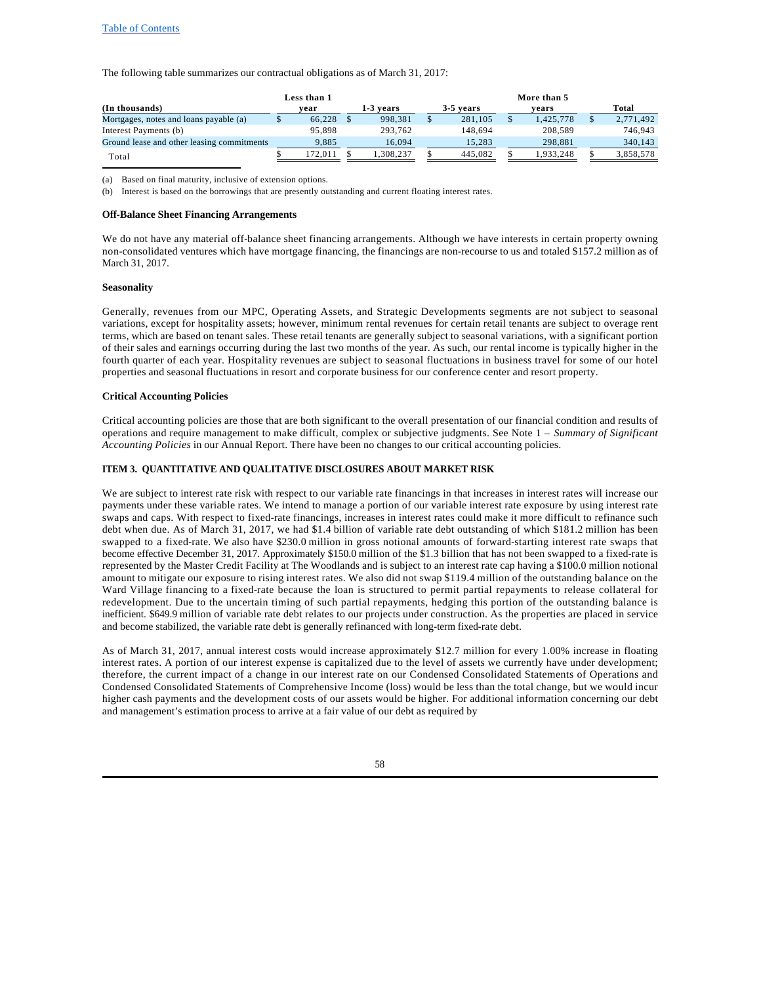#### Table of Contents

The following table summarizes our contractual obligations as of March 31, 2017:

|                                            | Less than 1 |        |  |           | More than 5 |           |  |           |  |           |
|--------------------------------------------|-------------|--------|--|-----------|-------------|-----------|--|-----------|--|-----------|
| (In thousands)                             |             | vear   |  | 1-3 vears |             | 3-5 years |  | vears     |  | Total     |
| Mortgages, notes and loans payable (a)     |             | 66.228 |  | 998.381   |             | 281.105   |  | 1.425.778 |  | 2,771,492 |
| Interest Payments (b)                      |             | 95.898 |  | 293.762   |             | 148.694   |  | 208.589   |  | 746.943   |
| Ground lease and other leasing commitments |             | 9.885  |  | 16.094    |             | 15.283    |  | 298.881   |  | 340.143   |
| Total                                      |             | 72.011 |  | 1.308.237 |             | 445.082   |  | .933.248  |  | 3.858.578 |

(a) Based on final maturity, inclusive of extension options.

(b) Interest is based on the borrowings that are presently outstanding and current floating interest rates.

#### **Off-Balance Sheet Financing Arrangements**

We do not have any material off-balance sheet financing arrangements. Although we have interests in certain property owning non-consolidated ventures which have mortgage financing, the financings are non-recourse to us and totaled \$157.2 million as of March 31, 2017.

#### **Seasonality**

Generally, revenues from our MPC, Operating Assets, and Strategic Developments segments are not subject to seasonal variations, except for hospitality assets; however, minimum rental revenues for certain retail tenants are subject to overage rent terms, which are based on tenant sales. These retail tenants are generally subject to seasonal variations, with a significant portion of their sales and earnings occurring during the last two months of the year. As such, our rental income is typically higher in the fourth quarter of each year. Hospitality revenues are subject to seasonal fluctuations in business travel for some of our hotel properties and seasonal fluctuations in resort and corporate business for our conference center and resort property.

#### **Critical Accounting Policies**

Critical accounting policies are those that are both significant to the overall presentation of our financial condition and results of operations and require management to make difficult, complex or subjective judgments. See Note 1 – *Summary of Significant Accounting Policies* in our Annual Report. There have been no changes to our critical accounting policies.

### **ITEM 3. QUANTITATIVE AND QUALITATIVE DISCLOSURES ABOUT MARKET RISK**

We are subject to interest rate risk with respect to our variable rate financings in that increases in interest rates will increase our payments under these variable rates. We intend to manage a portion of our variable interest rate exposure by using interest rate swaps and caps. With respect to fixed-rate financings, increases in interest rates could make it more difficult to refinance such debt when due. As of March 31, 2017, we had \$1.4 billion of variable rate debt outstanding of which \$181.2 million has been swapped to a fixed-rate. We also have \$230.0 million in gross notional amounts of forward-starting interest rate swaps that become effective December 31, 2017. Approximately \$150.0 million of the \$1.3 billion that has not been swapped to a fixed-rate is represented by the Master Credit Facility at The Woodlands and is subject to an interest rate cap having a \$100.0 million notional amount to mitigate our exposure to rising interest rates. We also did not swap \$119.4 million of the outstanding balance on the Ward Village financing to a fixed-rate because the loan is structured to permit partial repayments to release collateral for redevelopment. Due to the uncertain timing of such partial repayments, hedging this portion of the outstanding balance is inefficient. \$649.9 million of variable rate debt relates to our projects under construction. As the properties are placed in service and become stabilized, the variable rate debt is generally refinanced with long-term fixed-rate debt.

As of March 31, 2017, annual interest costs would increase approximately \$12.7 million for every 1.00% increase in floating interest rates. A portion of our interest expense is capitalized due to the level of assets we currently have under development; therefore, the current impact of a change in our interest rate on our Condensed Consolidated Statements of Operations and Condensed Consolidated Statements of Comprehensive Income (loss) would be less than the total change, but we would incur higher cash payments and the development costs of our assets would be higher. For additional information concerning our debt and management's estimation process to arrive at a fair value of our debt as required by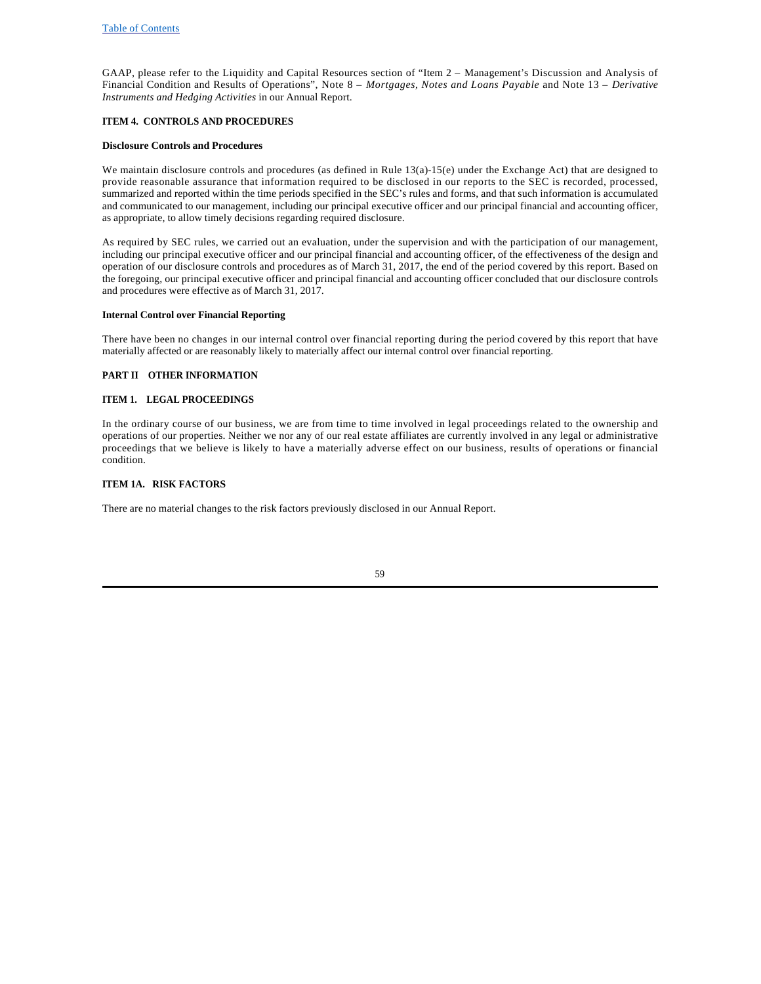GAAP, please refer to the Liquidity and Capital Resources section of "Item 2 – Management's Discussion and Analysis of Financial Condition and Results of Operations", Note 8 – *Mortgages, Notes and Loans Payable* and Note 13 – *Derivative Instruments and Hedging Activities* in our Annual Report.

## **ITEM 4. CONTROLS AND PROCEDURES**

### **Disclosure Controls and Procedures**

We maintain disclosure controls and procedures (as defined in Rule  $13(a)-15(e)$  under the Exchange Act) that are designed to provide reasonable assurance that information required to be disclosed in our reports to the SEC is recorded, processed, summarized and reported within the time periods specified in the SEC's rules and forms, and that such information is accumulated and communicated to our management, including our principal executive officer and our principal financial and accounting officer, as appropriate, to allow timely decisions regarding required disclosure.

As required by SEC rules, we carried out an evaluation, under the supervision and with the participation of our management, including our principal executive officer and our principal financial and accounting officer, of the effectiveness of the design and operation of our disclosure controls and procedures as of March 31, 2017, the end of the period covered by this report. Based on the foregoing, our principal executive officer and principal financial and accounting officer concluded that our disclosure controls and procedures were effective as of March 31, 2017.

### **Internal Control over Financial Reporting**

There have been no changes in our internal control over financial reporting during the period covered by this report that have materially affected or are reasonably likely to materially affect our internal control over financial reporting.

### **PART II OTHER INFORMATION**

### **ITEM 1. LEGAL PROCEEDINGS**

In the ordinary course of our business, we are from time to time involved in legal proceedings related to the ownership and operations of our properties. Neither we nor any of our real estate affiliates are currently involved in any legal or administrative proceedings that we believe is likely to have a materially adverse effect on our business, results of operations or financial condition.

### **ITEM 1A. RISK FACTORS**

There are no material changes to the risk factors previously disclosed in our Annual Report.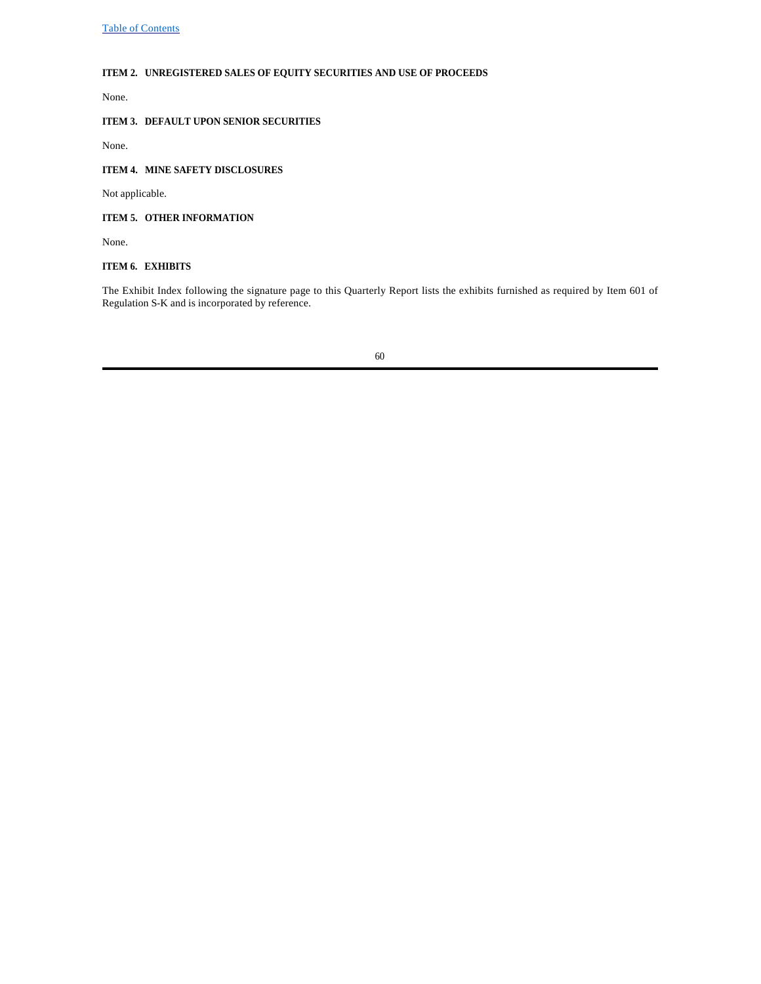# **ITEM 2. UNREGISTERED SALES OF EQUITY SECURITIES AND USE OF PROCEEDS**

None.

# **ITEM 3. DEFAULT UPON SENIOR SECURITIES**

None.

# **ITEM 4. MINE SAFETY DISCLOSURES**

Not applicable.

# **ITEM 5. OTHER INFORMATION**

None.

# **ITEM 6. EXHIBITS**

The Exhibit Index following the signature page to this Quarterly Report lists the exhibits furnished as required by Item 601 of Regulation S-K and is incorporated by reference.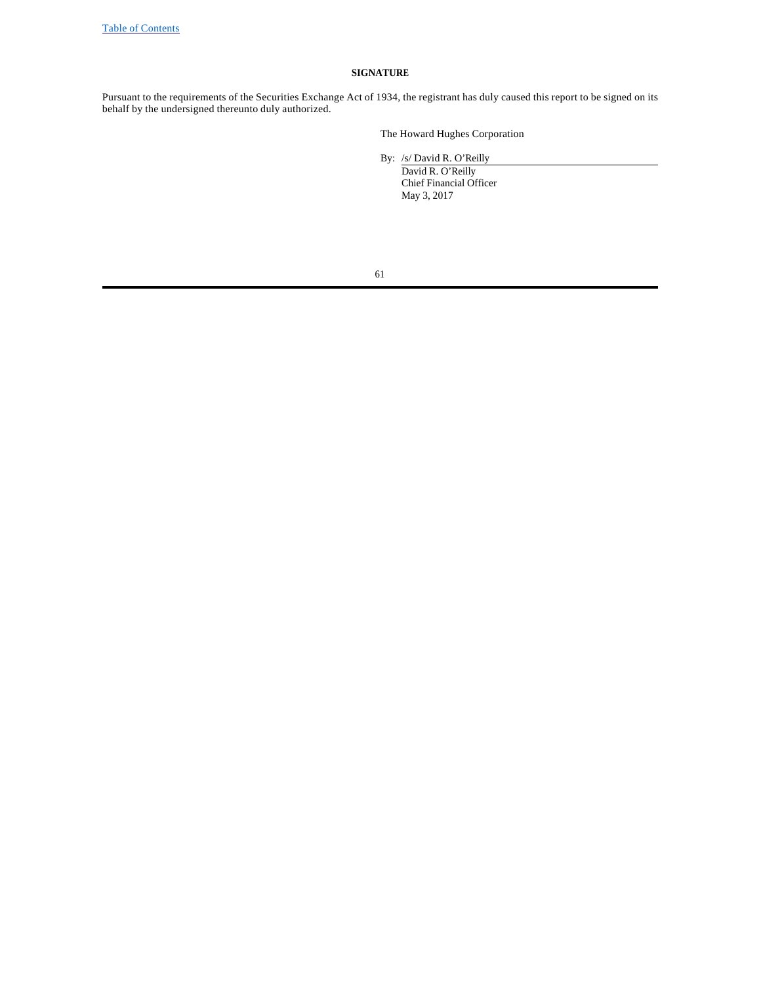## **SIGNATURE**

Pursuant to the requirements of the Securities Exchange Act of 1934, the registrant has duly caused this report to be signed on its behalf by the undersigned thereunto duly authorized.

The Howard Hughes Corporation

By: /s/ David R. O'Reilly

David R. O'Reilly Chief Financial Officer May 3, 2017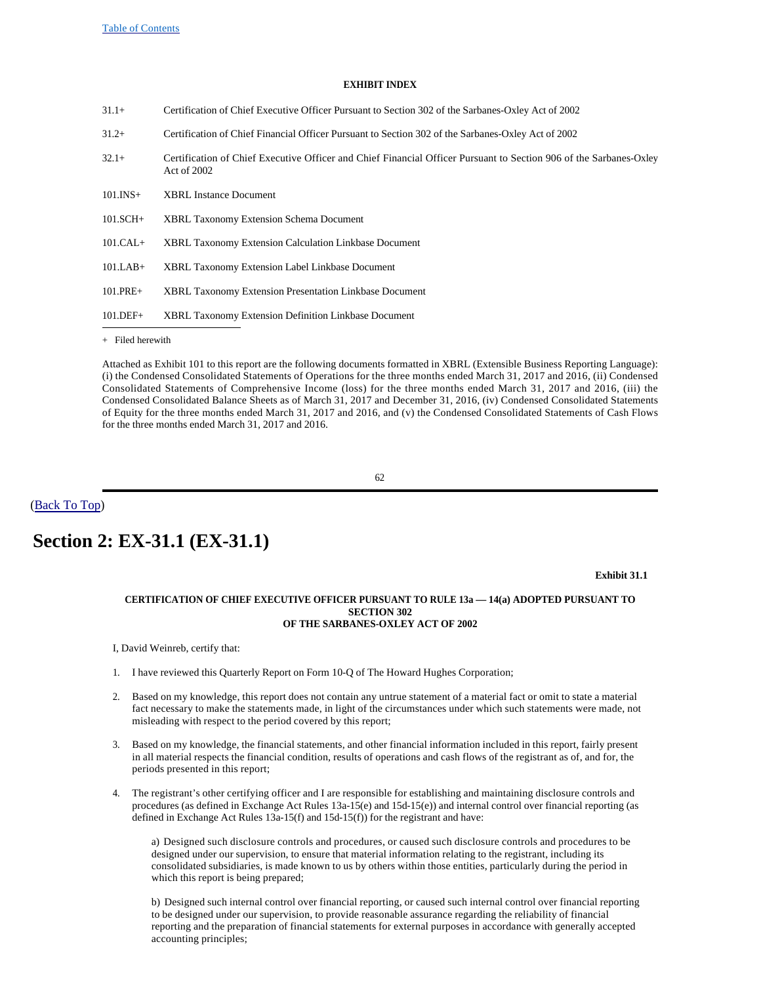### **EXHIBIT INDEX**

| $31.1+$<br>Certification of Chief Executive Officer Pursuant to Section 302 of the Sarbanes-Oxley Act of 2002 |  |
|---------------------------------------------------------------------------------------------------------------|--|
|---------------------------------------------------------------------------------------------------------------|--|

- 31.2+ Certification of Chief Financial Officer Pursuant to Section 302 of the Sarbanes-Oxley Act of 2002
- 32.1+ Certification of Chief Executive Officer and Chief Financial Officer Pursuant to Section 906 of the Sarbanes-Oxley Act of 2002
- 101.INS+ XBRL Instance Document
- 101.SCH+ XBRL Taxonomy Extension Schema Document
- 101.CAL+ XBRL Taxonomy Extension Calculation Linkbase Document
- 101.LAB+ XBRL Taxonomy Extension Label Linkbase Document
- 101.PRE+ XBRL Taxonomy Extension Presentation Linkbase Document
- 101.DEF+ XBRL Taxonomy Extension Definition Linkbase Document

+ Filed herewith

Attached as Exhibit 101 to this report are the following documents formatted in XBRL (Extensible Business Reporting Language): (i) the Condensed Consolidated Statements of Operations for the three months ended March 31, 2017 and 2016, (ii) Condensed Consolidated Statements of Comprehensive Income (loss) for the three months ended March 31, 2017 and 2016, (iii) the Condensed Consolidated Balance Sheets as of March 31, 2017 and December 31, 2016, (iv) Condensed Consolidated Statements of Equity for the three months ended March 31, 2017 and 2016, and (v) the Condensed Consolidated Statements of Cash Flows for the three months ended March 31, 2017 and 2016.

62

(Back To Top)

# **Section 2: EX-31.1 (EX-31.1)**

#### **Exhibit 31.1**

### **CERTIFICATION OF CHIEF EXECUTIVE OFFICER PURSUANT TO RULE 13a — 14(a) ADOPTED PURSUANT TO SECTION 302 OF THE SARBANES-OXLEY ACT OF 2002**

I, David Weinreb, certify that:

- 1. I have reviewed this Quarterly Report on Form 10-Q of The Howard Hughes Corporation;
- 2. Based on my knowledge, this report does not contain any untrue statement of a material fact or omit to state a material fact necessary to make the statements made, in light of the circumstances under which such statements were made, not misleading with respect to the period covered by this report;
- 3. Based on my knowledge, the financial statements, and other financial information included in this report, fairly present in all material respects the financial condition, results of operations and cash flows of the registrant as of, and for, the periods presented in this report;
- 4. The registrant's other certifying officer and I are responsible for establishing and maintaining disclosure controls and procedures (as defined in Exchange Act Rules 13a-15(e) and 15d-15(e)) and internal control over financial reporting (as defined in Exchange Act Rules 13a-15(f) and 15d-15(f)) for the registrant and have:

a) Designed such disclosure controls and procedures, or caused such disclosure controls and procedures to be designed under our supervision, to ensure that material information relating to the registrant, including its consolidated subsidiaries, is made known to us by others within those entities, particularly during the period in which this report is being prepared;

b) Designed such internal control over financial reporting, or caused such internal control over financial reporting to be designed under our supervision, to provide reasonable assurance regarding the reliability of financial reporting and the preparation of financial statements for external purposes in accordance with generally accepted accounting principles;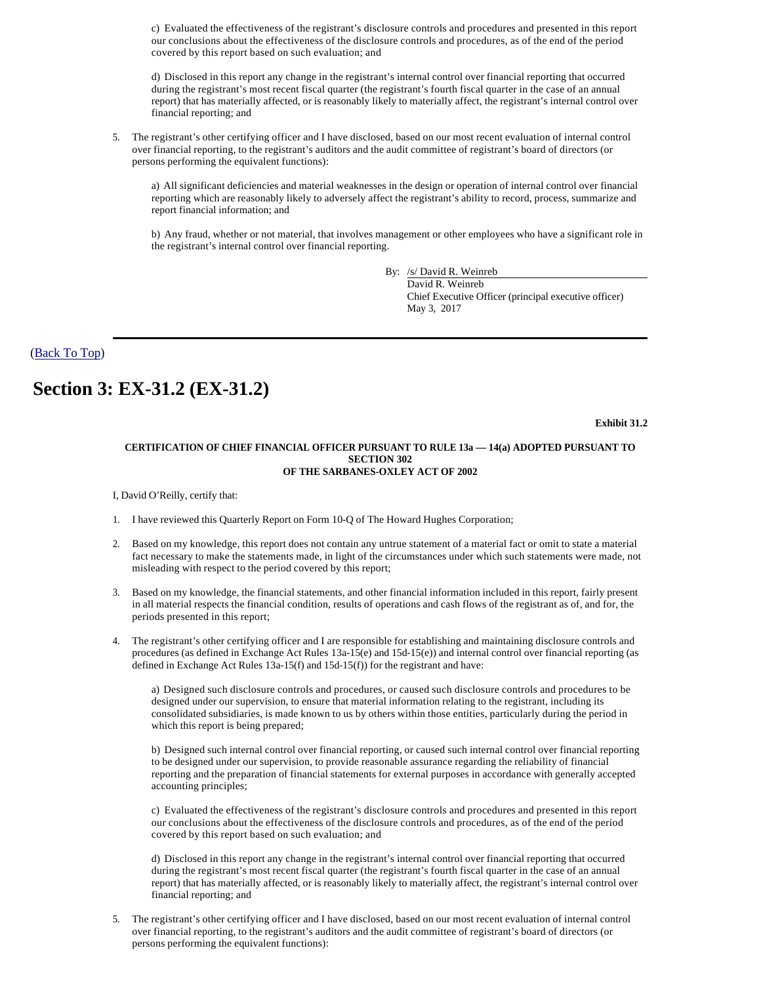c) Evaluated the effectiveness of the registrant's disclosure controls and procedures and presented in this report our conclusions about the effectiveness of the disclosure controls and procedures, as of the end of the period covered by this report based on such evaluation; and

d) Disclosed in this report any change in the registrant's internal control over financial reporting that occurred during the registrant's most recent fiscal quarter (the registrant's fourth fiscal quarter in the case of an annual report) that has materially affected, or is reasonably likely to materially affect, the registrant's internal control over financial reporting; and

5. The registrant's other certifying officer and I have disclosed, based on our most recent evaluation of internal control over financial reporting, to the registrant's auditors and the audit committee of registrant's board of directors (or persons performing the equivalent functions):

a) All significant deficiencies and material weaknesses in the design or operation of internal control over financial reporting which are reasonably likely to adversely affect the registrant's ability to record, process, summarize and report financial information; and

b) Any fraud, whether or not material, that involves management or other employees who have a significant role in the registrant's internal control over financial reporting.

By: /s/ David R. Weinreb

David R. Weinreb Chief Executive Officer (principal executive officer) May 3, 2017

(Back To Top)

# **Section 3: EX-31.2 (EX-31.2)**

**Exhibit 31.2**

### **CERTIFICATION OF CHIEF FINANCIAL OFFICER PURSUANT TO RULE 13a — 14(a) ADOPTED PURSUANT TO SECTION 302 OF THE SARBANES-OXLEY ACT OF 2002**

I, David O'Reilly, certify that:

- 1. I have reviewed this Quarterly Report on Form 10-Q of The Howard Hughes Corporation;
- 2. Based on my knowledge, this report does not contain any untrue statement of a material fact or omit to state a material fact necessary to make the statements made, in light of the circumstances under which such statements were made, not misleading with respect to the period covered by this report;
- 3. Based on my knowledge, the financial statements, and other financial information included in this report, fairly present in all material respects the financial condition, results of operations and cash flows of the registrant as of, and for, the periods presented in this report;
- 4. The registrant's other certifying officer and I are responsible for establishing and maintaining disclosure controls and procedures (as defined in Exchange Act Rules 13a-15(e) and 15d-15(e)) and internal control over financial reporting (as defined in Exchange Act Rules 13a-15(f) and 15d-15(f)) for the registrant and have:

a) Designed such disclosure controls and procedures, or caused such disclosure controls and procedures to be designed under our supervision, to ensure that material information relating to the registrant, including its consolidated subsidiaries, is made known to us by others within those entities, particularly during the period in which this report is being prepared;

b) Designed such internal control over financial reporting, or caused such internal control over financial reporting to be designed under our supervision, to provide reasonable assurance regarding the reliability of financial reporting and the preparation of financial statements for external purposes in accordance with generally accepted accounting principles;

c) Evaluated the effectiveness of the registrant's disclosure controls and procedures and presented in this report our conclusions about the effectiveness of the disclosure controls and procedures, as of the end of the period covered by this report based on such evaluation; and

d) Disclosed in this report any change in the registrant's internal control over financial reporting that occurred during the registrant's most recent fiscal quarter (the registrant's fourth fiscal quarter in the case of an annual report) that has materially affected, or is reasonably likely to materially affect, the registrant's internal control over financial reporting; and

5. The registrant's other certifying officer and I have disclosed, based on our most recent evaluation of internal control over financial reporting, to the registrant's auditors and the audit committee of registrant's board of directors (or persons performing the equivalent functions):